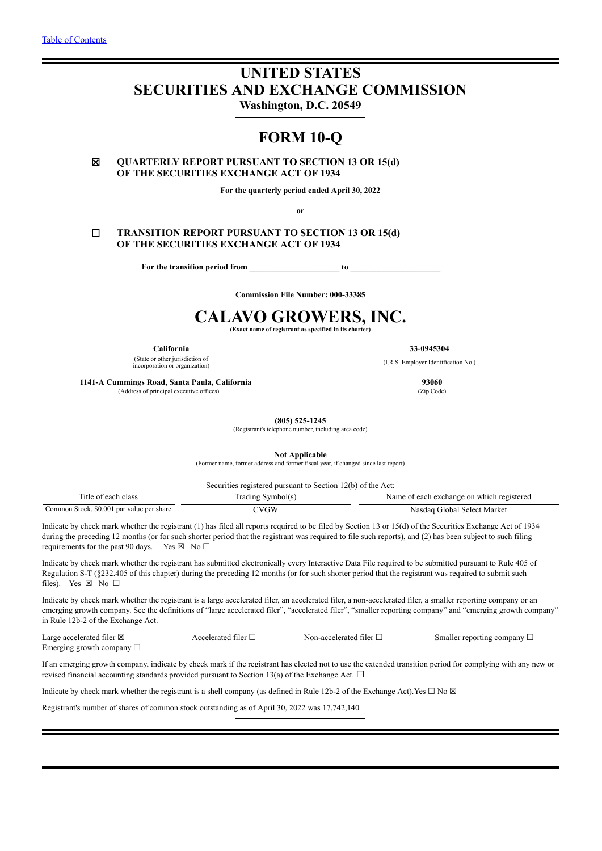# **UNITED STATES SECURITIES AND EXCHANGE COMMISSION**

**Washington, D.C. 20549**

# **FORM 10-Q**

# ☒ **QUARTERLY REPORT PURSUANT TO SECTION 13 OR 15(d) OF THE SECURITIES EXCHANGE ACT OF 1934**

**For the quarterly period ended April 30, 2022**

**or**

# ☐ **TRANSITION REPORT PURSUANT TO SECTION 13 OR 15(d) OF THE SECURITIES EXCHANGE ACT OF 1934**

For the transition period from **the transition of the set of the set of the set of the set of the set of the set of the set of the set of the set of the set of the set of the set of the set of the set of the set of the set** 

**Commission File Number: 000-33385**

# **CALAVO GROWERS, INC. (Exact name of registrant as specified in its charter)**

(State or other jurisdiction of incorporation or organization)

**California 33-0945304**

(I.R.S. Employer Identification No.)

**1141-A Cummings Road, Santa Paula, California 1141-A Cummings Road, Santa Paula, California 93060** (*Zip Code*) *(Zip Code*) (Address of principal executive offices)

**(805) 525-1245**

(Registrant's telephone number, including area code)

**Not Applicable**

(Former name, former address and former fiscal year, if changed since last report)

Securities registered pursuant to Section 12(b) of the Act:

| Title of each class                       | Trading Symbol(s) | Name of each exchange on which registered |
|-------------------------------------------|-------------------|-------------------------------------------|
| Common Stock, \$0.001 par value per share | 'VGW              | Nasdag Global Select Market               |

Indicate by check mark whether the registrant (1) has filed all reports required to be filed by Section 13 or 15(d) of the Securities Exchange Act of 1934 during the preceding 12 months (or for such shorter period that the registrant was required to file such reports), and (2) has been subject to such filing requirements for the past 90 days. Yes  $\boxtimes$  No  $\Box$ 

Indicate by check mark whether the registrant has submitted electronically every Interactive Data File required to be submitted pursuant to Rule 405 of Regulation S-T (§232.405 of this chapter) during the preceding 12 months (or for such shorter period that the registrant was required to submit such files). Yes  $\boxtimes$  No  $\square$ 

Indicate by check mark whether the registrant is a large accelerated filer, an accelerated filer, a non-accelerated filer, a smaller reporting company or an emerging growth company. See the definitions of "large accelerated filer", "sceelerated filer", "smaller reporting company" and "emerging growth company" in Rule 12b-2 of the Exchange Act.

Large accelerated filer ⊠ Accelerated filer □ Non-accelerated filer □ Smaller reporting company □ Emerging growth company ☐

If an emerging growth company, indicate by check mark if the registrant has elected not to use the extended transition period for complying with any new or revised financial accounting standards provided pursuant to Section 13(a) of the Exchange Act.  $\Box$ 

Indicate by check mark whether the registrant is a shell company (as defined in Rule 12b-2 of the Exchange Act).Yes  $\Box$  No  $\boxtimes$ 

Registrant's number of shares of common stock outstanding as of April 30, 2022 was 17,742,140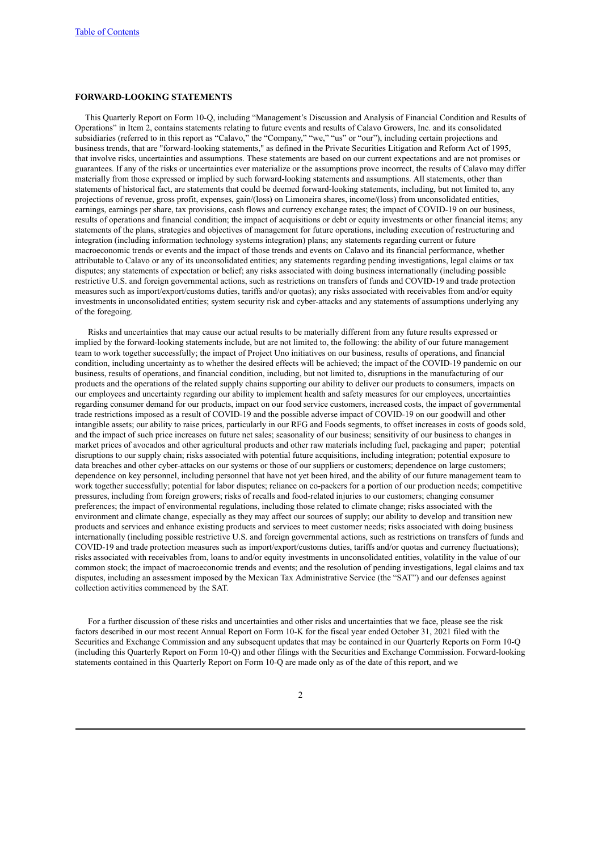#### **FORWARD-LOOKING STATEMENTS**

 This Quarterly Report on Form 10-Q, including "Management's Discussion and Analysis of Financial Condition and Results of Operations" in Item 2, contains statements relating to future events and results of Calavo Growers, Inc. and its consolidated subsidiaries (referred to in this report as "Calavo," the "Company," "we," "us" or "our"), including certain projections and business trends, that are "forward-looking statements," as defined in the Private Securities Litigation and Reform Act of 1995, that involve risks, uncertainties and assumptions. These statements are based on our current expectations and are not promises or guarantees. If any of the risks or uncertainties ever materialize or the assumptions prove incorrect, the results of Calavo may differ materially from those expressed or implied by such forward-looking statements and assumptions. All statements, other than statements of historical fact, are statements that could be deemed forward-looking statements, including, but not limited to, any projections of revenue, gross profit, expenses, gain/(loss) on Limoneira shares, income/(loss) from unconsolidated entities, earnings, earnings per share, tax provisions, cash flows and currency exchange rates; the impact of COVID-19 on our business, results of operations and financial condition; the impact of acquisitions or debt or equity investments or other financial items; any statements of the plans, strategies and objectives of management for future operations, including execution of restructuring and integration (including information technology systems integration) plans; any statements regarding current or future macroeconomic trends or events and the impact of those trends and events on Calavo and its financial performance, whether attributable to Calavo or any of its unconsolidated entities; any statements regarding pending investigations, legal claims or tax disputes; any statements of expectation or belief; any risks associated with doing business internationally (including possible restrictive U.S. and foreign governmental actions, such as restrictions on transfers of funds and COVID-19 and trade protection measures such as import/export/customs duties, tariffs and/or quotas); any risks associated with receivables from and/or equity investments in unconsolidated entities; system security risk and cyber-attacks and any statements of assumptions underlying any of the foregoing.

Risks and uncertainties that may cause our actual results to be materially different from any future results expressed or implied by the forward-looking statements include, but are not limited to, the following: the ability of our future management team to work together successfully; the impact of Project Uno initiatives on our business, results of operations, and financial condition, including uncertainty as to whether the desired effects will be achieved; the impact of the COVID-19 pandemic on our business, results of operations, and financial condition, including, but not limited to, disruptions in the manufacturing of our products and the operations of the related supply chains supporting our ability to deliver our products to consumers, impacts on our employees and uncertainty regarding our ability to implement health and safety measures for our employees, uncertainties regarding consumer demand for our products, impact on our food service customers, increased costs, the impact of governmental trade restrictions imposed as a result of COVID-19 and the possible adverse impact of COVID-19 on our goodwill and other intangible assets; our ability to raise prices, particularly in our RFG and Foods segments, to offset increases in costs of goods sold, and the impact of such price increases on future net sales; seasonality of our business; sensitivity of our business to changes in market prices of avocados and other agricultural products and other raw materials including fuel, packaging and paper; potential disruptions to our supply chain; risks associated with potential future acquisitions, including integration; potential exposure to data breaches and other cyber-attacks on our systems or those of our suppliers or customers; dependence on large customers; dependence on key personnel, including personnel that have not yet been hired, and the ability of our future management team to work together successfully; potential for labor disputes; reliance on co-packers for a portion of our production needs; competitive pressures, including from foreign growers; risks of recalls and food-related injuries to our customers; changing consumer preferences; the impact of environmental regulations, including those related to climate change; risks associated with the environment and climate change, especially as they may affect our sources of supply; our ability to develop and transition new products and services and enhance existing products and services to meet customer needs; risks associated with doing business internationally (including possible restrictive U.S. and foreign governmental actions, such as restrictions on transfers of funds and COVID-19 and trade protection measures such as import/export/customs duties, tariffs and/or quotas and currency fluctuations); risks associated with receivables from, loans to and/or equity investments in unconsolidated entities, volatility in the value of our common stock; the impact of macroeconomic trends and events; and the resolution of pending investigations, legal claims and tax disputes, including an assessment imposed by the Mexican Tax Administrative Service (the "SAT") and our defenses against collection activities commenced by the SAT.

For a further discussion of these risks and uncertainties and other risks and uncertainties that we face, please see the risk factors described in our most recent Annual Report on Form 10-K for the fiscal year ended October 31, 2021 filed with the Securities and Exchange Commission and any subsequent updates that may be contained in our Quarterly Reports on Form 10-Q (including this Quarterly Report on Form 10-Q) and other filings with the Securities and Exchange Commission. Forward-looking statements contained in this Quarterly Report on Form 10-Q are made only as of the date of this report, and we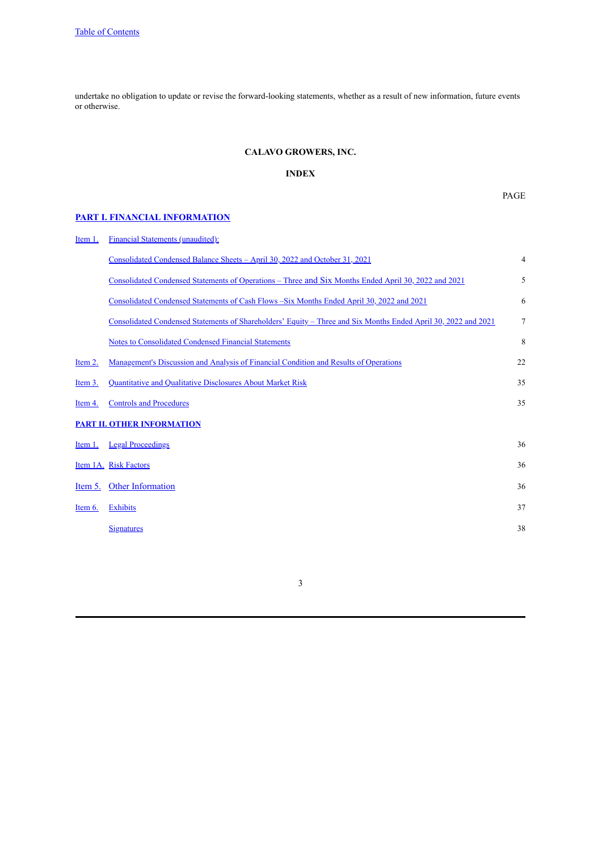undertake no obligation to update or revise the forward-looking statements, whether as a result of new information, future events or otherwise.

# **CALAVO GROWERS, INC.**

# **INDEX**

# PAGE

# <span id="page-2-0"></span>**PART I. FINANCIAL [INFORMATION](#page-3-0)**

| Item 1. | Financial Statements (unaudited):                                                                              |                |
|---------|----------------------------------------------------------------------------------------------------------------|----------------|
|         | Consolidated Condensed Balance Sheets – April 30, 2022 and October 31, 2021                                    | 4              |
|         | Consolidated Condensed Statements of Operations – Three and Six Months Ended April 30, 2022 and 2021           | 5              |
|         | Consolidated Condensed Statements of Cash Flows -Six Months Ended April 30, 2022 and 2021                      | 6              |
|         | Consolidated Condensed Statements of Shareholders' Equity - Three and Six Months Ended April 30, 2022 and 2021 | $\overline{7}$ |
|         | <b>Notes to Consolidated Condensed Financial Statements</b>                                                    | 8              |
| Item 2. | Management's Discussion and Analysis of Financial Condition and Results of Operations                          | 22             |
| Item 3. | Quantitative and Qualitative Disclosures About Market Risk                                                     | 35             |
| Item 4. | <b>Controls and Procedures</b>                                                                                 | 35             |
|         | <b>PART II. OTHER INFORMATION</b>                                                                              |                |
| Item 1. | <b>Legal Proceedings</b>                                                                                       | 36             |
|         | Item 1A. Risk Factors                                                                                          | 36             |
|         | Item 5. Other Information                                                                                      | 36             |
| Item 6. | <b>Exhibits</b>                                                                                                | 37             |
|         | <b>Signatures</b>                                                                                              | 38             |
|         |                                                                                                                |                |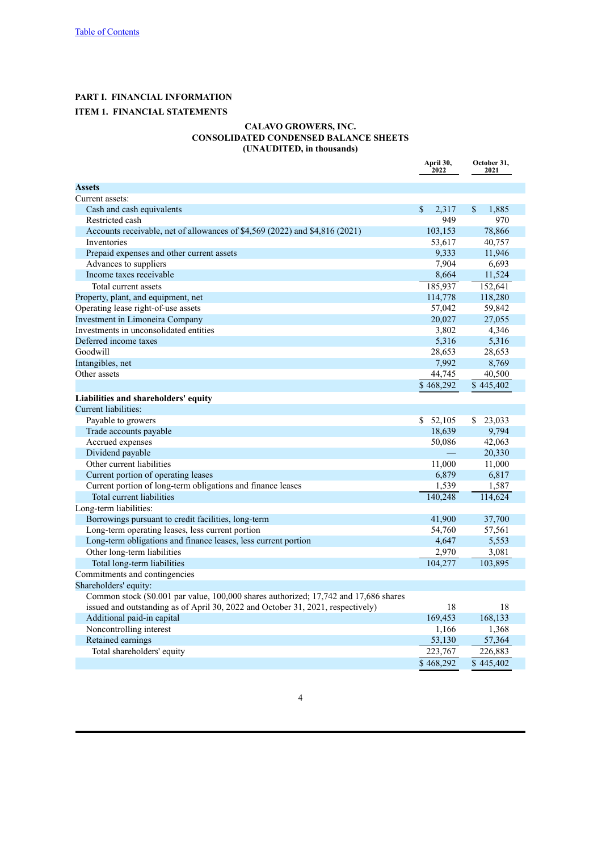# <span id="page-3-1"></span><span id="page-3-0"></span>**PART I. FINANCIAL INFORMATION ITEM 1. FINANCIAL STATEMENTS**

# **CALAVO GROWERS, INC. CONSOLIDATED CONDENSED BALANCE SHEETS (UNAUDITED, in thousands)**

<span id="page-3-2"></span>

|                                                                                                                                                                         | April 30,<br>2022    | October 31,<br>2021 |
|-------------------------------------------------------------------------------------------------------------------------------------------------------------------------|----------------------|---------------------|
| <b>Assets</b>                                                                                                                                                           |                      |                     |
| Current assets:                                                                                                                                                         |                      |                     |
| Cash and cash equivalents                                                                                                                                               | $\mathbf S$<br>2,317 | \$<br>1,885         |
| Restricted cash                                                                                                                                                         | 949                  | 970                 |
| Accounts receivable, net of allowances of \$4,569 (2022) and \$4,816 (2021)                                                                                             | 103,153              | 78,866              |
| Inventories                                                                                                                                                             | 53,617               | 40,757              |
| Prepaid expenses and other current assets                                                                                                                               | 9,333                | 11,946              |
| Advances to suppliers                                                                                                                                                   | 7,904                | 6,693               |
| Income taxes receivable                                                                                                                                                 | 8,664                | 11,524              |
| Total current assets                                                                                                                                                    | 185,937              | 152,641             |
| Property, plant, and equipment, net                                                                                                                                     | 114,778              | 118,280             |
| Operating lease right-of-use assets                                                                                                                                     | 57,042               | 59,842              |
| Investment in Limoneira Company                                                                                                                                         | 20,027               | 27,055              |
| Investments in unconsolidated entities                                                                                                                                  | 3,802                | 4,346               |
| Deferred income taxes                                                                                                                                                   | 5,316                | 5,316               |
| Goodwill                                                                                                                                                                | 28,653               | 28,653              |
| Intangibles, net                                                                                                                                                        | 7,992                | 8,769               |
| Other assets                                                                                                                                                            | 44,745               | 40,500              |
|                                                                                                                                                                         | \$468,292            | $\sqrt{$445,402}$   |
| Liabilities and shareholders' equity                                                                                                                                    |                      |                     |
| Current liabilities:                                                                                                                                                    |                      |                     |
| Payable to growers                                                                                                                                                      | \$52,105             | 23,033<br>\$        |
| Trade accounts payable                                                                                                                                                  | 18,639               | 9,794               |
| Accrued expenses                                                                                                                                                        | 50,086               | 42,063              |
| Dividend payable                                                                                                                                                        |                      | 20,330              |
| Other current liabilities                                                                                                                                               | 11,000               | 11,000              |
| Current portion of operating leases                                                                                                                                     | 6,879                | 6,817               |
| Current portion of long-term obligations and finance leases                                                                                                             | 1,539                | 1,587               |
| Total current liabilities                                                                                                                                               | 140,248              | 114,624             |
| Long-term liabilities:                                                                                                                                                  |                      |                     |
| Borrowings pursuant to credit facilities, long-term                                                                                                                     | 41,900               | 37,700              |
| Long-term operating leases, less current portion                                                                                                                        | 54,760               | 57,561              |
| Long-term obligations and finance leases, less current portion                                                                                                          | 4,647                | 5,553               |
| Other long-term liabilities                                                                                                                                             | 2,970                | 3,081               |
| Total long-term liabilities                                                                                                                                             | 104,277              | 103,895             |
| Commitments and contingencies                                                                                                                                           |                      |                     |
| Shareholders' equity:                                                                                                                                                   |                      |                     |
| Common stock (\$0.001 par value, 100,000 shares authorized; 17,742 and 17,686 shares<br>issued and outstanding as of April 30, 2022 and October 31, 2021, respectively) | 18                   | 18                  |
| Additional paid-in capital                                                                                                                                              | 169,453              | 168,133             |
| Noncontrolling interest                                                                                                                                                 | 1,166                | 1,368               |
| Retained earnings                                                                                                                                                       | 53,130               | 57,364              |
| Total shareholders' equity                                                                                                                                              | 223,767              | 226,883             |
|                                                                                                                                                                         | \$468,292            | \$445,402           |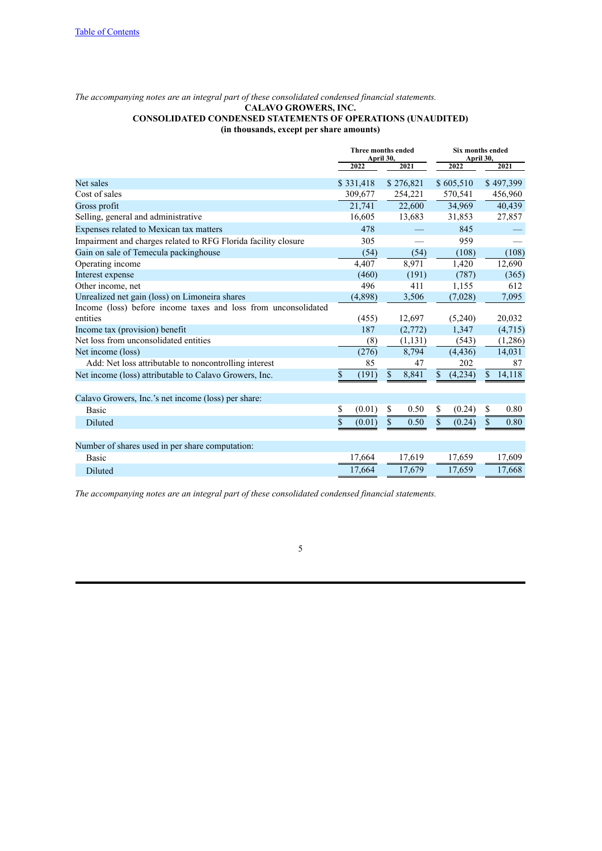# <span id="page-4-0"></span>*The accompanying notes are an integral part of these consolidated condensed financial statements.* **CALAVO GROWERS, INC.**

# **CONSOLIDATED CONDENSED STATEMENTS OF OPERATIONS (UNAUDITED) (in thousands, except per share amounts)**

|                                                                | April 30,    | Three months ended      | April 30,     | Six months ended      |
|----------------------------------------------------------------|--------------|-------------------------|---------------|-----------------------|
|                                                                | 2022         | 2021                    | 2022          | 2021                  |
| Net sales                                                      | \$331,418    | \$276,821               | \$605,510     | \$497,399             |
| Cost of sales                                                  | 309,677      | 254,221                 | 570,541       | 456,960               |
| Gross profit                                                   | 21,741       | 22,600                  | 34,969        | 40,439                |
| Selling, general and administrative                            | 16,605       | 13,683                  | 31,853        | 27,857                |
| Expenses related to Mexican tax matters                        | 478          |                         | 845           |                       |
| Impairment and charges related to RFG Florida facility closure | 305          |                         | 959           |                       |
| Gain on sale of Temecula packinghouse                          | (54)         | (54)                    | (108)         | (108)                 |
| Operating income                                               | 4,407        | 8,971                   | 1,420         | 12,690                |
| Interest expense                                               | (460)        | (191)                   | (787)         | (365)                 |
| Other income, net                                              | 496          | 411                     | 1,155         | 612                   |
| Unrealized net gain (loss) on Limoneira shares                 | (4,898)      | 3,506                   | (7,028)       | 7,095                 |
| Income (loss) before income taxes and loss from unconsolidated |              |                         |               |                       |
| entities                                                       | (455)        | 12,697                  | (5,240)       | 20,032                |
| Income tax (provision) benefit                                 | 187          | (2,772)                 | 1,347         | (4,715)               |
| Net loss from unconsolidated entities                          | (8)          | (1,131)                 | (543)         | (1,286)               |
| Net income (loss)                                              | (276)        | 8,794                   | (4, 436)      | 14,031                |
| Add: Net loss attributable to noncontrolling interest          | 85           | 47                      | 202           | 87                    |
| Net income (loss) attributable to Calavo Growers, Inc.         | \$<br>(191)  | \$<br>8,841             | (4,234)<br>\$ | $\mathbf S$<br>14,118 |
| Calavo Growers, Inc.'s net income (loss) per share:            |              |                         |               |                       |
| <b>Basic</b>                                                   | \$<br>(0.01) | \$<br>0.50              | \$<br>(0.24)  | $\mathbb{S}$<br>0.80  |
| Diluted                                                        | \$<br>(0.01) | $\overline{\$}$<br>0.50 | \$<br>(0.24)  | \$<br>0.80            |
|                                                                |              |                         |               |                       |
| Number of shares used in per share computation:                |              |                         |               |                       |
| Basic                                                          | 17,664       | 17,619                  | 17,659        | 17,609                |
| Diluted                                                        | 17,664       | 17,679                  | 17,659        | 17,668                |

*The accompanying notes are an integral part of these consolidated condensed financial statements.*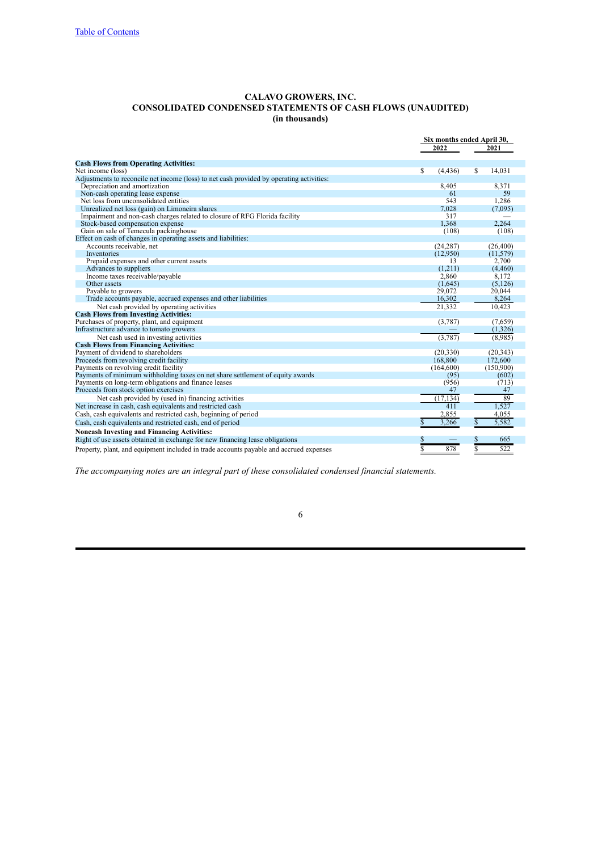## **CALAVO GROWERS, INC. CONSOLIDATED CONDENSED STATEMENTS OF CASH FLOWS (UNAUDITED) (in thousands)**

<span id="page-5-0"></span>

|                                                                                          | Six months ended April 30, |              |  |  |
|------------------------------------------------------------------------------------------|----------------------------|--------------|--|--|
|                                                                                          | 2022                       | 2021         |  |  |
|                                                                                          |                            |              |  |  |
| <b>Cash Flows from Operating Activities:</b>                                             |                            |              |  |  |
| Net income (loss)                                                                        | S<br>(4, 436)              | 14,031<br>\$ |  |  |
| Adjustments to reconcile net income (loss) to net cash provided by operating activities: |                            |              |  |  |
| Depreciation and amortization                                                            | 8.405                      | 8,371        |  |  |
| Non-cash operating lease expense                                                         | 61                         | 59           |  |  |
| Net loss from unconsolidated entities                                                    | 543                        | 1,286        |  |  |
| Unrealized net loss (gain) on Limoneira shares                                           | 7.028                      | (7,095)      |  |  |
| Impairment and non-cash charges related to closure of RFG Florida facility               | 317                        |              |  |  |
| Stock-based compensation expense                                                         | 1.368                      | 2.264        |  |  |
| Gain on sale of Temecula packinghouse                                                    | (108)                      | (108)        |  |  |
| Effect on cash of changes in operating assets and liabilities:                           |                            |              |  |  |
| Accounts receivable, net                                                                 | (24, 287)                  | (26, 400)    |  |  |
| Inventories                                                                              | (12,950)                   | (11, 579)    |  |  |
| Prepaid expenses and other current assets                                                | 13                         | 2,700        |  |  |
| Advances to suppliers                                                                    | (1,211)                    | (4, 460)     |  |  |
| Income taxes receivable/payable                                                          | 2,860                      | 8,172        |  |  |
| Other assets                                                                             | (1,645)                    | (5, 126)     |  |  |
| Payable to growers                                                                       | 29,072                     | 20,044       |  |  |
| Trade accounts payable, accrued expenses and other liabilities                           | 16,302                     | 8,264        |  |  |
| Net cash provided by operating activities                                                | 21,332                     | 10,423       |  |  |
| <b>Cash Flows from Investing Activities:</b>                                             |                            |              |  |  |
| Purchases of property, plant, and equipment                                              | (3,787)                    | (7,659)      |  |  |
| Infrastructure advance to tomato growers                                                 |                            | (1,326)      |  |  |
| Net cash used in investing activities                                                    | (3,787)                    | (8,985)      |  |  |
| <b>Cash Flows from Financing Activities:</b>                                             |                            |              |  |  |
| Payment of dividend to shareholders                                                      | (20, 330)                  | (20, 343)    |  |  |
| Proceeds from revolving credit facility                                                  | 168,800                    | 172,600      |  |  |
| Payments on revolving credit facility                                                    | (164, 600)                 | (150,900)    |  |  |
| Payments of minimum withholding taxes on net share settlement of equity awards           | (95)                       | (602)        |  |  |
| Payments on long-term obligations and finance leases                                     | (956)                      | (713)        |  |  |
| Proceeds from stock option exercises                                                     | 47                         | 47           |  |  |
| Net cash provided by (used in) financing activities                                      | (17, 134)                  | 89           |  |  |
| Net increase in cash, cash equivalents and restricted cash                               | 411                        | 1.527        |  |  |
| Cash, cash equivalents and restricted cash, beginning of period                          | 2,855                      | 4,055        |  |  |
| Cash, cash equivalents and restricted cash, end of period                                | \$<br>3,266                | \$<br>5,582  |  |  |
| <b>Noncash Investing and Financing Activities:</b>                                       |                            |              |  |  |
| Right of use assets obtained in exchange for new financing lease obligations             | \$                         | \$<br>665    |  |  |
| Property, plant, and equipment included in trade accounts payable and accrued expenses   | \$<br>878                  | \$<br>522    |  |  |

*The accompanying notes are an integral part of these consolidated condensed financial statements.*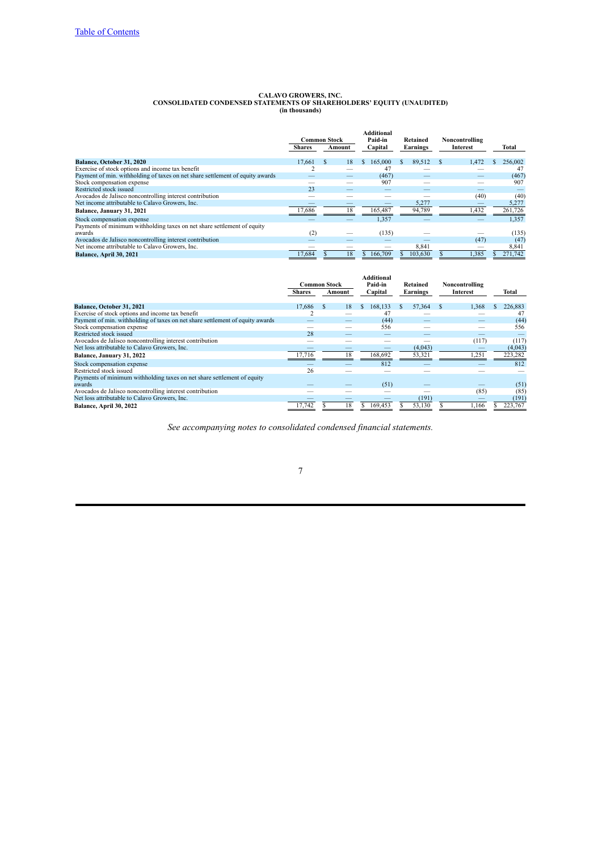# **CALAVO GROWERS, INC. CONSOLIDATED CONDENSED STATEMENTS OF SHAREHOLDERS' EQUITY (UNAUDITED) (in thousands)**

<span id="page-6-0"></span>

|                                                                               |               | <b>Common Stock</b> | <b>Additional</b><br>Paid-in | Retained | Noncontrolling |         |
|-------------------------------------------------------------------------------|---------------|---------------------|------------------------------|----------|----------------|---------|
|                                                                               | <b>Shares</b> | Amount              | Capital                      | Earnings | Interest       | Total   |
| Balance, October 31, 2020                                                     | 17.661        | 18                  | 165,000                      | 89,512   | 1,472          | 256,002 |
| Exercise of stock options and income tax benefit                              |               | _                   | 47                           | __       |                | 47      |
| Payment of min. withholding of taxes on net share settlement of equity awards |               | _                   | (467)                        | _        |                | (467)   |
| Stock compensation expense                                                    |               |                     | 907                          |          |                | 907     |
| Restricted stock issued                                                       | 23            |                     |                              |          |                |         |
| Avocados de Jalisco noncontrolling interest contribution                      |               |                     |                              |          | (40)           | (40)    |
| Net income attributable to Calavo Growers, Inc.                               |               |                     |                              | 5,277    |                | 5,277   |
| Balance, January 31, 2021                                                     | 17.686        | 18                  | 165,487                      | 94,789   | ,432           | 261,726 |
| Stock compensation expense                                                    |               |                     | 1,357                        |          |                | 1,357   |
| Payments of minimum withholding taxes on net share settlement of equity       |               |                     |                              |          |                |         |
| awards                                                                        | (2)           |                     | (135)                        |          |                | (135)   |
| Avocados de Jalisco noncontrolling interest contribution                      |               |                     |                              |          | (47)           | (47)    |
| Net income attributable to Calavo Growers, Inc.                               |               |                     |                              | 8,841    |                | 8,841   |
| Balance, April 30, 2021                                                       | 17,684        | 18                  | 166.709                      | 103,630  | .385           | 271,742 |

|                                                                               | <b>Shares</b> | Common Stock<br>Amount | <b>Additional</b><br>Paid-in<br>Capital | Retained<br>Earnings | Noncontrolling<br>Interest | Total        |
|-------------------------------------------------------------------------------|---------------|------------------------|-----------------------------------------|----------------------|----------------------------|--------------|
| <b>Balance, October 31, 2021</b>                                              | 17,686        | S<br>18                | 168,133                                 | 57,364               | 1,368                      | 226,883<br>× |
| Exercise of stock options and income tax benefit                              |               |                        | 47                                      |                      |                            | 47           |
| Payment of min. withholding of taxes on net share settlement of equity awards |               |                        | (44)                                    | _                    |                            | (44)         |
| Stock compensation expense                                                    |               |                        | 556                                     |                      |                            | 556          |
| Restricted stock issued                                                       | 28            |                        |                                         |                      |                            |              |
| Avocados de Jalisco noncontrolling interest contribution                      |               |                        |                                         |                      | (117)                      | (117)        |
| Net loss attributable to Calavo Growers, Inc.                                 |               |                        |                                         | (4,043)              |                            | (4,043)      |
| Balance, January 31, 2022                                                     | 17.716        | 18                     | 168.692                                 | 53,321               | 1.251                      | 223,282      |
| Stock compensation expense                                                    |               |                        | 812                                     |                      |                            | 812          |
| Restricted stock issued                                                       | 26            |                        |                                         |                      |                            |              |
| Payments of minimum withholding taxes on net share settlement of equity       |               |                        |                                         |                      |                            |              |
| awards                                                                        |               |                        | (51)                                    |                      |                            | (51)         |
| Avocados de Jalisco noncontrolling interest contribution                      |               |                        |                                         |                      | (85)                       | (85)         |
| Net loss attributable to Calavo Growers, Inc.                                 |               |                        |                                         | (191)                |                            | (191)        |
| Balance, April 30, 2022                                                       | 17,742        | 18                     | 169,453                                 | 53,130               | 1,166                      | 223,767      |

*See accompanying notes to consolidated condensed financial statements.*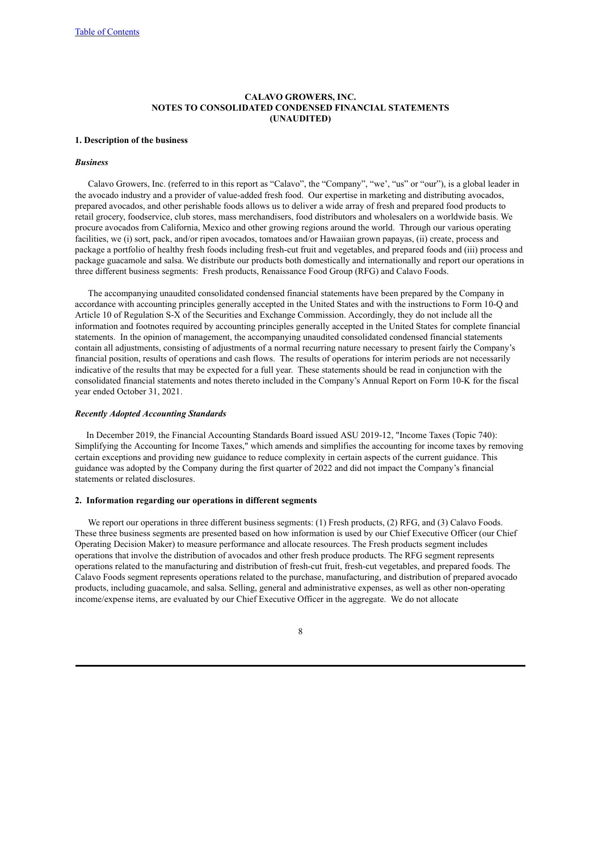# **CALAVO GROWERS, INC. NOTES TO CONSOLIDATED CONDENSED FINANCIAL STATEMENTS (UNAUDITED)**

# <span id="page-7-0"></span>**1. Description of the business**

#### *Business*

Calavo Growers, Inc. (referred to in this report as "Calavo", the "Company", "we', "us" or "our"), is a global leader in the avocado industry and a provider of value-added fresh food. Our expertise in marketing and distributing avocados, prepared avocados, and other perishable foods allows us to deliver a wide array of fresh and prepared food products to retail grocery, foodservice, club stores, mass merchandisers, food distributors and wholesalers on a worldwide basis. We procure avocados from California, Mexico and other growing regions around the world. Through our various operating facilities, we (i) sort, pack, and/or ripen avocados, tomatoes and/or Hawaiian grown papayas, (ii) create, process and package a portfolio of healthy fresh foods including fresh-cut fruit and vegetables, and prepared foods and (iii) process and package guacamole and salsa. We distribute our products both domestically and internationally and report our operations in three different business segments: Fresh products, Renaissance Food Group (RFG) and Calavo Foods.

The accompanying unaudited consolidated condensed financial statements have been prepared by the Company in accordance with accounting principles generally accepted in the United States and with the instructions to Form 10-Q and Article 10 of Regulation S-X of the Securities and Exchange Commission. Accordingly, they do not include all the information and footnotes required by accounting principles generally accepted in the United States for complete financial statements. In the opinion of management, the accompanying unaudited consolidated condensed financial statements contain all adjustments, consisting of adjustments of a normal recurring nature necessary to present fairly the Company's financial position, results of operations and cash flows. The results of operations for interim periods are not necessarily indicative of the results that may be expected for a full year. These statements should be read in conjunction with the consolidated financial statements and notes thereto included in the Company's Annual Report on Form 10-K for the fiscal year ended October 31, 2021.

#### *Recently Adopted Accounting Standards*

In December 2019, the Financial Accounting Standards Board issued ASU 2019-12, "Income Taxes (Topic 740): Simplifying the Accounting for Income Taxes," which amends and simplifies the accounting for income taxes by removing certain exceptions and providing new guidance to reduce complexity in certain aspects of the current guidance. This guidance was adopted by the Company during the first quarter of 2022 and did not impact the Company's financial statements or related disclosures.

#### **2. Information regarding our operations in different segments**

We report our operations in three different business segments: (1) Fresh products, (2) RFG, and (3) Calavo Foods. These three business segments are presented based on how information is used by our Chief Executive Officer (our Chief Operating Decision Maker) to measure performance and allocate resources. The Fresh products segment includes operations that involve the distribution of avocados and other fresh produce products. The RFG segment represents operations related to the manufacturing and distribution of fresh-cut fruit, fresh-cut vegetables, and prepared foods. The Calavo Foods segment represents operations related to the purchase, manufacturing, and distribution of prepared avocado products, including guacamole, and salsa. Selling, general and administrative expenses, as well as other non-operating income/expense items, are evaluated by our Chief Executive Officer in the aggregate. We do not allocate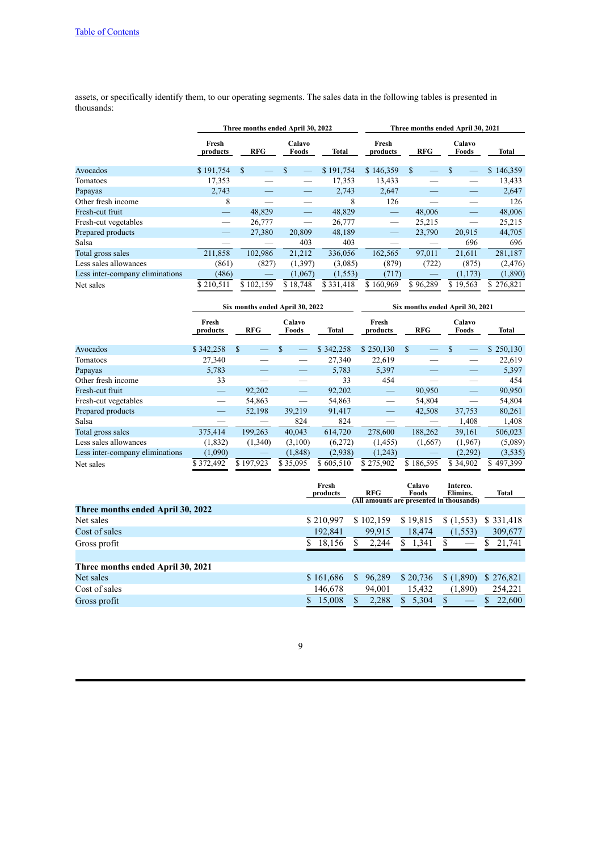assets, or specifically identify them, to our operating segments. The sales data in the following tables is presented in thousands:

|                                 |                   | Three months ended April 30, 2022 |                 |           |                   | Three months ended April 30, 2021 |                 |           |  |  |  |
|---------------------------------|-------------------|-----------------------------------|-----------------|-----------|-------------------|-----------------------------------|-----------------|-----------|--|--|--|
|                                 | Fresh<br>products | RFG                               | Calavo<br>Foods | Total     | Fresh<br>products | <b>RFG</b>                        | Calavo<br>Foods | Total     |  |  |  |
| Avocados                        | \$191,754         | <sup>\$</sup>                     |                 | \$191,754 | \$146,359         | S                                 | S               | \$146,359 |  |  |  |
| Tomatoes                        | 17,353            |                                   |                 | 17,353    | 13,433            |                                   |                 | 13,433    |  |  |  |
| Papayas                         | 2,743             |                                   |                 | 2,743     | 2,647             |                                   |                 | 2,647     |  |  |  |
| Other fresh income              | 8                 |                                   |                 | 8         | 126               |                                   |                 | 126       |  |  |  |
| Fresh-cut fruit                 |                   | 48,829                            |                 | 48,829    |                   | 48,006                            |                 | 48,006    |  |  |  |
| Fresh-cut vegetables            |                   | 26,777                            |                 | 26,777    |                   | 25,215                            |                 | 25,215    |  |  |  |
| Prepared products               |                   | 27,380                            | 20,809          | 48,189    |                   | 23,790                            | 20,915          | 44,705    |  |  |  |
| Salsa                           |                   |                                   | 403             | 403       |                   |                                   | 696             | 696       |  |  |  |
| Total gross sales               | 211,858           | 102,986                           | 21,212          | 336,056   | 162,565           | 97,011                            | 21,611          | 281,187   |  |  |  |
| Less sales allowances           | (861)             | (827)                             | (1,397)         | (3,085)   | (879)             | (722)                             | (875)           | (2, 476)  |  |  |  |
| Less inter-company eliminations | (486)             |                                   | (1,067)         | (1, 553)  | (717)             |                                   | (1, 173)        | (1,890)   |  |  |  |
| Net sales                       | \$210,511         | \$102,159                         | \$18,748        | \$331,418 | \$160,969         | \$96,289                          | \$19,563        | \$276,821 |  |  |  |

|                                 | Six months ended April 30, 2022 |            |                          |           | Six months ended April 30, 2021 |            |                 |           |  |  |
|---------------------------------|---------------------------------|------------|--------------------------|-----------|---------------------------------|------------|-----------------|-----------|--|--|
|                                 | Fresh<br>products               | <b>RFG</b> | Calavo<br>Foods          | Total     | Fresh<br>products               | <b>RFG</b> | Calavo<br>Foods | Total     |  |  |
| Avocados                        | \$342,258                       | \$         | S                        | \$342,258 | \$250,130                       | \$         | S               | \$250,130 |  |  |
| Tomatoes                        | 27,340                          |            |                          | 27,340    | 22,619                          |            |                 | 22,619    |  |  |
| Papayas                         | 5,783                           |            |                          | 5,783     | 5,397                           |            |                 | 5,397     |  |  |
| Other fresh income              | 33                              |            |                          | 33        | 454                             |            |                 | 454       |  |  |
| Fresh-cut fruit                 |                                 | 92,202     | $\overline{\phantom{0}}$ | 92,202    | $\overline{\phantom{0}}$        | 90,950     |                 | 90,950    |  |  |
| Fresh-cut vegetables            |                                 | 54,863     |                          | 54,863    |                                 | 54,804     |                 | 54,804    |  |  |
| Prepared products               |                                 | 52,198     | 39,219                   | 91,417    |                                 | 42,508     | 37,753          | 80,261    |  |  |
| Salsa                           |                                 |            | 824                      | 824       |                                 |            | 1,408           | 1,408     |  |  |
| Total gross sales               | 375,414                         | 199,263    | 40,043                   | 614,720   | 278,600                         | 188,262    | 39,161          | 506,023   |  |  |
| Less sales allowances           | (1, 832)                        | (1,340)    | (3,100)                  | (6,272)   | (1, 455)                        | (1,667)    | (1,967)         | (5,089)   |  |  |
| Less inter-company eliminations | (1,090)                         |            | (1, 848)                 | (2,938)   | (1,243)                         |            | (2,292)         | (3,535)   |  |  |
| Net sales                       | \$372.492                       | \$197,923  | \$35,095                 | \$605,510 | \$275,902                       | \$186.595  | \$34.902        | \$497.399 |  |  |

|                                   | Fresh<br>products | <b>RFG</b>                               | Calavo<br>Foods | Interco.<br>Elimins. | Total      |
|-----------------------------------|-------------------|------------------------------------------|-----------------|----------------------|------------|
|                                   |                   | (All amounts are presented in thousands) |                 |                      |            |
| Three months ended April 30, 2022 |                   |                                          |                 |                      |            |
| Net sales                         | \$210,997         | \$102,159                                | \$19,815        | \$(1,553)            | \$ 331,418 |
| Cost of sales                     | 192,841           | 99.915                                   | 18,474          | (1, 553)             | 309,677    |
| Gross profit                      | 18,156            | 2,244                                    | 1,341           |                      | 21,741     |
|                                   |                   |                                          |                 |                      |            |
| Three months ended April 30, 2021 |                   |                                          |                 |                      |            |
| Net sales                         | \$161,686         | 96,289<br>S.                             | \$20,736        | \$(1,890)            | \$276,821  |
| Cost of sales                     | 146,678           | 94,001                                   | 15,432          | (1,890)              | 254,221    |
| Gross profit                      | 15,008            | 2,288                                    | 5,304           | S                    | 22,600     |
|                                   |                   |                                          |                 |                      |            |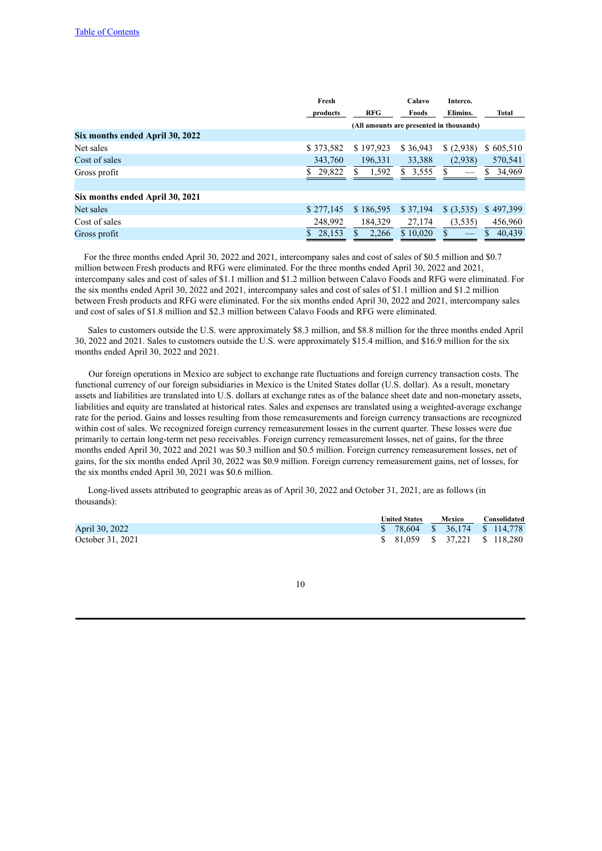|                                 | Fresh        |                                          | Calavo   | Interco.   |             |
|---------------------------------|--------------|------------------------------------------|----------|------------|-------------|
|                                 | products     | <b>RFG</b>                               | Foods    | Elimins.   | Total       |
|                                 |              | (All amounts are presented in thousands) |          |            |             |
| Six months ended April 30, 2022 |              |                                          |          |            |             |
| Net sales                       | \$373,582    | \$197.923                                | \$36,943 | \$ (2,938) | \$605,510   |
| Cost of sales                   | 343,760      | 196,331                                  | 33,388   | (2,938)    | 570,541     |
| Gross profit                    | 29,822<br>S. | 1,592                                    | \$3,555  | S          | 34,969<br>S |
|                                 |              |                                          |          |            |             |
| Six months ended April 30, 2021 |              |                                          |          |            |             |
| Net sales                       | \$277,145    | \$186,595                                | \$37,194 | \$ (3,535) | \$497,399   |
| Cost of sales                   | 248,992      | 184,329                                  | 27,174   | (3,535)    | 456,960     |
| Gross profit                    | 28,153       | 2,266                                    | \$10,020 | S          | 40,439      |
|                                 |              |                                          |          |            |             |

For the three months ended April 30, 2022 and 2021, intercompany sales and cost of sales of \$0.5 million and \$0.7 million between Fresh products and RFG were eliminated. For the three months ended April 30, 2022 and 2021, intercompany sales and cost of sales of \$1.1 million and \$1.2 million between Calavo Foods and RFG were eliminated. For the six months ended April 30, 2022 and 2021, intercompany sales and cost of sales of \$1.1 million and \$1.2 million between Fresh products and RFG were eliminated. For the six months ended April 30, 2022 and 2021, intercompany sales and cost of sales of \$1.8 million and \$2.3 million between Calavo Foods and RFG were eliminated.

Sales to customers outside the U.S. were approximately \$8.3 million, and \$8.8 million for the three months ended April 30, 2022 and 2021. Sales to customers outside the U.S. were approximately \$15.4 million, and \$16.9 million for the six months ended April 30, 2022 and 2021.

Our foreign operations in Mexico are subject to exchange rate fluctuations and foreign currency transaction costs. The functional currency of our foreign subsidiaries in Mexico is the United States dollar (U.S. dollar). As a result, monetary assets and liabilities are translated into U.S. dollars at exchange rates as of the balance sheet date and non-monetary assets, liabilities and equity are translated at historical rates. Sales and expenses are translated using a weighted-average exchange rate for the period. Gains and losses resulting from those remeasurements and foreign currency transactions are recognized within cost of sales. We recognized foreign currency remeasurement losses in the current quarter. These losses were due primarily to certain long-term net peso receivables. Foreign currency remeasurement losses, net of gains, for the three months ended April 30, 2022 and 2021 was \$0.3 million and \$0.5 million. Foreign currency remeasurement losses, net of gains, for the six months ended April 30, 2022 was \$0.9 million. Foreign currency remeasurement gains, net of losses, for the six months ended April 30, 2021 was \$0.6 million.

Long-lived assets attributed to geographic areas as of April 30, 2022 and October 31, 2021, are as follows (in thousands):

|                  | <b>United States</b> |                                | Mexico |  | <b>Consolidated</b> |
|------------------|----------------------|--------------------------------|--------|--|---------------------|
| April 30, 2022   |                      | \$ 78.604 \$ 36.174 \$ 114.778 |        |  |                     |
| October 31, 2021 |                      | $$81,059$ $$37,221$ $$118,280$ |        |  |                     |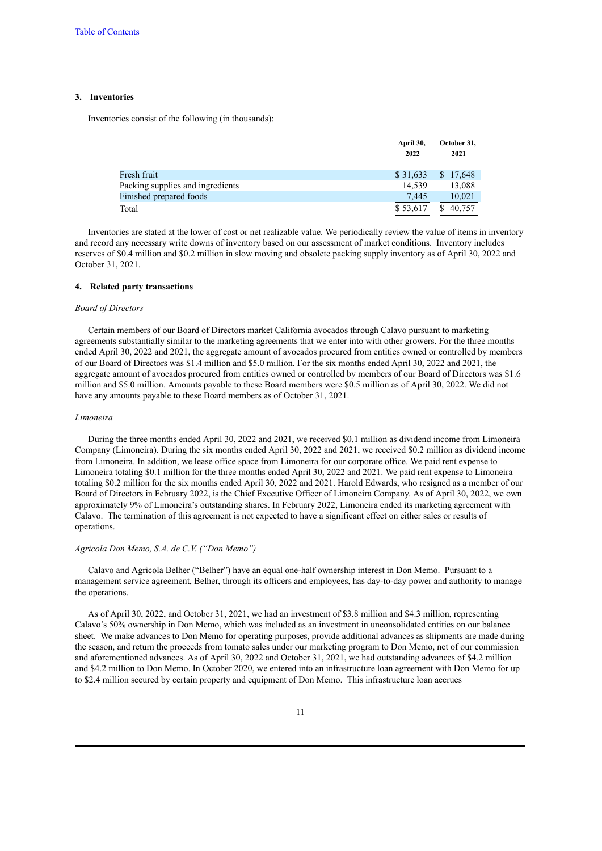# **3. Inventories**

Inventories consist of the following (in thousands):

|                                  | April 30,<br>2022 | October 31,<br>2021 |
|----------------------------------|-------------------|---------------------|
| Fresh fruit                      | \$31,633          | \$17,648            |
| Packing supplies and ingredients | 14.539            | 13.088              |
| Finished prepared foods          | 7.445             | 10,021              |
| Total                            | \$53,617          | 40,757              |

Inventories are stated at the lower of cost or net realizable value. We periodically review the value of items in inventory and record any necessary write downs of inventory based on our assessment of market conditions. Inventory includes reserves of \$0.4 million and \$0.2 million in slow moving and obsolete packing supply inventory as of April 30, 2022 and October 31, 2021.

## **4. Related party transactions**

#### *Board of Directors*

Certain members of our Board of Directors market California avocados through Calavo pursuant to marketing agreements substantially similar to the marketing agreements that we enter into with other growers. For the three months ended April 30, 2022 and 2021, the aggregate amount of avocados procured from entities owned or controlled by members of our Board of Directors was \$1.4 million and \$5.0 million. For the six months ended April 30, 2022 and 2021, the aggregate amount of avocados procured from entities owned or controlled by members of our Board of Directors was \$1.6 million and \$5.0 million. Amounts payable to these Board members were \$0.5 million as of April 30, 2022. We did not have any amounts payable to these Board members as of October 31, 2021.

## *Limoneira*

During the three months ended April 30, 2022 and 2021, we received \$0.1 million as dividend income from Limoneira Company (Limoneira). During the six months ended April 30, 2022 and 2021, we received \$0.2 million as dividend income from Limoneira. In addition, we lease office space from Limoneira for our corporate office. We paid rent expense to Limoneira totaling \$0.1 million for the three months ended April 30, 2022 and 2021. We paid rent expense to Limoneira totaling \$0.2 million for the six months ended April 30, 2022 and 2021. Harold Edwards, who resigned as a member of our Board of Directors in February 2022, is the Chief Executive Officer of Limoneira Company. As of April 30, 2022, we own approximately 9% of Limoneira's outstanding shares. In February 2022, Limoneira ended its marketing agreement with Calavo. The termination of this agreement is not expected to have a significant effect on either sales or results of operations.

# *Agricola Don Memo, S.A. de C.V. ("Don Memo")*

Calavo and Agricola Belher ("Belher") have an equal one-half ownership interest in Don Memo. Pursuant to a management service agreement, Belher, through its officers and employees, has day-to-day power and authority to manage the operations.

As of April 30, 2022, and October 31, 2021, we had an investment of \$3.8 million and \$4.3 million, representing Calavo's 50% ownership in Don Memo, which was included as an investment in unconsolidated entities on our balance sheet. We make advances to Don Memo for operating purposes, provide additional advances as shipments are made during the season, and return the proceeds from tomato sales under our marketing program to Don Memo, net of our commission and aforementioned advances. As of April 30, 2022 and October 31, 2021, we had outstanding advances of \$4.2 million and \$4.2 million to Don Memo. In October 2020, we entered into an infrastructure loan agreement with Don Memo for up to \$2.4 million secured by certain property and equipment of Don Memo. This infrastructure loan accrues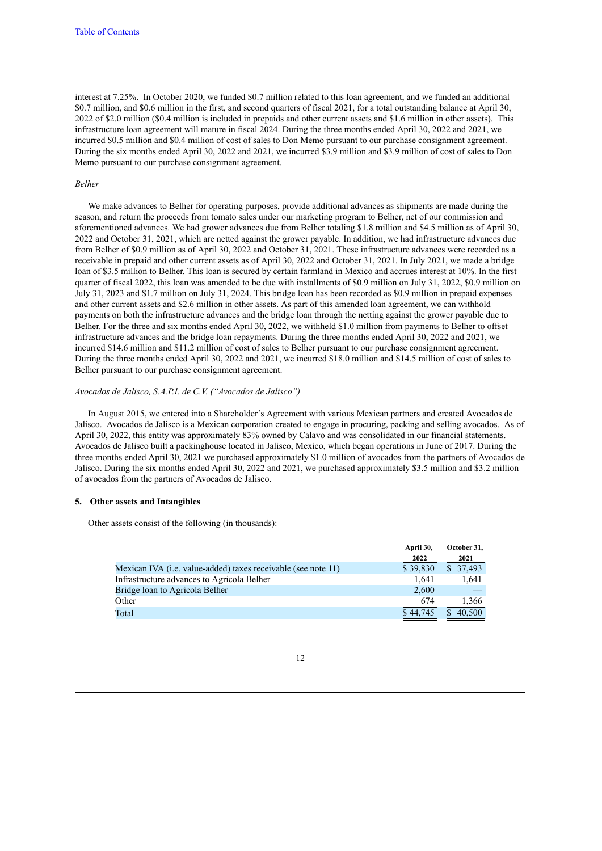interest at 7.25%. In October 2020, we funded \$0.7 million related to this loan agreement, and we funded an additional \$0.7 million, and \$0.6 million in the first, and second quarters of fiscal 2021, for a total outstanding balance at April 30, 2022 of \$2.0 million (\$0.4 million is included in prepaids and other current assets and \$1.6 million in other assets). This infrastructure loan agreement will mature in fiscal 2024. During the three months ended April 30, 2022 and 2021, we incurred \$0.5 million and \$0.4 million of cost of sales to Don Memo pursuant to our purchase consignment agreement. During the six months ended April 30, 2022 and 2021, we incurred \$3.9 million and \$3.9 million of cost of sales to Don Memo pursuant to our purchase consignment agreement.

# *Belher*

We make advances to Belher for operating purposes, provide additional advances as shipments are made during the season, and return the proceeds from tomato sales under our marketing program to Belher, net of our commission and aforementioned advances. We had grower advances due from Belher totaling \$1.8 million and \$4.5 million as of April 30, 2022 and October 31, 2021, which are netted against the grower payable. In addition, we had infrastructure advances due from Belher of \$0.9 million as of April 30, 2022 and October 31, 2021. These infrastructure advances were recorded as a receivable in prepaid and other current assets as of April 30, 2022 and October 31, 2021. In July 2021, we made a bridge loan of \$3.5 million to Belher. This loan is secured by certain farmland in Mexico and accrues interest at 10%. In the first quarter of fiscal 2022, this loan was amended to be due with installments of \$0.9 million on July 31, 2022, \$0.9 million on July 31, 2023 and \$1.7 million on July 31, 2024. This bridge loan has been recorded as \$0.9 million in prepaid expenses and other current assets and \$2.6 million in other assets. As part of this amended loan agreement, we can withhold payments on both the infrastructure advances and the bridge loan through the netting against the grower payable due to Belher. For the three and six months ended April 30, 2022, we withheld \$1.0 million from payments to Belher to offset infrastructure advances and the bridge loan repayments. During the three months ended April 30, 2022 and 2021, we incurred \$14.6 million and \$11.2 million of cost of sales to Belher pursuant to our purchase consignment agreement. During the three months ended April 30, 2022 and 2021, we incurred \$18.0 million and \$14.5 million of cost of sales to Belher pursuant to our purchase consignment agreement.

# *Avocados de Jalisco, S.A.P.I. de C.V. ("Avocados de Jalisco")*

In August 2015, we entered into a Shareholder's Agreement with various Mexican partners and created Avocados de Jalisco. Avocados de Jalisco is a Mexican corporation created to engage in procuring, packing and selling avocados. As of April 30, 2022, this entity was approximately 83% owned by Calavo and was consolidated in our financial statements. Avocados de Jalisco built a packinghouse located in Jalisco, Mexico, which began operations in June of 2017. During the three months ended April 30, 2021 we purchased approximately \$1.0 million of avocados from the partners of Avocados de Jalisco. During the six months ended April 30, 2022 and 2021, we purchased approximately \$3.5 million and \$3.2 million of avocados from the partners of Avocados de Jalisco.

# **5. Other assets and Intangibles**

Other assets consist of the following (in thousands):

|                                                               | April 30, | October 31, |
|---------------------------------------------------------------|-----------|-------------|
|                                                               | 2022      | 2021        |
| Mexican IVA (i.e. value-added) taxes receivable (see note 11) | \$39.830  | \$37,493    |
| Infrastructure advances to Agricola Belher                    | 1.641     | 1.641       |
| Bridge loan to Agricola Belher                                | 2,600     |             |
| Other                                                         | 674       | 1.366       |
| Total                                                         | \$44,745  | 40.500      |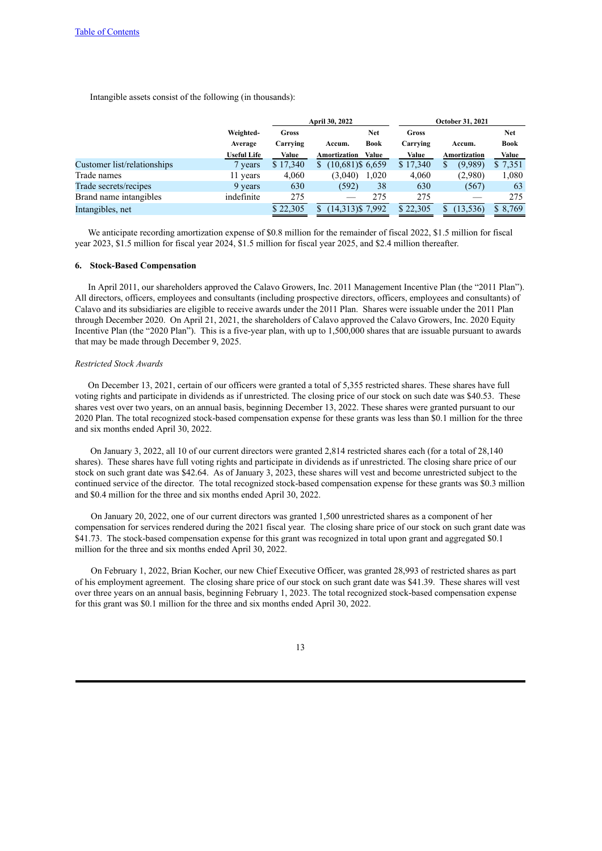# Intangible assets consist of the following (in thousands):

|                             |                    |          | April 30, 2022           |       |          | <b>October 31, 2021</b> |             |
|-----------------------------|--------------------|----------|--------------------------|-------|----------|-------------------------|-------------|
|                             | Weighted-          | Gross    |                          | Net   | Gross    |                         | <b>Net</b>  |
|                             | Average            | Carrying | Accum.                   | Book  | Carrying | Accum.                  | <b>Book</b> |
|                             | <b>Useful Life</b> | Value    | Amortization             | Value | Value    | Amortization            | Value       |
| Customer list/relationships | 7 years            | \$17,340 | $(10,681)$ \$ 6,659<br>S |       | \$17,340 | (9.989)                 | \$7,351     |
| Trade names                 | 11 years           | 4,060    | (3.040)                  | 1,020 | 4.060    | (2,980)                 | 1,080       |
| Trade secrets/recipes       | 9 years            | 630      | (592)                    | 38    | 630      | (567)                   | 63          |
| Brand name intangibles      | indefinite         | 275      |                          | 275   | 275      |                         | 275         |
| Intangibles, net            |                    | \$22,305 | $(14,313)$ \$ 7,992      |       | \$22,305 | (13, 536)               | \$8,769     |

We anticipate recording amortization expense of \$0.8 million for the remainder of fiscal 2022, \$1.5 million for fiscal year 2023, \$1.5 million for fiscal year 2024, \$1.5 million for fiscal year 2025, and \$2.4 million thereafter.

#### **6. Stock-Based Compensation**

In April 2011, our shareholders approved the Calavo Growers, Inc. 2011 Management Incentive Plan (the "2011 Plan"). All directors, officers, employees and consultants (including prospective directors, officers, employees and consultants) of Calavo and its subsidiaries are eligible to receive awards under the 2011 Plan. Shares were issuable under the 2011 Plan through December 2020. On April 21, 2021, the shareholders of Calavo approved the Calavo Growers, Inc. 2020 Equity Incentive Plan (the "2020 Plan"). This is a five-year plan, with up to 1,500,000 shares that are issuable pursuant to awards that may be made through December 9, 2025.

## *Restricted Stock Awards*

On December 13, 2021, certain of our officers were granted a total of 5,355 restricted shares. These shares have full voting rights and participate in dividends as if unrestricted. The closing price of our stock on such date was \$40.53. These shares vest over two years, on an annual basis, beginning December 13, 2022. These shares were granted pursuant to our 2020 Plan. The total recognized stock-based compensation expense for these grants was less than \$0.1 million for the three and six months ended April 30, 2022.

On January 3, 2022, all 10 of our current directors were granted 2,814 restricted shares each (for a total of 28,140 shares). These shares have full voting rights and participate in dividends as if unrestricted. The closing share price of our stock on such grant date was \$42.64. As of January 3, 2023, these shares will vest and become unrestricted subject to the continued service of the director. The total recognized stock-based compensation expense for these grants was \$0.3 million and \$0.4 million for the three and six months ended April 30, 2022.

On January 20, 2022, one of our current directors was granted 1,500 unrestricted shares as a component of her compensation for services rendered during the 2021 fiscal year. The closing share price of our stock on such grant date was \$41.73. The stock-based compensation expense for this grant was recognized in total upon grant and aggregated \$0.1 million for the three and six months ended April 30, 2022.

On February 1, 2022, Brian Kocher, our new Chief Executive Officer, was granted 28,993 of restricted shares as part of his employment agreement. The closing share price of our stock on such grant date was \$41.39. These shares will vest over three years on an annual basis, beginning February 1, 2023. The total recognized stock-based compensation expense for this grant was \$0.1 million for the three and six months ended April 30, 2022.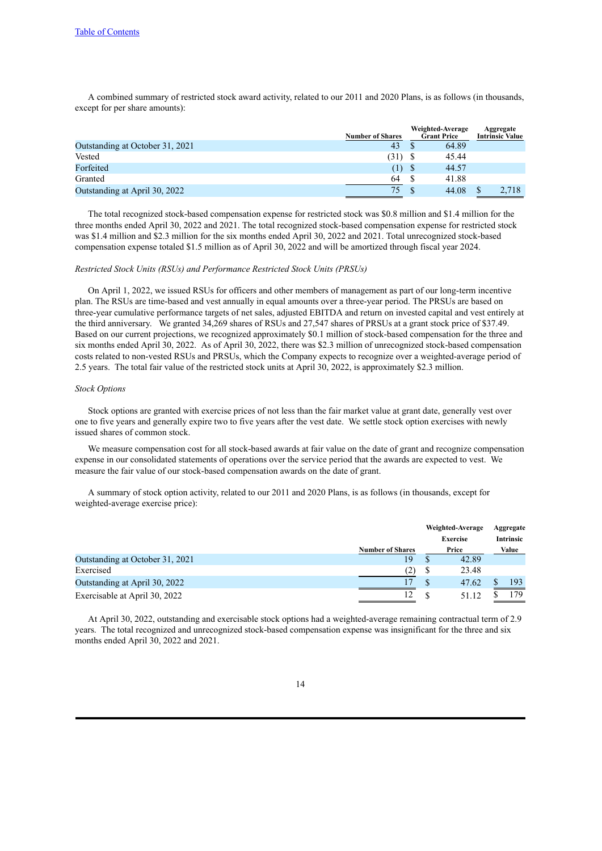A combined summary of restricted stock award activity, related to our 2011 and 2020 Plans, is as follows (in thousands, except for per share amounts):

|                                 | <b>Number of Shares</b> | Weighted-Average<br><b>Grant Price</b> | Aggregate<br><b>Intrinsic Value</b> |
|---------------------------------|-------------------------|----------------------------------------|-------------------------------------|
| Outstanding at October 31, 2021 | 43                      | 64.89                                  |                                     |
| Vested                          |                         | 45.44                                  |                                     |
| Forfeited                       | (1)                     | 44.57                                  |                                     |
| Granted                         | 64                      | 41.88                                  |                                     |
| Outstanding at April 30, 2022   | 75                      | \$<br>44.08                            | 2,718                               |

The total recognized stock-based compensation expense for restricted stock was \$0.8 million and \$1.4 million for the three months ended April 30, 2022 and 2021. The total recognized stock-based compensation expense for restricted stock was \$1.4 million and \$2.3 million for the six months ended April 30, 2022 and 2021. Total unrecognized stock-based compensation expense totaled \$1.5 million as of April 30, 2022 and will be amortized through fiscal year 2024.

#### *Restricted Stock Units (RSUs) and Performance Restricted Stock Units (PRSUs)*

On April 1, 2022, we issued RSUs for officers and other members of management as part of our long-term incentive plan. The RSUs are time-based and vest annually in equal amounts over a three-year period. The PRSUs are based on three-year cumulative performance targets of net sales, adjusted EBITDA and return on invested capital and vest entirely at the third anniversary. We granted 34,269 shares of RSUs and 27,547 shares of PRSUs at a grant stock price of \$37.49. Based on our current projections, we recognized approximately \$0.1 million of stock-based compensation for the three and six months ended April 30, 2022. As of April 30, 2022, there was \$2.3 million of unrecognized stock-based compensation costs related to non-vested RSUs and PRSUs, which the Company expects to recognize over a weighted-average period of 2.5 years. The total fair value of the restricted stock units at April 30, 2022, is approximately \$2.3 million.

#### *Stock Options*

Stock options are granted with exercise prices of not less than the fair market value at grant date, generally vest over one to five years and generally expire two to five years after the vest date. We settle stock option exercises with newly issued shares of common stock.

We measure compensation cost for all stock-based awards at fair value on the date of grant and recognize compensation expense in our consolidated statements of operations over the service period that the awards are expected to vest. We measure the fair value of our stock-based compensation awards on the date of grant.

A summary of stock option activity, related to our 2011 and 2020 Plans, is as follows (in thousands, except for weighted-average exercise price):

|                                 |                         |   | Weighted-Average<br><b>Exercise</b> | Aggregate<br><b>Intrinsic</b> |
|---------------------------------|-------------------------|---|-------------------------------------|-------------------------------|
|                                 | <b>Number of Shares</b> |   | Price                               | Value                         |
| Outstanding at October 31, 2021 | 19                      |   | 42.89                               |                               |
| Exercised                       | (2)                     | S | 23.48                               |                               |
| Outstanding at April 30, 2022   | 17                      |   | 47.62                               | 193                           |
| Exercisable at April 30, 2022   | 12                      |   | 51.12                               | 179                           |

At April 30, 2022, outstanding and exercisable stock options had a weighted-average remaining contractual term of 2.9 years. The total recognized and unrecognized stock-based compensation expense was insignificant for the three and six months ended April 30, 2022 and 2021.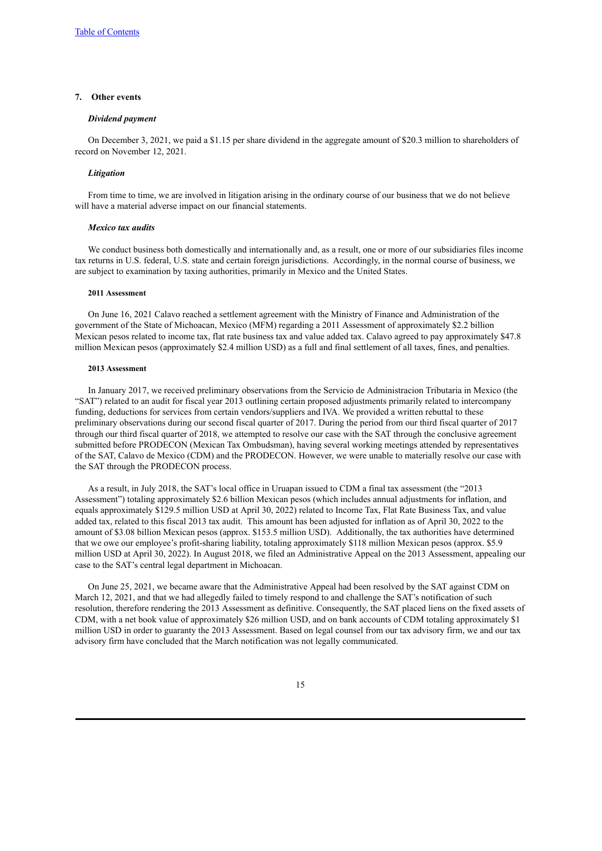# **7. Other events**

#### *Dividend payment*

On December 3, 2021, we paid a \$1.15 per share dividend in the aggregate amount of \$20.3 million to shareholders of record on November 12, 2021.

#### *Litigation*

From time to time, we are involved in litigation arising in the ordinary course of our business that we do not believe will have a material adverse impact on our financial statements.

#### *Mexico tax audits*

We conduct business both domestically and internationally and, as a result, one or more of our subsidiaries files income tax returns in U.S. federal, U.S. state and certain foreign jurisdictions. Accordingly, in the normal course of business, we are subject to examination by taxing authorities, primarily in Mexico and the United States.

#### **2011 Assessment**

On June 16, 2021 Calavo reached a settlement agreement with the Ministry of Finance and Administration of the government of the State of Michoacan, Mexico (MFM) regarding a 2011 Assessment of approximately \$2.2 billion Mexican pesos related to income tax, flat rate business tax and value added tax. Calavo agreed to pay approximately \$47.8 million Mexican pesos (approximately \$2.4 million USD) as a full and final settlement of all taxes, fines, and penalties.

#### **2013 Assessment**

In January 2017, we received preliminary observations from the Servicio de Administracion Tributaria in Mexico (the "SAT") related to an audit for fiscal year 2013 outlining certain proposed adjustments primarily related to intercompany funding, deductions for services from certain vendors/suppliers and IVA. We provided a written rebuttal to these preliminary observations during our second fiscal quarter of 2017. During the period from our third fiscal quarter of 2017 through our third fiscal quarter of 2018, we attempted to resolve our case with the SAT through the conclusive agreement submitted before PRODECON (Mexican Tax Ombudsman), having several working meetings attended by representatives of the SAT, Calavo de Mexico (CDM) and the PRODECON. However, we were unable to materially resolve our case with the SAT through the PRODECON process.

As a result, in July 2018, the SAT's local office in Uruapan issued to CDM a final tax assessment (the "2013 Assessment") totaling approximately \$2.6 billion Mexican pesos (which includes annual adjustments for inflation, and equals approximately \$129.5 million USD at April 30, 2022) related to Income Tax, Flat Rate Business Tax, and value added tax, related to this fiscal 2013 tax audit. This amount has been adjusted for inflation as of April 30, 2022 to the amount of \$3.08 billion Mexican pesos (approx. \$153.5 million USD). Additionally, the tax authorities have determined that we owe our employee's profit-sharing liability, totaling approximately \$118 million Mexican pesos (approx. \$5.9 million USD at April 30, 2022). In August 2018, we filed an Administrative Appeal on the 2013 Assessment, appealing our case to the SAT's central legal department in Michoacan.

On June 25, 2021, we became aware that the Administrative Appeal had been resolved by the SAT against CDM on March 12, 2021, and that we had allegedly failed to timely respond to and challenge the SAT's notification of such resolution, therefore rendering the 2013 Assessment as definitive. Consequently, the SAT placed liens on the fixed assets of CDM, with a net book value of approximately \$26 million USD, and on bank accounts of CDM totaling approximately \$1 million USD in order to guaranty the 2013 Assessment. Based on legal counsel from our tax advisory firm, we and our tax advisory firm have concluded that the March notification was not legally communicated.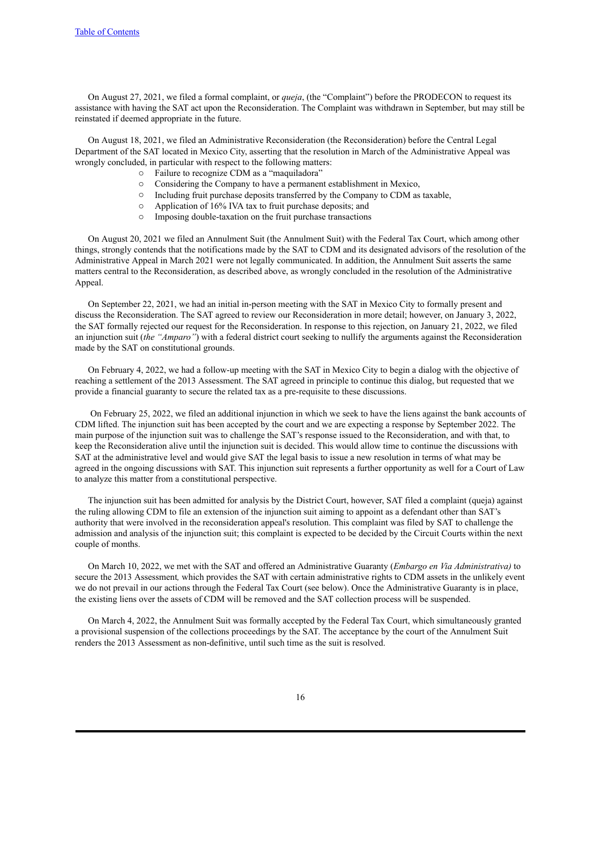On August 27, 2021, we filed a formal complaint, or *queja*, (the "Complaint") before the PRODECON to request its assistance with having the SAT act upon the Reconsideration. The Complaint was withdrawn in September, but may still be reinstated if deemed appropriate in the future.

On August 18, 2021, we filed an Administrative Reconsideration (the Reconsideration) before the Central Legal Department of the SAT located in Mexico City, asserting that the resolution in March of the Administrative Appeal was wrongly concluded, in particular with respect to the following matters:

- o Failure to recognize CDM as a "maquiladora"
- o Considering the Company to have a permanent establishment in Mexico,
- o Including fruit purchase deposits transferred by the Company to CDM as taxable,
- o Application of 16% IVA tax to fruit purchase deposits; and
- o Imposing double-taxation on the fruit purchase transactions

On August 20, 2021 we filed an Annulment Suit (the Annulment Suit) with the Federal Tax Court, which among other things, strongly contends that the notifications made by the SAT to CDM and its designated advisors of the resolution of the Administrative Appeal in March 2021 were not legally communicated. In addition, the Annulment Suit asserts the same matters central to the Reconsideration, as described above, as wrongly concluded in the resolution of the Administrative Appeal.

On September 22, 2021, we had an initial in-person meeting with the SAT in Mexico City to formally present and discuss the Reconsideration. The SAT agreed to review our Reconsideration in more detail; however, on January 3, 2022, the SAT formally rejected our request for the Reconsideration. In response to this rejection, on January 21, 2022, we filed an injunction suit (*the "Amparo"*) with a federal district court seeking to nullify the arguments against the Reconsideration made by the SAT on constitutional grounds.

On February 4, 2022, we had a follow-up meeting with the SAT in Mexico City to begin a dialog with the objective of reaching a settlement of the 2013 Assessment. The SAT agreed in principle to continue this dialog, but requested that we provide a financial guaranty to secure the related tax as a pre-requisite to these discussions.

On February 25, 2022, we filed an additional injunction in which we seek to have the liens against the bank accounts of CDM lifted. The injunction suit has been accepted by the court and we are expecting a response by September 2022. The main purpose of the injunction suit was to challenge the SAT's response issued to the Reconsideration, and with that, to keep the Reconsideration alive until the injunction suit is decided. This would allow time to continue the discussions with SAT at the administrative level and would give SAT the legal basis to issue a new resolution in terms of what may be agreed in the ongoing discussions with SAT. This injunction suit represents a further opportunity as well for a Court of Law to analyze this matter from a constitutional perspective.

The injunction suit has been admitted for analysis by the District Court, however, SAT filed a complaint (queja) against the ruling allowing CDM to file an extension of the injunction suit aiming to appoint as a defendant other than SAT's authority that were involved in the reconsideration appeal's resolution. This complaint was filed by SAT to challenge the admission and analysis of the injunction suit; this complaint is expected to be decided by the Circuit Courts within the next couple of months.

On March 10, 2022, we met with the SAT and offered an Administrative Guaranty (*Embargo en Via Administrativa)* to secure the 2013 Assessment*,* which provides the SAT with certain administrative rights to CDM assets in the unlikely event we do not prevail in our actions through the Federal Tax Court (see below). Once the Administrative Guaranty is in place, the existing liens over the assets of CDM will be removed and the SAT collection process will be suspended.

On March 4, 2022, the Annulment Suit was formally accepted by the Federal Tax Court, which simultaneously granted a provisional suspension of the collections proceedings by the SAT. The acceptance by the court of the Annulment Suit renders the 2013 Assessment as non-definitive, until such time as the suit is resolved.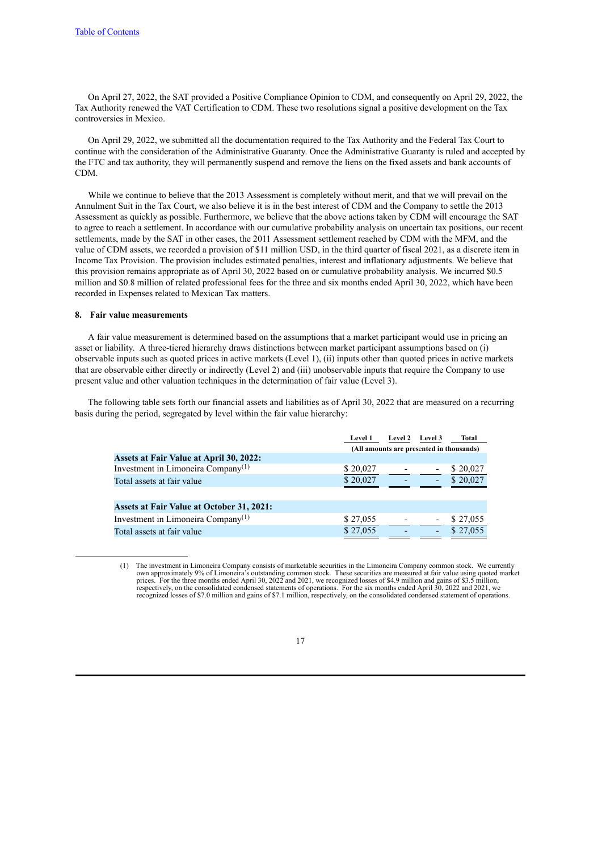On April 27, 2022, the SAT provided a Positive Compliance Opinion to CDM, and consequently on April 29, 2022, the Tax Authority renewed the VAT Certification to CDM. These two resolutions signal a positive development on the Tax controversies in Mexico.

On April 29, 2022, we submitted all the documentation required to the Tax Authority and the Federal Tax Court to continue with the consideration of the Administrative Guaranty. Once the Administrative Guaranty is ruled and accepted by the FTC and tax authority, they will permanently suspend and remove the liens on the fixed assets and bank accounts of CDM.

While we continue to believe that the 2013 Assessment is completely without merit, and that we will prevail on the Annulment Suit in the Tax Court, we also believe it is in the best interest of CDM and the Company to settle the 2013 Assessment as quickly as possible. Furthermore, we believe that the above actions taken by CDM will encourage the SAT to agree to reach a settlement. In accordance with our cumulative probability analysis on uncertain tax positions, our recent settlements, made by the SAT in other cases, the 2011 Assessment settlement reached by CDM with the MFM, and the value of CDM assets, we recorded a provision of \$11 million USD, in the third quarter of fiscal 2021, as a discrete item in Income Tax Provision. The provision includes estimated penalties, interest and inflationary adjustments. We believe that this provision remains appropriate as of April 30, 2022 based on or cumulative probability analysis. We incurred \$0.5 million and \$0.8 million of related professional fees for the three and six months ended April 30, 2022, which have been recorded in Expenses related to Mexican Tax matters.

#### **8. Fair value measurements**

A fair value measurement is determined based on the assumptions that a market participant would use in pricing an asset or liability. A three-tiered hierarchy draws distinctions between market participant assumptions based on (i) observable inputs such as quoted prices in active markets (Level 1), (ii) inputs other than quoted prices in active markets that are observable either directly or indirectly (Level 2) and (iii) unobservable inputs that require the Company to use present value and other valuation techniques in the determination of fair value (Level 3).

The following table sets forth our financial assets and liabilities as of April 30, 2022 that are measured on a recurring basis during the period, segregated by level within the fair value hierarchy:

|                                                  | <b>Level 1</b> | <b>Level 2</b> | Level 3                  | Total                                    |
|--------------------------------------------------|----------------|----------------|--------------------------|------------------------------------------|
|                                                  |                |                |                          | (All amounts are presented in thousands) |
| <b>Assets at Fair Value at April 30, 2022:</b>   |                |                |                          |                                          |
| Investment in Limoneira Company <sup>(1)</sup>   | \$20,027       | -              |                          | \$20,027                                 |
| Total assets at fair value                       | \$20,027       |                | $\overline{\phantom{a}}$ | \$20,027                                 |
|                                                  |                |                |                          |                                          |
| <b>Assets at Fair Value at October 31, 2021:</b> |                |                |                          |                                          |
| Investment in Limoneira Company $(1)$            | \$27,055       |                |                          | \$27,055                                 |
| Total assets at fair value                       | \$27,055       |                | $\overline{\phantom{a}}$ | \$27,055                                 |

(1) The investment in Limoneira Company consists of marketable securities in the Limoneira Company common stock. We currently own approximately 9% of Limoneira's outstanding common stock. These securities are measured at fair value using quoted market prices. For the three months ended April 30, 2022 and 2021, we recognized losses of \$4.9 million and gains of \$3.5 million,<br>respectively, on the consolidated condensed statements of operations. For the six months ended Apr recognized losses of \$7.0 million and gains of \$7.1 million, respectively, on the consolidated condensed statement of operations.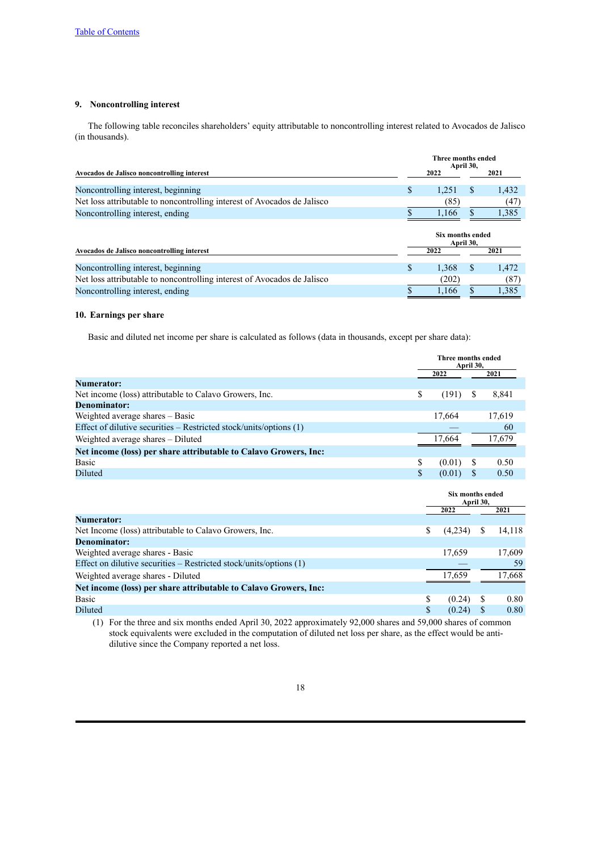# **9. Noncontrolling interest**

The following table reconciles shareholders' equity attributable to noncontrolling interest related to Avocados de Jalisco (in thousands).

|                                                                         | Three months ended<br>April 30, |                               |    |       |  |  |  |
|-------------------------------------------------------------------------|---------------------------------|-------------------------------|----|-------|--|--|--|
| Avocados de Jalisco noncontrolling interest                             |                                 | 2022                          |    | 2021  |  |  |  |
| Noncontrolling interest, beginning                                      | S                               | 1.251                         | S  | 1,432 |  |  |  |
| Net loss attributable to noncontrolling interest of Avocados de Jalisco |                                 | (85)                          |    | (47)  |  |  |  |
| Noncontrolling interest, ending                                         |                                 | 1.166                         | \$ | 1,385 |  |  |  |
|                                                                         |                                 | Six months ended<br>April 30, |    |       |  |  |  |
| Avocados de Jalisco noncontrolling interest                             |                                 | 2022                          |    | 2021  |  |  |  |
| Noncontrolling interest, beginning                                      | \$                              | 1.368                         | S  | 1,472 |  |  |  |
| Net loss attributable to noncontrolling interest of Avocados de Jalisco |                                 | (202)                         |    | (87)  |  |  |  |
| Noncontrolling interest, ending                                         |                                 | 1,166                         | \$ | 1,385 |  |  |  |

# **10. Earnings per share**

Basic and diluted net income per share is calculated as follows (data in thousands, except per share data):

|                                                                      | <b>Three months ended</b><br>April 30, |                               |               |             |
|----------------------------------------------------------------------|----------------------------------------|-------------------------------|---------------|-------------|
|                                                                      |                                        | 2022                          |               | 2021        |
| Numerator:                                                           |                                        |                               |               |             |
| Net income (loss) attributable to Calavo Growers, Inc.               | \$                                     | (191)                         | \$            | 8,841       |
| <b>Denominator:</b>                                                  |                                        |                               |               |             |
| Weighted average shares - Basic                                      |                                        | 17,664                        |               | 17,619      |
| Effect of dilutive securities – Restricted stock/units/options $(1)$ |                                        |                               |               | 60          |
| Weighted average shares – Diluted                                    |                                        | 17,664                        |               | 17,679      |
| Net income (loss) per share attributable to Calavo Growers, Inc:     |                                        |                               |               |             |
| Basic                                                                | \$                                     | (0.01)                        | <sup>\$</sup> | 0.50        |
| Diluted                                                              | \$                                     | (0.01)                        | <sup>\$</sup> | 0.50        |
|                                                                      |                                        | Six months ended<br>April 30, |               |             |
| <b>Numerator:</b>                                                    |                                        | 2022                          |               | 2021        |
| Net Income (loss) attributable to Calavo Growers, Inc.               |                                        | \$<br>(4,234)                 |               | S<br>14,118 |
| Denominator:                                                         |                                        |                               |               |             |
| Weighted average shares - Basic                                      |                                        | 17,659                        |               | 17,609      |
| Effect on dilutive securities – Restricted stock/units/options $(1)$ |                                        |                               |               | 59          |
| Weighted average shares - Diluted                                    |                                        | 17,659                        |               | 17,668      |
| Net income (loss) per share attributable to Calavo Growers, Inc:     |                                        |                               |               |             |
| Basic                                                                |                                        | \$<br>(0.24)                  |               | S<br>0.80   |
| Diluted                                                              |                                        | \$<br>(0.24)                  |               | S<br>0.80   |

(1) For the three and six months ended April 30, 2022 approximately 92,000 shares and 59,000 shares of common stock equivalents were excluded in the computation of diluted net loss per share, as the effect would be antidilutive since the Company reported a net loss.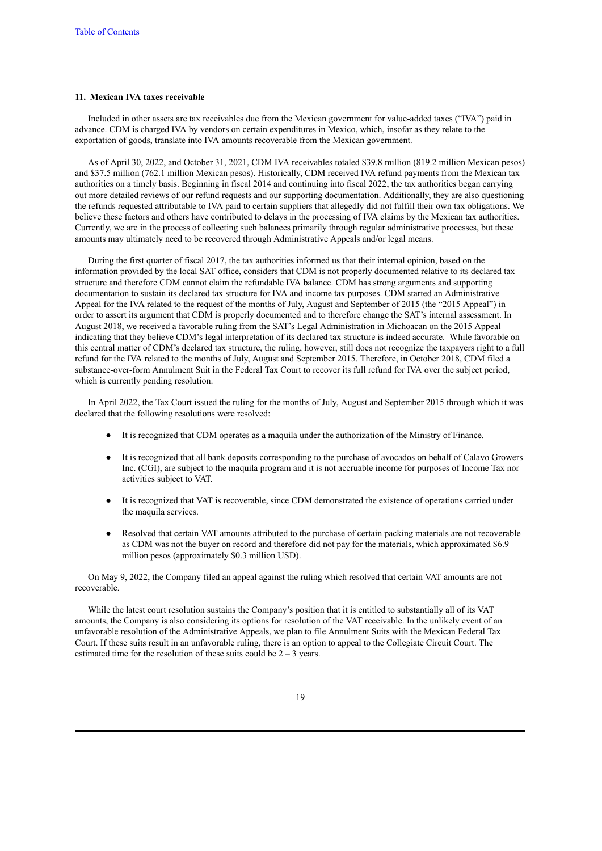## **11. Mexican IVA taxes receivable**

Included in other assets are tax receivables due from the Mexican government for value-added taxes ("IVA") paid in advance. CDM is charged IVA by vendors on certain expenditures in Mexico, which, insofar as they relate to the exportation of goods, translate into IVA amounts recoverable from the Mexican government.

As of April 30, 2022, and October 31, 2021, CDM IVA receivables totaled \$39.8 million (819.2 million Mexican pesos) and \$37.5 million (762.1 million Mexican pesos). Historically, CDM received IVA refund payments from the Mexican tax authorities on a timely basis. Beginning in fiscal 2014 and continuing into fiscal 2022, the tax authorities began carrying out more detailed reviews of our refund requests and our supporting documentation. Additionally, they are also questioning the refunds requested attributable to IVA paid to certain suppliers that allegedly did not fulfill their own tax obligations. We believe these factors and others have contributed to delays in the processing of IVA claims by the Mexican tax authorities. Currently, we are in the process of collecting such balances primarily through regular administrative processes, but these amounts may ultimately need to be recovered through Administrative Appeals and/or legal means.

During the first quarter of fiscal 2017, the tax authorities informed us that their internal opinion, based on the information provided by the local SAT office, considers that CDM is not properly documented relative to its declared tax structure and therefore CDM cannot claim the refundable IVA balance. CDM has strong arguments and supporting documentation to sustain its declared tax structure for IVA and income tax purposes. CDM started an Administrative Appeal for the IVA related to the request of the months of July, August and September of 2015 (the "2015 Appeal") in order to assert its argument that CDM is properly documented and to therefore change the SAT's internal assessment. In August 2018, we received a favorable ruling from the SAT's Legal Administration in Michoacan on the 2015 Appeal indicating that they believe CDM's legal interpretation of its declared tax structure is indeed accurate. While favorable on this central matter of CDM's declared tax structure, the ruling, however, still does not recognize the taxpayers right to a full refund for the IVA related to the months of July, August and September 2015. Therefore, in October 2018, CDM filed a substance-over-form Annulment Suit in the Federal Tax Court to recover its full refund for IVA over the subject period, which is currently pending resolution.

In April 2022, the Tax Court issued the ruling for the months of July, August and September 2015 through which it was declared that the following resolutions were resolved:

- It is recognized that CDM operates as a maquila under the authorization of the Ministry of Finance.
- It is recognized that all bank deposits corresponding to the purchase of avocados on behalf of Calavo Growers Inc. (CGI), are subject to the maquila program and it is not accruable income for purposes of Income Tax nor activities subject to VAT.
- It is recognized that VAT is recoverable, since CDM demonstrated the existence of operations carried under the maquila services.
- Resolved that certain VAT amounts attributed to the purchase of certain packing materials are not recoverable as CDM was not the buyer on record and therefore did not pay for the materials, which approximated \$6.9 million pesos (approximately \$0.3 million USD).

On May 9, 2022, the Company filed an appeal against the ruling which resolved that certain VAT amounts are not recoverable.

While the latest court resolution sustains the Company's position that it is entitled to substantially all of its VAT amounts, the Company is also considering its options for resolution of the VAT receivable. In the unlikely event of an unfavorable resolution of the Administrative Appeals, we plan to file Annulment Suits with the Mexican Federal Tax Court. If these suits result in an unfavorable ruling, there is an option to appeal to the Collegiate Circuit Court. The estimated time for the resolution of these suits could be  $2 - 3$  years.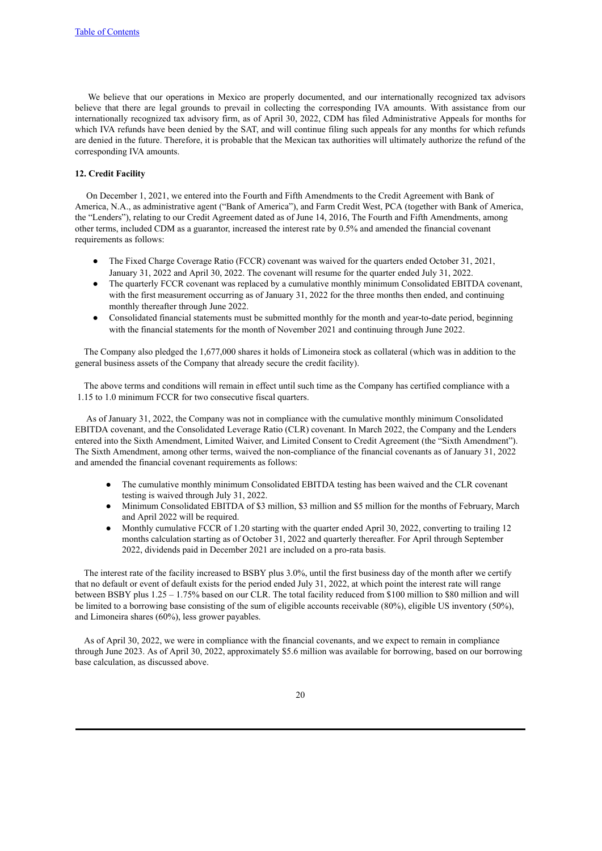We believe that our operations in Mexico are properly documented, and our internationally recognized tax advisors believe that there are legal grounds to prevail in collecting the corresponding IVA amounts. With assistance from our internationally recognized tax advisory firm, as of April 30, 2022, CDM has filed Administrative Appeals for months for which IVA refunds have been denied by the SAT, and will continue filing such appeals for any months for which refunds are denied in the future. Therefore, it is probable that the Mexican tax authorities will ultimately authorize the refund of the corresponding IVA amounts.

# **12. Credit Facility**

On December 1, 2021, we entered into the Fourth and Fifth Amendments to the Credit Agreement with Bank of America, N.A., as administrative agent ("Bank of America"), and Farm Credit West, PCA (together with Bank of America, the "Lenders"), relating to our Credit Agreement dated as of June 14, 2016, The Fourth and Fifth Amendments, among other terms, included CDM as a guarantor, increased the interest rate by 0.5% and amended the financial covenant requirements as follows:

- The Fixed Charge Coverage Ratio (FCCR) covenant was waived for the quarters ended October 31, 2021, January 31, 2022 and April 30, 2022. The covenant will resume for the quarter ended July 31, 2022.
- The quarterly FCCR covenant was replaced by a cumulative monthly minimum Consolidated EBITDA covenant, with the first measurement occurring as of January 31, 2022 for the three months then ended, and continuing monthly thereafter through June 2022.
- Consolidated financial statements must be submitted monthly for the month and year-to-date period, beginning with the financial statements for the month of November 2021 and continuing through June 2022.

The Company also pledged the 1,677,000 shares it holds of Limoneira stock as collateral (which was in addition to the general business assets of the Company that already secure the credit facility).

The above terms and conditions will remain in effect until such time as the Company has certified compliance with a 1.15 to 1.0 minimum FCCR for two consecutive fiscal quarters.

As of January 31, 2022, the Company was not in compliance with the cumulative monthly minimum Consolidated EBITDA covenant, and the Consolidated Leverage Ratio (CLR) covenant. In March 2022, the Company and the Lenders entered into the Sixth Amendment, Limited Waiver, and Limited Consent to Credit Agreement (the "Sixth Amendment"). The Sixth Amendment, among other terms, waived the non-compliance of the financial covenants as of January 31, 2022 and amended the financial covenant requirements as follows:

- The cumulative monthly minimum Consolidated EBITDA testing has been waived and the CLR covenant testing is waived through July 31, 2022.
- Minimum Consolidated EBITDA of \$3 million, \$3 million and \$5 million for the months of February, March and April 2022 will be required.
- Monthly cumulative FCCR of 1.20 starting with the quarter ended April 30, 2022, converting to trailing 12 months calculation starting as of October 31, 2022 and quarterly thereafter. For April through September 2022, dividends paid in December 2021 are included on a pro-rata basis.

The interest rate of the facility increased to BSBY plus 3.0%, until the first business day of the month after we certify that no default or event of default exists for the period ended July 31, 2022, at which point the interest rate will range between BSBY plus 1.25 – 1.75% based on our CLR. The total facility reduced from \$100 million to \$80 million and will be limited to a borrowing base consisting of the sum of eligible accounts receivable (80%), eligible US inventory (50%), and Limoneira shares (60%), less grower payables.

As of April 30, 2022, we were in compliance with the financial covenants, and we expect to remain in compliance through June 2023. As of April 30, 2022, approximately \$5.6 million was available for borrowing, based on our borrowing base calculation, as discussed above.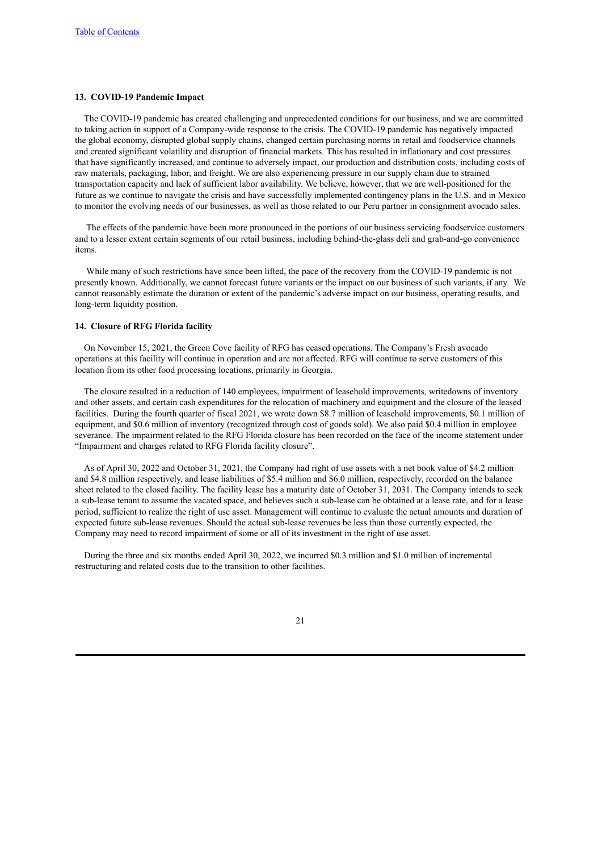# **13. COVID-19 Pandemic Impact**

The COVID-19 pandemic has created challenging and unprecedented conditions for our business, and we are committed to taking action in support of a Company-wide response to the crisis. The COVID-19 pandemic has negatively impacted the global economy, disrupted global supply chains, changed certain purchasing norms in retail and foodservice channels and created significant volatility and disruption of financial markets. This has resulted in inflationary and cost pressures that have significantly increased, and continue to adversely impact, our production and distribution costs, including costs of raw materials, packaging, labor, and freight. We are also experiencing pressure in our supply chain due to strained transportation capacity and lack of sufficient labor availability. We believe, however, that we are well-positioned for the future as we continue to navigate the crisis and have successfully implemented contingency plans in the U.S. and in Mexico to monitor the evolving needs of our businesses, as well as those related to our Peru partner in consignment avocado sales.

The effects of the pandemic have been more pronounced in the portions of our business servicing foodservice customers and to a lesser extent certain segments of our retail business, including behind-the-glass deli and grab-and-go convenience items.

While many of such restrictions have since been lifted, the pace of the recovery from the COVID-19 pandemic is not presently known. Additionally, we cannot forecast future variants or the impact on our business of such variants, if any. We cannot reasonably estimate the duration or extent of the pandemic's adverse impact on our business, operating results, and long-term liquidity position.

# **14. Closure of RFG Florida facility**

On November 15, 2021, the Green Cove facility of RFG has ceased operations. The Company's Fresh avocado operations at this facility will continue in operation and are not affected. RFG will continue to serve customers of this location from its other food processing locations, primarily in Georgia.

The closure resulted in a reduction of 140 employees, impairment of leasehold improvements, writedowns of inventory and other assets, and certain cash expenditures for the relocation of machinery and equipment and the closure of the leased facilities. During the fourth quarter of fiscal 2021, we wrote down \$8.7 million of leasehold improvements, \$0.1 million of equipment, and \$0.6 million of inventory (recognized through cost of goods sold). We also paid \$0.4 million in employee severance. The impairment related to the RFG Florida closure has been recorded on the face of the income statement under "Impairment and charges related to RFG Florida facility closure".

As of April 30, 2022 and October 31, 2021, the Company had right of use assets with a net book value of \$4.2 million and \$4.8 million respectively, and lease liabilities of \$5.4 million and \$6.0 million, respectively, recorded on the balance sheet related to the closed facility. The facility lease has a maturity date of October 31, 2031. The Company intends to seek a sub-lease tenant to assume the vacated space, and believes such a sub-lease can be obtained at a lease rate, and for a lease period, sufficient to realize the right of use asset. Management will continue to evaluate the actual amounts and duration of expected future sub-lease revenues. Should the actual sub-lease revenues be less than those currently expected, the Company may need to record impairment of some or all of its investment in the right of use asset.

During the three and six months ended April 30, 2022, we incurred \$0.3 million and \$1.0 million of incremental restructuring and related costs due to the transition to other facilities.

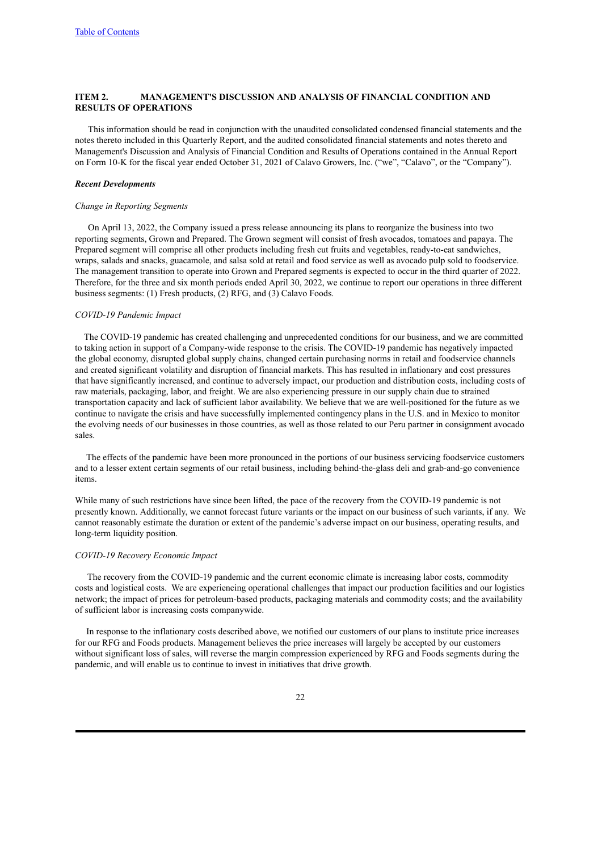# <span id="page-21-0"></span>**ITEM 2. MANAGEMENT'S DISCUSSION AND ANALYSIS OF FINANCIAL CONDITION AND RESULTS OF OPERATIONS**

This information should be read in conjunction with the unaudited consolidated condensed financial statements and the notes thereto included in this Quarterly Report, and the audited consolidated financial statements and notes thereto and Management's Discussion and Analysis of Financial Condition and Results of Operations contained in the Annual Report on Form 10-K for the fiscal year ended October 31, 2021 of Calavo Growers, Inc. ("we", "Calavo", or the "Company").

#### *Recent Developments*

#### *Change in Reporting Segments*

On April 13, 2022, the Company issued a press release announcing its plans to reorganize the business into two reporting segments, Grown and Prepared. The Grown segment will consist of fresh avocados, tomatoes and papaya. The Prepared segment will comprise all other products including fresh cut fruits and vegetables, ready-to-eat sandwiches, wraps, salads and snacks, guacamole, and salsa sold at retail and food service as well as avocado pulp sold to foodservice. The management transition to operate into Grown and Prepared segments is expected to occur in the third quarter of 2022. Therefore, for the three and six month periods ended April 30, 2022, we continue to report our operations in three different business segments: (1) Fresh products, (2) RFG, and (3) Calavo Foods.

#### *COVID-19 Pandemic Impact*

The COVID-19 pandemic has created challenging and unprecedented conditions for our business, and we are committed to taking action in support of a Company-wide response to the crisis. The COVID-19 pandemic has negatively impacted the global economy, disrupted global supply chains, changed certain purchasing norms in retail and foodservice channels and created significant volatility and disruption of financial markets. This has resulted in inflationary and cost pressures that have significantly increased, and continue to adversely impact, our production and distribution costs, including costs of raw materials, packaging, labor, and freight. We are also experiencing pressure in our supply chain due to strained transportation capacity and lack of sufficient labor availability. We believe that we are well-positioned for the future as we continue to navigate the crisis and have successfully implemented contingency plans in the U.S. and in Mexico to monitor the evolving needs of our businesses in those countries, as well as those related to our Peru partner in consignment avocado sales.

The effects of the pandemic have been more pronounced in the portions of our business servicing foodservice customers and to a lesser extent certain segments of our retail business, including behind-the-glass deli and grab-and-go convenience items.

While many of such restrictions have since been lifted, the pace of the recovery from the COVID-19 pandemic is not presently known. Additionally, we cannot forecast future variants or the impact on our business of such variants, if any. We cannot reasonably estimate the duration or extent of the pandemic's adverse impact on our business, operating results, and long-term liquidity position.

#### *COVID-19 Recovery Economic Impact*

The recovery from the COVID-19 pandemic and the current economic climate is increasing labor costs, commodity costs and logistical costs. We are experiencing operational challenges that impact our production facilities and our logistics network; the impact of prices for petroleum-based products, packaging materials and commodity costs; and the availability of sufficient labor is increasing costs companywide.

In response to the inflationary costs described above, we notified our customers of our plans to institute price increases for our RFG and Foods products. Management believes the price increases will largely be accepted by our customers without significant loss of sales, will reverse the margin compression experienced by RFG and Foods segments during the pandemic, and will enable us to continue to invest in initiatives that drive growth.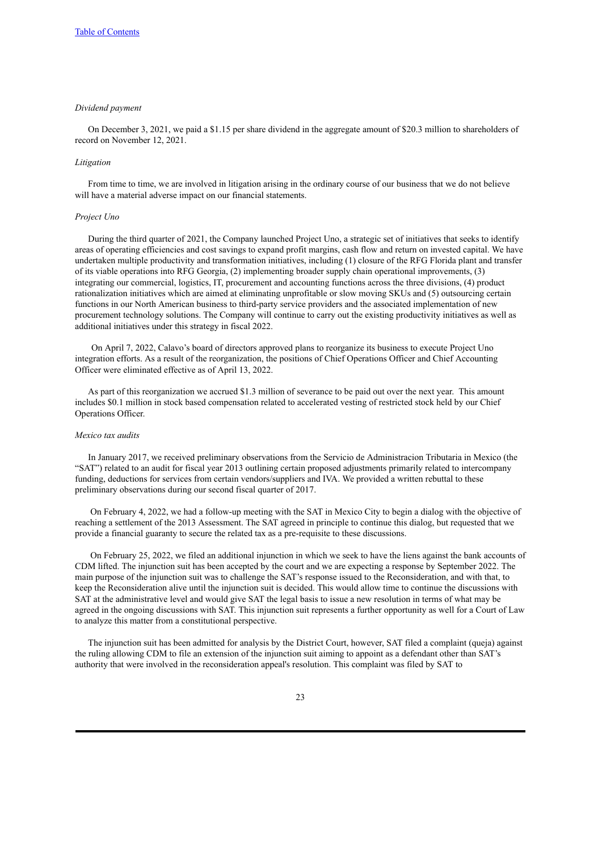# *Dividend payment*

On December 3, 2021, we paid a \$1.15 per share dividend in the aggregate amount of \$20.3 million to shareholders of record on November 12, 2021.

#### *Litigation*

From time to time, we are involved in litigation arising in the ordinary course of our business that we do not believe will have a material adverse impact on our financial statements.

#### *Project Uno*

During the third quarter of 2021, the Company launched Project Uno, a strategic set of initiatives that seeks to identify areas of operating efficiencies and cost savings to expand profit margins, cash flow and return on invested capital. We have undertaken multiple productivity and transformation initiatives, including (1) closure of the RFG Florida plant and transfer of its viable operations into RFG Georgia, (2) implementing broader supply chain operational improvements, (3) integrating our commercial, logistics, IT, procurement and accounting functions across the three divisions, (4) product rationalization initiatives which are aimed at eliminating unprofitable or slow moving SKUs and (5) outsourcing certain functions in our North American business to third-party service providers and the associated implementation of new procurement technology solutions. The Company will continue to carry out the existing productivity initiatives as well as additional initiatives under this strategy in fiscal 2022.

On April 7, 2022, Calavo's board of directors approved plans to reorganize its business to execute Project Uno integration efforts. As a result of the reorganization, the positions of Chief Operations Officer and Chief Accounting Officer were eliminated effective as of April 13, 2022.

As part of this reorganization we accrued \$1.3 million of severance to be paid out over the next year. This amount includes \$0.1 million in stock based compensation related to accelerated vesting of restricted stock held by our Chief Operations Officer.

#### *Mexico tax audits*

In January 2017, we received preliminary observations from the Servicio de Administracion Tributaria in Mexico (the "SAT") related to an audit for fiscal year 2013 outlining certain proposed adjustments primarily related to intercompany funding, deductions for services from certain vendors/suppliers and IVA. We provided a written rebuttal to these preliminary observations during our second fiscal quarter of 2017.

On February 4, 2022, we had a follow-up meeting with the SAT in Mexico City to begin a dialog with the objective of reaching a settlement of the 2013 Assessment. The SAT agreed in principle to continue this dialog, but requested that we provide a financial guaranty to secure the related tax as a pre-requisite to these discussions.

On February 25, 2022, we filed an additional injunction in which we seek to have the liens against the bank accounts of CDM lifted. The injunction suit has been accepted by the court and we are expecting a response by September 2022. The main purpose of the injunction suit was to challenge the SAT's response issued to the Reconsideration, and with that, to keep the Reconsideration alive until the injunction suit is decided. This would allow time to continue the discussions with SAT at the administrative level and would give SAT the legal basis to issue a new resolution in terms of what may be agreed in the ongoing discussions with SAT. This injunction suit represents a further opportunity as well for a Court of Law to analyze this matter from a constitutional perspective.

The injunction suit has been admitted for analysis by the District Court, however, SAT filed a complaint (queja) against the ruling allowing CDM to file an extension of the injunction suit aiming to appoint as a defendant other than SAT's authority that were involved in the reconsideration appeal's resolution. This complaint was filed by SAT to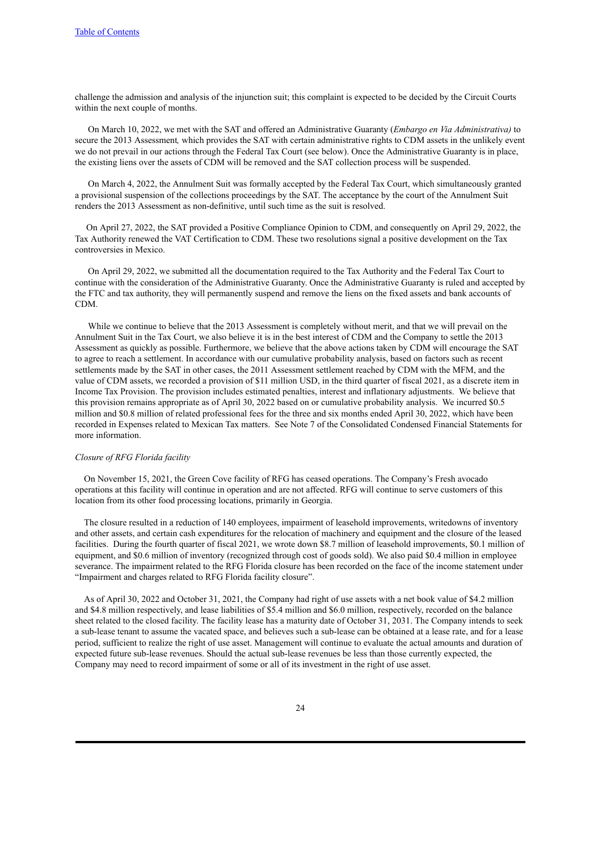challenge the admission and analysis of the injunction suit; this complaint is expected to be decided by the Circuit Courts within the next couple of months.

On March 10, 2022, we met with the SAT and offered an Administrative Guaranty (*Embargo en Via Administrativa)* to secure the 2013 Assessment*,* which provides the SAT with certain administrative rights to CDM assets in the unlikely event we do not prevail in our actions through the Federal Tax Court (see below). Once the Administrative Guaranty is in place, the existing liens over the assets of CDM will be removed and the SAT collection process will be suspended.

On March 4, 2022, the Annulment Suit was formally accepted by the Federal Tax Court, which simultaneously granted a provisional suspension of the collections proceedings by the SAT. The acceptance by the court of the Annulment Suit renders the 2013 Assessment as non-definitive, until such time as the suit is resolved.

On April 27, 2022, the SAT provided a Positive Compliance Opinion to CDM, and consequently on April 29, 2022, the Tax Authority renewed the VAT Certification to CDM. These two resolutions signal a positive development on the Tax controversies in Mexico.

On April 29, 2022, we submitted all the documentation required to the Tax Authority and the Federal Tax Court to continue with the consideration of the Administrative Guaranty. Once the Administrative Guaranty is ruled and accepted by the FTC and tax authority, they will permanently suspend and remove the liens on the fixed assets and bank accounts of CDM.

While we continue to believe that the 2013 Assessment is completely without merit, and that we will prevail on the Annulment Suit in the Tax Court, we also believe it is in the best interest of CDM and the Company to settle the 2013 Assessment as quickly as possible. Furthermore, we believe that the above actions taken by CDM will encourage the SAT to agree to reach a settlement. In accordance with our cumulative probability analysis, based on factors such as recent settlements made by the SAT in other cases, the 2011 Assessment settlement reached by CDM with the MFM, and the value of CDM assets, we recorded a provision of \$11 million USD, in the third quarter of fiscal 2021, as a discrete item in Income Tax Provision. The provision includes estimated penalties, interest and inflationary adjustments. We believe that this provision remains appropriate as of April 30, 2022 based on or cumulative probability analysis. We incurred \$0.5 million and \$0.8 million of related professional fees for the three and six months ended April 30, 2022, which have been recorded in Expenses related to Mexican Tax matters. See Note 7 of the Consolidated Condensed Financial Statements for more information.

#### *Closure of RFG Florida facility*

On November 15, 2021, the Green Cove facility of RFG has ceased operations. The Company's Fresh avocado operations at this facility will continue in operation and are not affected. RFG will continue to serve customers of this location from its other food processing locations, primarily in Georgia.

The closure resulted in a reduction of 140 employees, impairment of leasehold improvements, writedowns of inventory and other assets, and certain cash expenditures for the relocation of machinery and equipment and the closure of the leased facilities. During the fourth quarter of fiscal 2021, we wrote down \$8.7 million of leasehold improvements, \$0.1 million of equipment, and \$0.6 million of inventory (recognized through cost of goods sold). We also paid \$0.4 million in employee severance. The impairment related to the RFG Florida closure has been recorded on the face of the income statement under "Impairment and charges related to RFG Florida facility closure".

As of April 30, 2022 and October 31, 2021, the Company had right of use assets with a net book value of \$4.2 million and \$4.8 million respectively, and lease liabilities of \$5.4 million and \$6.0 million, respectively, recorded on the balance sheet related to the closed facility. The facility lease has a maturity date of October 31, 2031. The Company intends to seek a sub-lease tenant to assume the vacated space, and believes such a sub-lease can be obtained at a lease rate, and for a lease period, sufficient to realize the right of use asset. Management will continue to evaluate the actual amounts and duration of expected future sub-lease revenues. Should the actual sub-lease revenues be less than those currently expected, the Company may need to record impairment of some or all of its investment in the right of use asset.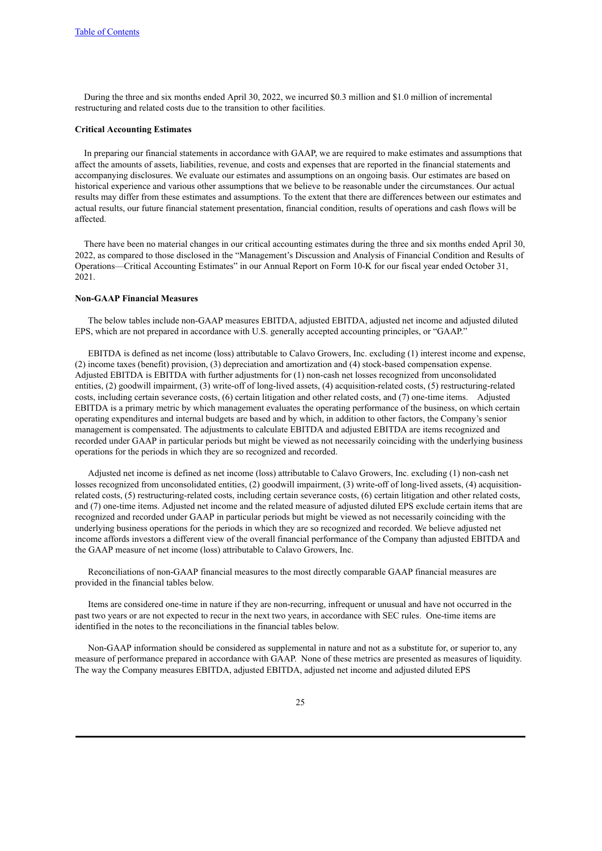During the three and six months ended April 30, 2022, we incurred \$0.3 million and \$1.0 million of incremental restructuring and related costs due to the transition to other facilities.

#### **Critical Accounting Estimates**

In preparing our financial statements in accordance with GAAP, we are required to make estimates and assumptions that affect the amounts of assets, liabilities, revenue, and costs and expenses that are reported in the financial statements and accompanying disclosures. We evaluate our estimates and assumptions on an ongoing basis. Our estimates are based on historical experience and various other assumptions that we believe to be reasonable under the circumstances. Our actual results may differ from these estimates and assumptions. To the extent that there are differences between our estimates and actual results, our future financial statement presentation, financial condition, results of operations and cash flows will be affected.

There have been no material changes in our critical accounting estimates during the three and six months ended April 30, 2022, as compared to those disclosed in the "Management's Discussion and Analysis of Financial Condition and Results of Operations—Critical Accounting Estimates" in our Annual Report on Form 10-K for our fiscal year ended October 31, 2021.

### **Non-GAAP Financial Measures**

The below tables include non-GAAP measures EBITDA, adjusted EBITDA, adjusted net income and adjusted diluted EPS, which are not prepared in accordance with U.S. generally accepted accounting principles, or "GAAP."

EBITDA is defined as net income (loss) attributable to Calavo Growers, Inc. excluding (1) interest income and expense, (2) income taxes (benefit) provision, (3) depreciation and amortization and (4) stock-based compensation expense. Adjusted EBITDA is EBITDA with further adjustments for (1) non-cash net losses recognized from unconsolidated entities, (2) goodwill impairment, (3) write-off of long-lived assets, (4) acquisition-related costs, (5) restructuring-related costs, including certain severance costs, (6) certain litigation and other related costs, and (7) one-time items. Adjusted EBITDA is a primary metric by which management evaluates the operating performance of the business, on which certain operating expenditures and internal budgets are based and by which, in addition to other factors, the Company's senior management is compensated. The adjustments to calculate EBITDA and adjusted EBITDA are items recognized and recorded under GAAP in particular periods but might be viewed as not necessarily coinciding with the underlying business operations for the periods in which they are so recognized and recorded.

Adjusted net income is defined as net income (loss) attributable to Calavo Growers, Inc. excluding (1) non-cash net losses recognized from unconsolidated entities, (2) goodwill impairment, (3) write-off of long-lived assets, (4) acquisitionrelated costs, (5) restructuring-related costs, including certain severance costs, (6) certain litigation and other related costs, and (7) one-time items. Adjusted net income and the related measure of adjusted diluted EPS exclude certain items that are recognized and recorded under GAAP in particular periods but might be viewed as not necessarily coinciding with the underlying business operations for the periods in which they are so recognized and recorded. We believe adjusted net income affords investors a different view of the overall financial performance of the Company than adjusted EBITDA and the GAAP measure of net income (loss) attributable to Calavo Growers, Inc.

Reconciliations of non-GAAP financial measures to the most directly comparable GAAP financial measures are provided in the financial tables below.

Items are considered one-time in nature if they are non-recurring, infrequent or unusual and have not occurred in the past two years or are not expected to recur in the next two years, in accordance with SEC rules. One-time items are identified in the notes to the reconciliations in the financial tables below.

Non-GAAP information should be considered as supplemental in nature and not as a substitute for, or superior to, any measure of performance prepared in accordance with GAAP. None of these metrics are presented as measures of liquidity. The way the Company measures EBITDA, adjusted EBITDA, adjusted net income and adjusted diluted EPS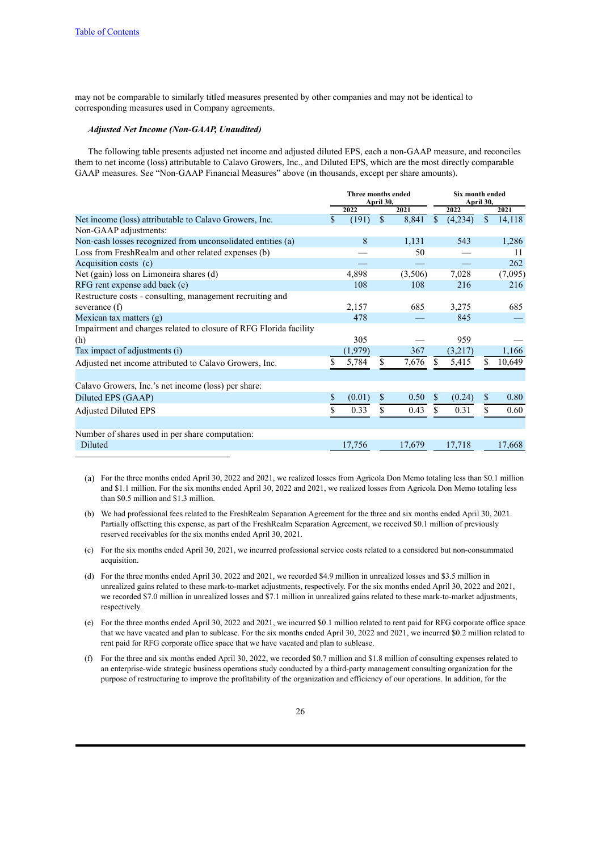may not be comparable to similarly titled measures presented by other companies and may not be identical to corresponding measures used in Company agreements.

#### *Adjusted Net Income (Non-GAAP, Unaudited)*

The following table presents adjusted net income and adjusted diluted EPS, each a non-GAAP measure, and reconciles them to net income (loss) attributable to Calavo Growers, Inc., and Diluted EPS, which are the most directly comparable GAAP measures. See "Non-GAAP Financial Measures" above (in thousands, except per share amounts).

|                                                                   | Three months ended<br>April 30, |         |             |         | Six month ended<br>April 30, |         |              |         |
|-------------------------------------------------------------------|---------------------------------|---------|-------------|---------|------------------------------|---------|--------------|---------|
|                                                                   | 2022                            |         |             | 2021    |                              | 2022    | 2021         |         |
| Net income (loss) attributable to Calavo Growers, Inc.            | \$                              | (191)   | $\mathbf S$ | 8,841   | $\mathbb{S}$                 | (4,234) | $\mathbf{s}$ | 14,118  |
| Non-GAAP adjustments:                                             |                                 |         |             |         |                              |         |              |         |
| Non-cash losses recognized from unconsolidated entities (a)       |                                 | 8       |             | 1,131   |                              | 543     |              | 1,286   |
| Loss from FreshRealm and other related expenses (b)               |                                 |         |             | 50      |                              |         |              | 11      |
| Acquisition costs (c)                                             |                                 |         |             |         |                              |         |              | 262     |
| Net (gain) loss on Limoneira shares (d)                           |                                 | 4,898   |             | (3,506) |                              | 7,028   |              | (7,095) |
| RFG rent expense add back (e)                                     |                                 | 108     |             | 108     |                              | 216     |              | 216     |
| Restructure costs - consulting, management recruiting and         |                                 |         |             |         |                              |         |              |         |
| severance (f)                                                     |                                 | 2,157   |             | 685     |                              | 3,275   |              | 685     |
| Mexican tax matters $(g)$                                         |                                 | 478     |             |         |                              | 845     |              |         |
| Impairment and charges related to closure of RFG Florida facility |                                 |         |             |         |                              |         |              |         |
| (h)                                                               |                                 | 305     |             |         |                              | 959     |              |         |
| Tax impact of adjustments (i)                                     |                                 | (1,979) |             | 367     |                              | (3,217) |              | 1,166   |
| Adjusted net income attributed to Calavo Growers, Inc.            |                                 | 5,784   |             | 7,676   | \$.                          | 5,415   | S            | 10,649  |
| Calavo Growers, Inc.'s net income (loss) per share:               |                                 |         |             |         |                              |         |              |         |
| Diluted EPS (GAAP)                                                | \$                              | (0.01)  | \$          | 0.50    | \$.                          | (0.24)  | \$           | 0.80    |
| <b>Adjusted Diluted EPS</b>                                       | \$                              | 0.33    |             | 0.43    | S                            | 0.31    | \$           | 0.60    |
|                                                                   |                                 |         |             |         |                              |         |              |         |
| Number of shares used in per share computation:                   |                                 |         |             |         |                              |         |              |         |
| Diluted                                                           |                                 | 17,756  |             | 17,679  |                              | 17,718  |              | 17,668  |

- (a) For the three months ended April 30, 2022 and 2021, we realized losses from Agricola Don Memo totaling less than \$0.1 million and \$1.1 million. For the six months ended April 30, 2022 and 2021, we realized losses from Agricola Don Memo totaling less than \$0.5 million and \$1.3 million.
- (b) We had professional fees related to the FreshRealm Separation Agreement for the three and six months ended April 30, 2021. Partially offsetting this expense, as part of the FreshRealm Separation Agreement, we received \$0.1 million of previously reserved receivables for the six months ended April 30, 2021.
- (c) For the six months ended April 30, 2021, we incurred professional service costs related to a considered but non-consummated acquisition.
- (d) For the three months ended April 30, 2022 and 2021, we recorded \$4.9 million in unrealized losses and \$3.5 million in unrealized gains related to these mark-to-market adjustments, respectively. For the six months ended April 30, 2022 and 2021, we recorded \$7.0 million in unrealized losses and \$7.1 million in unrealized gains related to these mark-to-market adjustments, respectively.
- (e) For the three months ended April 30, 2022 and 2021, we incurred \$0.1 million related to rent paid for RFG corporate office space that we have vacated and plan to sublease. For the six months ended April 30, 2022 and 2021, we incurred \$0.2 million related to rent paid for RFG corporate office space that we have vacated and plan to sublease.
- (f) For the three and six months ended April 30, 2022, we recorded \$0.7 million and \$1.8 million of consulting expenses related to an enterprise-wide strategic business operations study conducted by a third-party management consulting organization for the purpose of restructuring to improve the profitability of the organization and efficiency of our operations. In addition, for the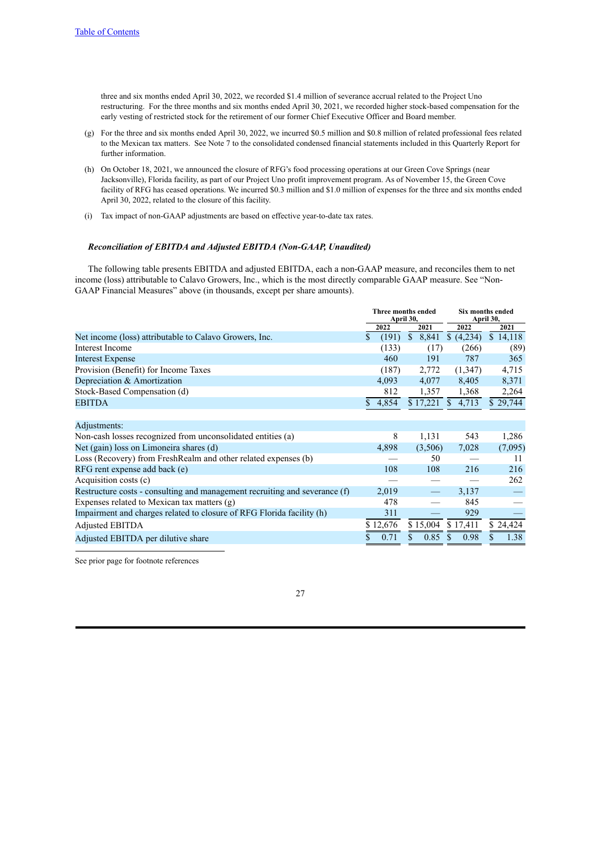three and six months ended April 30, 2022, we recorded \$1.4 million of severance accrual related to the Project Uno restructuring. For the three months and six months ended April 30, 2021, we recorded higher stock-based compensation for the early vesting of restricted stock for the retirement of our former Chief Executive Officer and Board member.

- (g) For the three and six months ended April 30, 2022, we incurred \$0.5 million and \$0.8 million of related professional fees related to the Mexican tax matters. See Note 7 to the consolidated condensed financial statements included in this Quarterly Report for further information.
- (h) On October 18, 2021, we announced the closure of RFG's food processing operations at our Green Cove Springs (near Jacksonville), Florida facility, as part of our Project Uno profit improvement program. As of November 15, the Green Cove facility of RFG has ceased operations. We incurred \$0.3 million and \$1.0 million of expenses for the three and six months ended April 30, 2022, related to the closure of this facility.
- (i) Tax impact of non-GAAP adjustments are based on effective year-to-date tax rates.

# *Reconciliation of EBITDA and Adjusted EBITDA (Non-GAAP, Unaudited)*

The following table presents EBITDA and adjusted EBITDA, each a non-GAAP measure, and reconciles them to net income (loss) attributable to Calavo Growers, Inc., which is the most directly comparable GAAP measure. See "Non-GAAP Financial Measures" above (in thousands, except per share amounts).

|                                                                            | Three months ended        |          |    |                   | Six months ended |      |          |
|----------------------------------------------------------------------------|---------------------------|----------|----|-------------------|------------------|------|----------|
|                                                                            | April 30,<br>2021<br>2022 |          |    | April 30,<br>2022 |                  | 2021 |          |
| Net income (loss) attributable to Calavo Growers, Inc.                     |                           | (191)    | \$ | 8,841             | (4,234)          |      | \$14,118 |
| Interest Income                                                            |                           | (133)    |    | (17)              | (266)            |      | (89)     |
| <b>Interest Expense</b>                                                    |                           | 460      |    | 191               | 787              |      | 365      |
| Provision (Benefit) for Income Taxes                                       |                           | (187)    |    | 2,772             | (1,347)          |      | 4,715    |
| Depreciation & Amortization                                                |                           | 4,093    |    | 4,077             | 8,405            |      | 8,371    |
| Stock-Based Compensation (d)                                               |                           | 812      |    | 1,357             | 1,368            |      | 2,264    |
| <b>EBITDA</b>                                                              | \$                        | 4,854    |    | \$17,221          | \$4,713          |      | \$29,744 |
|                                                                            |                           |          |    |                   |                  |      |          |
| Adjustments:                                                               |                           |          |    |                   |                  |      |          |
| Non-cash losses recognized from unconsolidated entities (a)                |                           | 8        |    | 1,131             | 543              |      | 1,286    |
| Net (gain) loss on Limoneira shares (d)                                    |                           | 4,898    |    | (3,506)           | 7,028            |      | (7,095)  |
| Loss (Recovery) from Fresh Realm and other related expenses (b)            |                           |          |    | 50                |                  |      | 11       |
| RFG rent expense add back (e)                                              |                           | 108      |    | 108               | 216              |      | 216      |
| Acquisition costs (c)                                                      |                           |          |    |                   |                  |      | 262      |
| Restructure costs - consulting and management recruiting and severance (f) |                           | 2,019    |    |                   | 3,137            |      |          |
| Expenses related to Mexican tax matters $(g)$                              |                           | 478      |    |                   | 845              |      |          |
| Impairment and charges related to closure of RFG Florida facility (h)      |                           | 311      |    |                   | 929              |      |          |
| <b>Adjusted EBITDA</b>                                                     |                           | \$12,676 |    | \$15,004          | \$17,411         |      | \$24,424 |
| Adjusted EBITDA per dilutive share                                         |                           | 0.71     |    | 0.85              | 0.98             |      | 1.38     |

See prior page for footnote references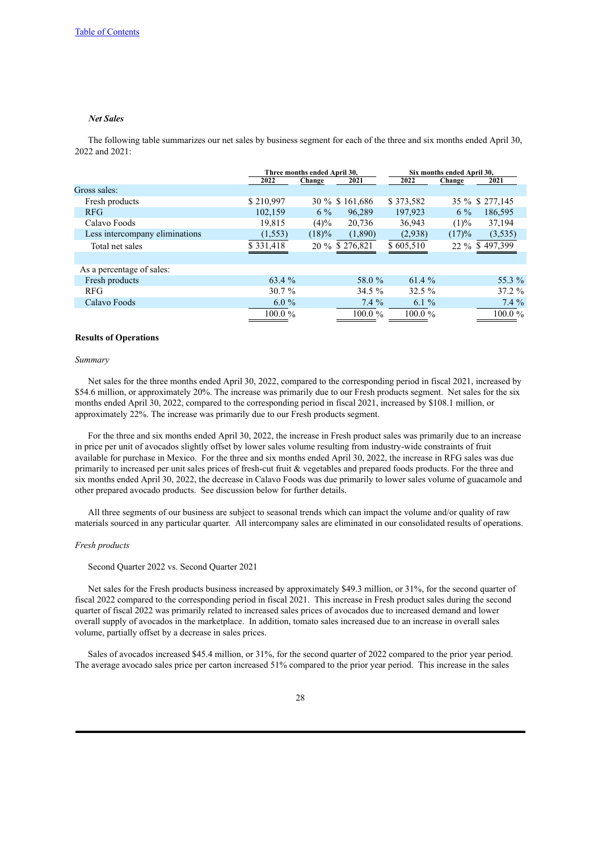# *Net Sales*

The following table summarizes our net sales by business segment for each of the three and six months ended April 30, 2022 and 2021:

|                                | Three months ended April 30, |          |                 |           | Six months ended April 30, |                 |  |  |
|--------------------------------|------------------------------|----------|-----------------|-----------|----------------------------|-----------------|--|--|
|                                | 2022                         | Change   | 2021            | 2022      | Change                     | 2021            |  |  |
| Gross sales:                   |                              |          |                 |           |                            |                 |  |  |
| Fresh products                 | \$210,997                    |          | 30 % \$161,686  | \$373,582 |                            | 35 % \$ 277,145 |  |  |
| <b>RFG</b>                     | 102,159                      | $6\%$    | 96,289          | 197,923   | $6\%$                      | 186,595         |  |  |
| Calavo Foods                   | 19.815                       | (4)%     | 20,736          | 36,943    | (1)%                       | 37,194          |  |  |
| Less intercompany eliminations | (1,553)                      | $(18)\%$ | (1,890)         | (2,938)   | (17)%                      | (3,535)         |  |  |
| Total net sales                | \$331,418                    |          | 20 % \$ 276,821 | \$605,510 |                            | 22 % \$497,399  |  |  |
|                                |                              |          |                 |           |                            |                 |  |  |
| As a percentage of sales:      |                              |          |                 |           |                            |                 |  |  |
| Fresh products                 | 63.4 %                       |          | 58.0 %          | 61.4 %    |                            | 55.3 %          |  |  |
| <b>RFG</b>                     | $30.7\%$                     |          | $34.5 \%$       | 32.5%     |                            | $37.2 \%$       |  |  |
| Calavo Foods                   | $6.0\%$                      |          | $7.4\%$         | $6.1\%$   |                            | $7.4\%$         |  |  |
|                                | $100.0\%$                    |          | $100.0 \%$      | $100.0\%$ |                            | 100.0 $%$       |  |  |

# **Results of Operations**

#### *Summary*

Net sales for the three months ended April 30, 2022, compared to the corresponding period in fiscal 2021, increased by \$54.6 million, or approximately 20%. The increase was primarily due to our Fresh products segment. Net sales for the six months ended April 30, 2022, compared to the corresponding period in fiscal 2021, increased by \$108.1 million, or approximately 22%. The increase was primarily due to our Fresh products segment.

For the three and six months ended April 30, 2022, the increase in Fresh product sales was primarily due to an increase in price per unit of avocados slightly offset by lower sales volume resulting from industry-wide constraints of fruit available for purchase in Mexico. For the three and six months ended April 30, 2022, the increase in RFG sales was due primarily to increased per unit sales prices of fresh-cut fruit & vegetables and prepared foods products. For the three and six months ended April 30, 2022, the decrease in Calavo Foods was due primarily to lower sales volume of guacamole and other prepared avocado products. See discussion below for further details.

All three segments of our business are subject to seasonal trends which can impact the volume and/or quality of raw materials sourced in any particular quarter. All intercompany sales are eliminated in our consolidated results of operations.

#### *Fresh products*

#### Second Quarter 2022 vs. Second Quarter 2021

Net sales for the Fresh products business increased by approximately \$49.3 million, or 31%, for the second quarter of fiscal 2022 compared to the corresponding period in fiscal 2021. This increase in Fresh product sales during the second quarter of fiscal 2022 was primarily related to increased sales prices of avocados due to increased demand and lower overall supply of avocados in the marketplace. In addition, tomato sales increased due to an increase in overall sales volume, partially offset by a decrease in sales prices.

Sales of avocados increased \$45.4 million, or 31%, for the second quarter of 2022 compared to the prior year period. The average avocado sales price per carton increased 51% compared to the prior year period. This increase in the sales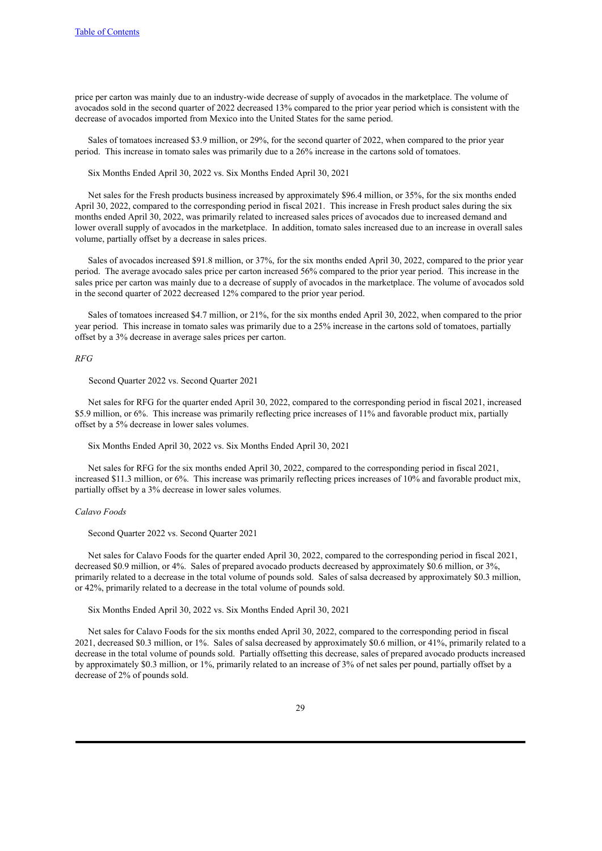price per carton was mainly due to an industry-wide decrease of supply of avocados in the marketplace. The volume of avocados sold in the second quarter of 2022 decreased 13% compared to the prior year period which is consistent with the decrease of avocados imported from Mexico into the United States for the same period.

Sales of tomatoes increased \$3.9 million, or 29%, for the second quarter of 2022, when compared to the prior year period. This increase in tomato sales was primarily due to a 26% increase in the cartons sold of tomatoes.

Six Months Ended April 30, 2022 vs. Six Months Ended April 30, 2021

Net sales for the Fresh products business increased by approximately \$96.4 million, or 35%, for the six months ended April 30, 2022, compared to the corresponding period in fiscal 2021. This increase in Fresh product sales during the six months ended April 30, 2022, was primarily related to increased sales prices of avocados due to increased demand and lower overall supply of avocados in the marketplace. In addition, tomato sales increased due to an increase in overall sales volume, partially offset by a decrease in sales prices.

Sales of avocados increased \$91.8 million, or 37%, for the six months ended April 30, 2022, compared to the prior year period. The average avocado sales price per carton increased 56% compared to the prior year period. This increase in the sales price per carton was mainly due to a decrease of supply of avocados in the marketplace. The volume of avocados sold in the second quarter of 2022 decreased 12% compared to the prior year period.

Sales of tomatoes increased \$4.7 million, or 21%, for the six months ended April 30, 2022, when compared to the prior year period. This increase in tomato sales was primarily due to a 25% increase in the cartons sold of tomatoes, partially offset by a 3% decrease in average sales prices per carton.

#### *RFG*

Second Quarter 2022 vs. Second Quarter 2021

Net sales for RFG for the quarter ended April 30, 2022, compared to the corresponding period in fiscal 2021, increased \$5.9 million, or 6%. This increase was primarily reflecting price increases of 11% and favorable product mix, partially offset by a 5% decrease in lower sales volumes.

Six Months Ended April 30, 2022 vs. Six Months Ended April 30, 2021

Net sales for RFG for the six months ended April 30, 2022, compared to the corresponding period in fiscal 2021, increased \$11.3 million, or 6%. This increase was primarily reflecting prices increases of 10% and favorable product mix, partially offset by a 3% decrease in lower sales volumes.

#### *Calavo Foods*

Second Quarter 2022 vs. Second Quarter 2021

Net sales for Calavo Foods for the quarter ended April 30, 2022, compared to the corresponding period in fiscal 2021, decreased \$0.9 million, or 4%. Sales of prepared avocado products decreased by approximately \$0.6 million, or 3%, primarily related to a decrease in the total volume of pounds sold. Sales of salsa decreased by approximately \$0.3 million, or 42%, primarily related to a decrease in the total volume of pounds sold.

Six Months Ended April 30, 2022 vs. Six Months Ended April 30, 2021

Net sales for Calavo Foods for the six months ended April 30, 2022, compared to the corresponding period in fiscal 2021, decreased \$0.3 million, or 1%. Sales of salsa decreased by approximately \$0.6 million, or 41%, primarily related to a decrease in the total volume of pounds sold. Partially offsetting this decrease, sales of prepared avocado products increased by approximately \$0.3 million, or 1%, primarily related to an increase of 3% of net sales per pound, partially offset by a decrease of 2% of pounds sold.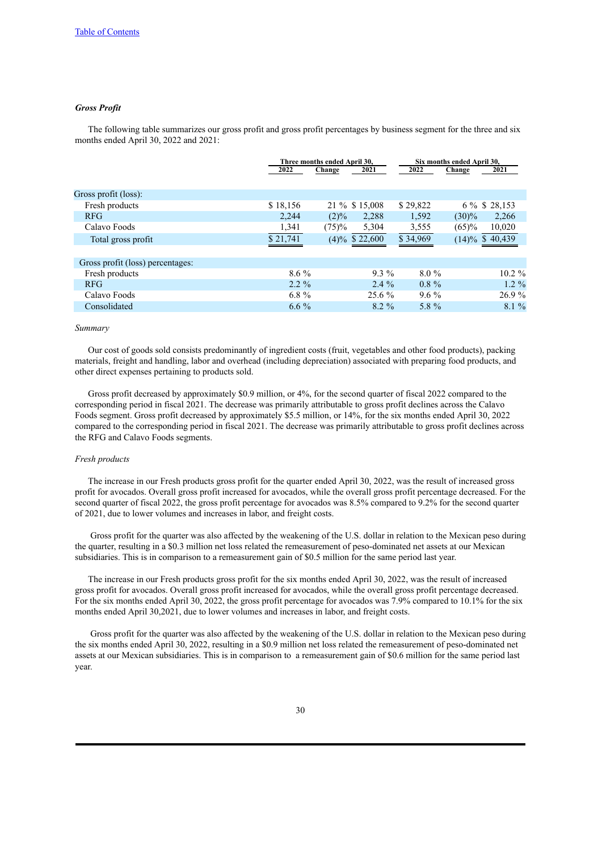# *Gross Profit*

The following table summarizes our gross profit and gross profit percentages by business segment for the three and six months ended April 30, 2022 and 2021:

|                                  |                      | Three months ended April 30, |                     | Six months ended April 30, |
|----------------------------------|----------------------|------------------------------|---------------------|----------------------------|
|                                  | 2022                 | Change                       | 2021<br>2022        | Change<br>2021             |
|                                  |                      |                              |                     |                            |
| Gross profit (loss):             |                      |                              |                     |                            |
| Fresh products                   | \$18,156             | 21 % \$15,008                | \$29,822            | 6 % \$ 28,153              |
| <b>RFG</b>                       | 2,244                | $(2)\%$                      | 1,592<br>2,288      | $(30)\%$<br>2,266          |
| Calavo Foods                     | 1,341                | (75)%                        | 5,304<br>3,555      | 10,020<br>(65)%            |
| Total gross profit               | $\overline{$}21,741$ | $(4)\%$ \$ 22,600            | \$34,969            | $(14)\%$ \$ 40,439         |
|                                  |                      |                              |                     |                            |
| Gross profit (loss) percentages: |                      |                              |                     |                            |
| Fresh products                   | $8.6\%$              |                              | $9.3\%$<br>$8.0\%$  | $10.2 \%$                  |
| <b>RFG</b>                       | $2.2\%$              |                              | $0.8 \%$<br>$2.4\%$ | $1.2\%$                    |
| Calavo Foods                     | 6.8 $%$              |                              | 25.6 %<br>$9.6\%$   | 26.9%                      |
| Consolidated                     | $6.6\%$              |                              | 5.8 %<br>$8.2 \%$   | $8.1\%$                    |

#### *Summary*

Our cost of goods sold consists predominantly of ingredient costs (fruit, vegetables and other food products), packing materials, freight and handling, labor and overhead (including depreciation) associated with preparing food products, and other direct expenses pertaining to products sold.

Gross profit decreased by approximately \$0.9 million, or 4%, for the second quarter of fiscal 2022 compared to the corresponding period in fiscal 2021. The decrease was primarily attributable to gross profit declines across the Calavo Foods segment. Gross profit decreased by approximately \$5.5 million, or 14%, for the six months ended April 30, 2022 compared to the corresponding period in fiscal 2021. The decrease was primarily attributable to gross profit declines across the RFG and Calavo Foods segments.

#### *Fresh products*

The increase in our Fresh products gross profit for the quarter ended April 30, 2022, was the result of increased gross profit for avocados. Overall gross profit increased for avocados, while the overall gross profit percentage decreased. For the second quarter of fiscal 2022, the gross profit percentage for avocados was 8.5% compared to 9.2% for the second quarter of 2021, due to lower volumes and increases in labor, and freight costs.

Gross profit for the quarter was also affected by the weakening of the U.S. dollar in relation to the Mexican peso during the quarter, resulting in a \$0.3 million net loss related the remeasurement of peso-dominated net assets at our Mexican subsidiaries. This is in comparison to a remeasurement gain of \$0.5 million for the same period last year.

The increase in our Fresh products gross profit for the six months ended April 30, 2022, was the result of increased gross profit for avocados. Overall gross profit increased for avocados, while the overall gross profit percentage decreased. For the six months ended April 30, 2022, the gross profit percentage for avocados was 7.9% compared to 10.1% for the six months ended April 30,2021, due to lower volumes and increases in labor, and freight costs.

Gross profit for the quarter was also affected by the weakening of the U.S. dollar in relation to the Mexican peso during the six months ended April 30, 2022, resulting in a \$0.9 million net loss related the remeasurement of peso-dominated net assets at our Mexican subsidiaries. This is in comparison to a remeasurement gain of \$0.6 million for the same period last year.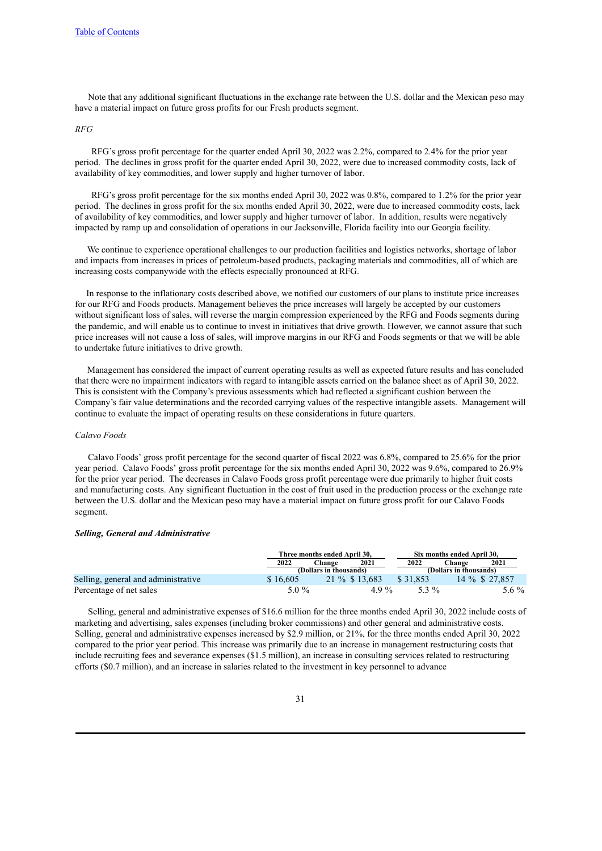Note that any additional significant fluctuations in the exchange rate between the U.S. dollar and the Mexican peso may have a material impact on future gross profits for our Fresh products segment.

# *RFG*

RFG's gross profit percentage for the quarter ended April 30, 2022 was 2.2%, compared to 2.4% for the prior year period. The declines in gross profit for the quarter ended April 30, 2022, were due to increased commodity costs, lack of availability of key commodities, and lower supply and higher turnover of labor.

RFG's gross profit percentage for the six months ended April 30, 2022 was 0.8%, compared to 1.2% for the prior year period. The declines in gross profit for the six months ended April 30, 2022, were due to increased commodity costs, lack of availability of key commodities, and lower supply and higher turnover of labor. In addition, results were negatively impacted by ramp up and consolidation of operations in our Jacksonville, Florida facility into our Georgia facility.

We continue to experience operational challenges to our production facilities and logistics networks, shortage of labor and impacts from increases in prices of petroleum-based products, packaging materials and commodities, all of which are increasing costs companywide with the effects especially pronounced at RFG.

In response to the inflationary costs described above, we notified our customers of our plans to institute price increases for our RFG and Foods products. Management believes the price increases will largely be accepted by our customers without significant loss of sales, will reverse the margin compression experienced by the RFG and Foods segments during the pandemic, and will enable us to continue to invest in initiatives that drive growth. However, we cannot assure that such price increases will not cause a loss of sales, will improve margins in our RFG and Foods segments or that we will be able to undertake future initiatives to drive growth.

Management has considered the impact of current operating results as well as expected future results and has concluded that there were no impairment indicators with regard to intangible assets carried on the balance sheet as of April 30, 2022. This is consistent with the Company's previous assessments which had reflected a significant cushion between the Company's fair value determinations and the recorded carrying values of the respective intangible assets. Management will continue to evaluate the impact of operating results on these considerations in future quarters.

## *Calavo Foods*

Calavo Foods' gross profit percentage for the second quarter of fiscal 2022 was 6.8%, compared to 25.6% for the prior year period. Calavo Foods' gross profit percentage for the six months ended April 30, 2022 was 9.6%, compared to 26.9% for the prior year period. The decreases in Calavo Foods gross profit percentage were due primarily to higher fruit costs and manufacturing costs. Any significant fluctuation in the cost of fruit used in the production process or the exchange rate between the U.S. dollar and the Mexican peso may have a material impact on future gross profit for our Calavo Foods segment.

#### *Selling, General and Administrative*

|                                     | Three months ended April 30. |                        |               | Six months ended April 30. |                |  |  |  |
|-------------------------------------|------------------------------|------------------------|---------------|----------------------------|----------------|--|--|--|
|                                     | 2022<br>hange.               |                        | 2021          | 2022                       | 2021<br>hange. |  |  |  |
|                                     |                              | (Dollars in thousands) |               | (Dollars in thousands)     |                |  |  |  |
| Selling, general and administrative | \$16.605                     |                        | 21 % \$13.683 | \$ 31.853                  | 14 % \$ 27.857 |  |  |  |
| Percentage of net sales             | 5.0 $\%$                     |                        | 49 %          | 53%                        | 5.6 $\%$       |  |  |  |

Selling, general and administrative expenses of \$16.6 million for the three months ended April 30, 2022 include costs of marketing and advertising, sales expenses (including broker commissions) and other general and administrative costs. Selling, general and administrative expenses increased by \$2.9 million, or 21%, for the three months ended April 30, 2022 compared to the prior year period. This increase was primarily due to an increase in management restructuring costs that include recruiting fees and severance expenses (\$1.5 million), an increase in consulting services related to restructuring efforts (\$0.7 million), and an increase in salaries related to the investment in key personnel to advance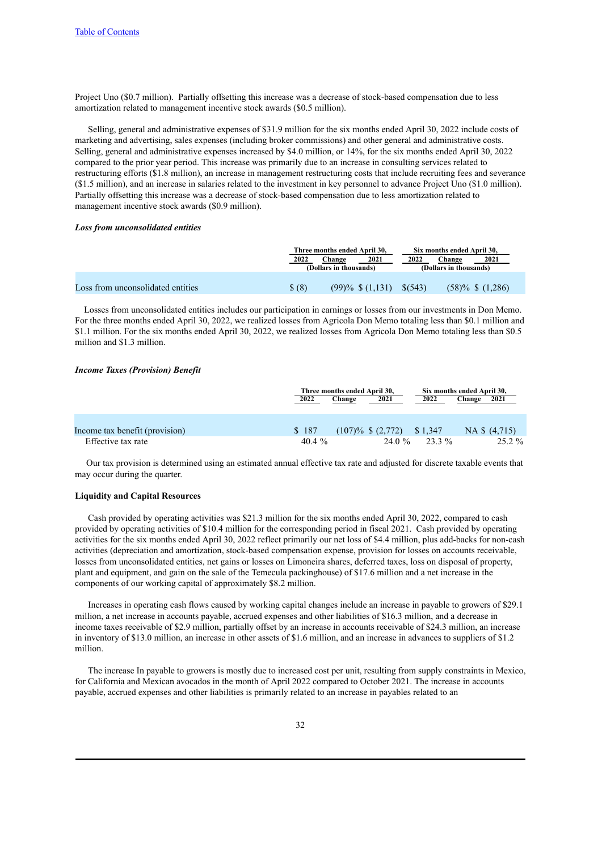Project Uno (\$0.7 million). Partially offsetting this increase was a decrease of stock-based compensation due to less amortization related to management incentive stock awards (\$0.5 million).

Selling, general and administrative expenses of \$31.9 million for the six months ended April 30, 2022 include costs of marketing and advertising, sales expenses (including broker commissions) and other general and administrative costs. Selling, general and administrative expenses increased by \$4.0 million, or 14%, for the six months ended April 30, 2022 compared to the prior year period. This increase was primarily due to an increase in consulting services related to restructuring efforts (\$1.8 million), an increase in management restructuring costs that include recruiting fees and severance (\$1.5 million), and an increase in salaries related to the investment in key personnel to advance Project Uno (\$1.0 million). Partially offsetting this increase was a decrease of stock-based compensation due to less amortization related to management incentive stock awards (\$0.9 million).

# *Loss from unconsolidated entities*

|                |  |      | Six months ended April 30.                                                      |         |                       |  |  |
|----------------|--|------|---------------------------------------------------------------------------------|---------|-----------------------|--|--|
| 2022<br>Change |  | 2021 | 2022                                                                            | Change  | 2021                  |  |  |
|                |  |      | (Dollars in thousands)                                                          |         |                       |  |  |
|                |  |      |                                                                                 |         |                       |  |  |
| \$ (8)         |  |      |                                                                                 |         | $(58)\%$ \$ $(1,286)$ |  |  |
|                |  |      | Three months ended April 30.<br>(Dollars in thousands)<br>$(99)\%$ \$ $(1,131)$ | \$(543) |                       |  |  |

Losses from unconsolidated entities includes our participation in earnings or losses from our investments in Don Memo. For the three months ended April 30, 2022, we realized losses from Agricola Don Memo totaling less than \$0.1 million and \$1.1 million. For the six months ended April 30, 2022, we realized losses from Agricola Don Memo totaling less than \$0.5 million and \$1.3 million.

#### *Income Taxes (Provision) Benefit*

|                                |       | Three months ended April 30. |                                 | Six months ended April 30, |                |  |  |
|--------------------------------|-------|------------------------------|---------------------------------|----------------------------|----------------|--|--|
|                                | 2022  | Change                       | 2021                            | 2022                       | 2021<br>Change |  |  |
|                                |       |                              |                                 |                            |                |  |  |
|                                |       |                              |                                 |                            |                |  |  |
| Income tax benefit (provision) | \$187 |                              | $(107)\%$ \$ $(2,772)$ \$ 1,347 |                            | NA \$ (4,715)  |  |  |
| Effective tax rate             | 40.4% |                              | 24 0 %                          | 23 3 %                     | $25.2 \%$      |  |  |

Our tax provision is determined using an estimated annual effective tax rate and adjusted for discrete taxable events that may occur during the quarter.

#### **Liquidity and Capital Resources**

Cash provided by operating activities was \$21.3 million for the six months ended April 30, 2022, compared to cash provided by operating activities of \$10.4 million for the corresponding period in fiscal 2021. Cash provided by operating activities for the six months ended April 30, 2022 reflect primarily our net loss of \$4.4 million, plus add-backs for non-cash activities (depreciation and amortization, stock-based compensation expense, provision for losses on accounts receivable, losses from unconsolidated entities, net gains or losses on Limoneira shares, deferred taxes, loss on disposal of property, plant and equipment, and gain on the sale of the Temecula packinghouse) of \$17.6 million and a net increase in the components of our working capital of approximately \$8.2 million.

Increases in operating cash flows caused by working capital changes include an increase in payable to growers of \$29.1 million, a net increase in accounts payable, accrued expenses and other liabilities of \$16.3 million, and a decrease in income taxes receivable of \$2.9 million, partially offset by an increase in accounts receivable of \$24.3 million, an increase in inventory of \$13.0 million, an increase in other assets of \$1.6 million, and an increase in advances to suppliers of \$1.2 million.

The increase In payable to growers is mostly due to increased cost per unit, resulting from supply constraints in Mexico, for California and Mexican avocados in the month of April 2022 compared to October 2021. The increase in accounts payable, accrued expenses and other liabilities is primarily related to an increase in payables related to an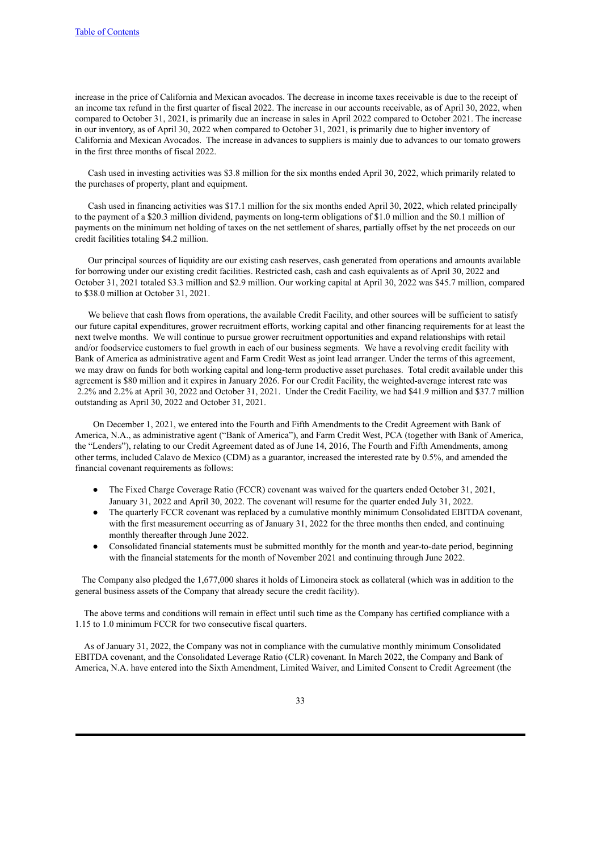increase in the price of California and Mexican avocados. The decrease in income taxes receivable is due to the receipt of an income tax refund in the first quarter of fiscal 2022. The increase in our accounts receivable, as of April 30, 2022, when compared to October 31, 2021, is primarily due an increase in sales in April 2022 compared to October 2021. The increase in our inventory, as of April 30, 2022 when compared to October 31, 2021, is primarily due to higher inventory of California and Mexican Avocados. The increase in advances to suppliers is mainly due to advances to our tomato growers in the first three months of fiscal 2022.

Cash used in investing activities was \$3.8 million for the six months ended April 30, 2022, which primarily related to the purchases of property, plant and equipment.

Cash used in financing activities was \$17.1 million for the six months ended April 30, 2022, which related principally to the payment of a \$20.3 million dividend, payments on long-term obligations of \$1.0 million and the \$0.1 million of payments on the minimum net holding of taxes on the net settlement of shares, partially offset by the net proceeds on our credit facilities totaling \$4.2 million.

Our principal sources of liquidity are our existing cash reserves, cash generated from operations and amounts available for borrowing under our existing credit facilities. Restricted cash, cash and cash equivalents as of April 30, 2022 and October 31, 2021 totaled \$3.3 million and \$2.9 million. Our working capital at April 30, 2022 was \$45.7 million, compared to \$38.0 million at October 31, 2021.

We believe that cash flows from operations, the available Credit Facility, and other sources will be sufficient to satisfy our future capital expenditures, grower recruitment efforts, working capital and other financing requirements for at least the next twelve months. We will continue to pursue grower recruitment opportunities and expand relationships with retail and/or foodservice customers to fuel growth in each of our business segments. We have a revolving credit facility with Bank of America as administrative agent and Farm Credit West as joint lead arranger. Under the terms of this agreement, we may draw on funds for both working capital and long-term productive asset purchases. Total credit available under this agreement is \$80 million and it expires in January 2026. For our Credit Facility, the weighted-average interest rate was 2.2% and 2.2% at April 30, 2022 and October 31, 2021. Under the Credit Facility, we had \$41.9 million and \$37.7 million outstanding as April 30, 2022 and October 31, 2021.

On December 1, 2021, we entered into the Fourth and Fifth Amendments to the Credit Agreement with Bank of America, N.A., as administrative agent ("Bank of America"), and Farm Credit West, PCA (together with Bank of America, the "Lenders"), relating to our Credit Agreement dated as of June 14, 2016, The Fourth and Fifth Amendments, among other terms, included Calavo de Mexico (CDM) as a guarantor, increased the interested rate by 0.5%, and amended the financial covenant requirements as follows:

- The Fixed Charge Coverage Ratio (FCCR) covenant was waived for the quarters ended October 31, 2021, January 31, 2022 and April 30, 2022. The covenant will resume for the quarter ended July 31, 2022.
- The quarterly FCCR covenant was replaced by a cumulative monthly minimum Consolidated EBITDA covenant, with the first measurement occurring as of January 31, 2022 for the three months then ended, and continuing monthly thereafter through June 2022.
- Consolidated financial statements must be submitted monthly for the month and year-to-date period, beginning with the financial statements for the month of November 2021 and continuing through June 2022.

The Company also pledged the 1,677,000 shares it holds of Limoneira stock as collateral (which was in addition to the general business assets of the Company that already secure the credit facility).

The above terms and conditions will remain in effect until such time as the Company has certified compliance with a 1.15 to 1.0 minimum FCCR for two consecutive fiscal quarters.

As of January 31, 2022, the Company was not in compliance with the cumulative monthly minimum Consolidated EBITDA covenant, and the Consolidated Leverage Ratio (CLR) covenant. In March 2022, the Company and Bank of America, N.A. have entered into the Sixth Amendment, Limited Waiver, and Limited Consent to Credit Agreement (the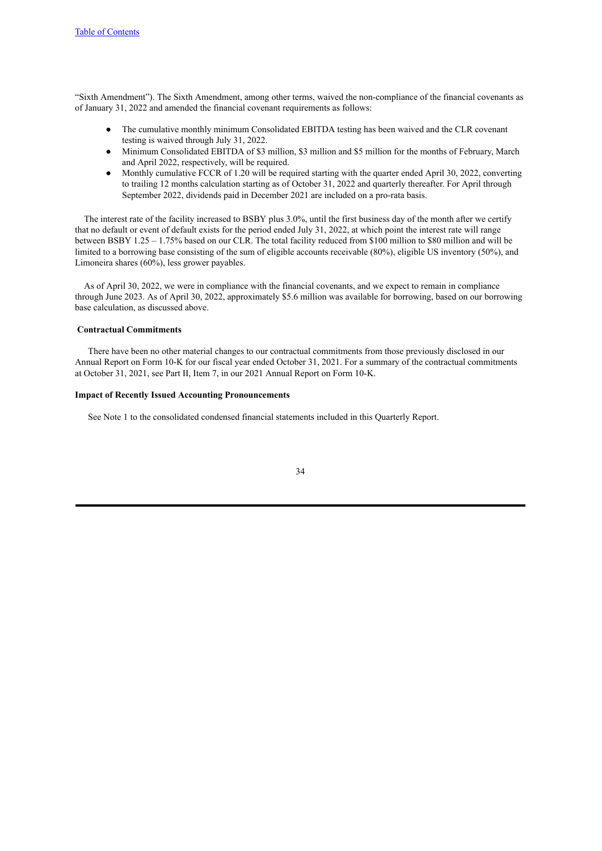"Sixth Amendment"). The Sixth Amendment, among other terms, waived the non-compliance of the financial covenants as of January 31, 2022 and amended the financial covenant requirements as follows:

- The cumulative monthly minimum Consolidated EBITDA testing has been waived and the CLR covenant testing is waived through July 31, 2022.
- Minimum Consolidated EBITDA of \$3 million, \$3 million and \$5 million for the months of February, March and April 2022, respectively, will be required.
- Monthly cumulative FCCR of 1.20 will be required starting with the quarter ended April 30, 2022, converting to trailing 12 months calculation starting as of October 31, 2022 and quarterly thereafter. For April through September 2022, dividends paid in December 2021 are included on a pro-rata basis.

The interest rate of the facility increased to BSBY plus 3.0%, until the first business day of the month after we certify that no default or event of default exists for the period ended July 31, 2022, at which point the interest rate will range between BSBY 1.25 – 1.75% based on our CLR. The total facility reduced from \$100 million to \$80 million and will be limited to a borrowing base consisting of the sum of eligible accounts receivable (80%), eligible US inventory (50%), and Limoneira shares (60%), less grower payables.

As of April 30, 2022, we were in compliance with the financial covenants, and we expect to remain in compliance through June 2023. As of April 30, 2022, approximately \$5.6 million was available for borrowing, based on our borrowing base calculation, as discussed above.

## **Contractual Commitments**

There have been no other material changes to our contractual commitments from those previously disclosed in our Annual Report on Form 10-K for our fiscal year ended October 31, 2021. For a summary of the contractual commitments at October 31, 2021, see Part II, Item 7, in our 2021 Annual Report on Form 10-K.

#### **Impact of Recently Issued Accounting Pronouncements**

See Note 1 to the consolidated condensed financial statements included in this Quarterly Report.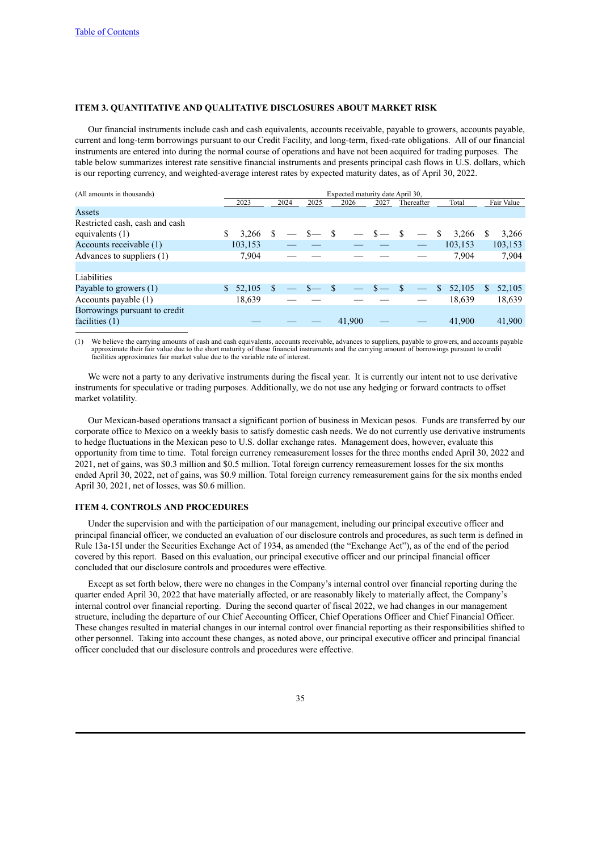#### <span id="page-34-0"></span>**ITEM 3. QUANTITATIVE AND QUALITATIVE DISCLOSURES ABOUT MARKET RISK**

Our financial instruments include cash and cash equivalents, accounts receivable, payable to growers, accounts payable, current and long-term borrowings pursuant to our Credit Facility, and long-term, fixed-rate obligations. All of our financial instruments are entered into during the normal course of operations and have not been acquired for trading purposes. The table below summarizes interest rate sensitive financial instruments and presents principal cash flows in U.S. dollars, which is our reporting currency, and weighted-average interest rates by expected maturity dates, as of April 30, 2022.

| (All amounts in thousands)     |    | Expected maturity date April 30.     |              |  |  |  |        |            |       |  |            |         |    |         |
|--------------------------------|----|--------------------------------------|--------------|--|--|--|--------|------------|-------|--|------------|---------|----|---------|
|                                |    | 2026<br>2024<br>2025<br>2027<br>2023 |              |  |  |  |        | Thereafter | Total |  | Fair Value |         |    |         |
| Assets                         |    |                                      |              |  |  |  |        |            |       |  |            |         |    |         |
| Restricted cash, cash and cash |    |                                      |              |  |  |  |        |            |       |  |            |         |    |         |
| equivalents $(1)$              | S  | 3,266                                | <sup>S</sup> |  |  |  |        | $S -$      | -S    |  | S          | 3.266   | S  | 3,266   |
| Accounts receivable (1)        |    | 103,153                              |              |  |  |  |        |            |       |  |            | 103,153 |    | 103,153 |
| Advances to suppliers (1)      |    | 7,904                                |              |  |  |  |        |            |       |  |            | 7.904   |    | 7,904   |
|                                |    |                                      |              |  |  |  |        |            |       |  |            |         |    |         |
| Liabilities                    |    |                                      |              |  |  |  |        |            |       |  |            |         |    |         |
| Payable to growers (1)         | S. | 52,105                               | \$.          |  |  |  |        |            | -S    |  | \$         | 52.105  | S. | 52,105  |
| Accounts payable (1)           |    | 18,639                               |              |  |  |  |        |            |       |  |            | 18,639  |    | 18,639  |
| Borrowings pursuant to credit  |    |                                      |              |  |  |  |        |            |       |  |            |         |    |         |
| facilities $(1)$               |    |                                      |              |  |  |  | 41,900 |            |       |  |            | 41,900  |    | 41,900  |
|                                |    |                                      |              |  |  |  |        |            |       |  |            |         |    |         |

(1) We believe the carrying amounts of cash and cash equivalents, accounts receivable, advances to suppliers, payable to growers, and accounts payable approximate their fair value due to the short maturity of these financial instruments and the carrying amount of borrowings pursuant to credit facilities approximates fair market value due to the variable rate of interest.

We were not a party to any derivative instruments during the fiscal year. It is currently our intent not to use derivative instruments for speculative or trading purposes. Additionally, we do not use any hedging or forward contracts to offset market volatility.

Our Mexican-based operations transact a significant portion of business in Mexican pesos. Funds are transferred by our corporate office to Mexico on a weekly basis to satisfy domestic cash needs. We do not currently use derivative instruments to hedge fluctuations in the Mexican peso to U.S. dollar exchange rates. Management does, however, evaluate this opportunity from time to time. Total foreign currency remeasurement losses for the three months ended April 30, 2022 and 2021, net of gains, was \$0.3 million and \$0.5 million. Total foreign currency remeasurement losses for the six months ended April 30, 2022, net of gains, was \$0.9 million. Total foreign currency remeasurement gains for the six months ended April 30, 2021, net of losses, was \$0.6 million.

#### <span id="page-34-1"></span>**ITEM 4. CONTROLS AND PROCEDURES**

Under the supervision and with the participation of our management, including our principal executive officer and principal financial officer, we conducted an evaluation of our disclosure controls and procedures, as such term is defined in Rule 13a-15I under the Securities Exchange Act of 1934, as amended (the "Exchange Act"), as of the end of the period covered by this report. Based on this evaluation, our principal executive officer and our principal financial officer concluded that our disclosure controls and procedures were effective.

Except as set forth below, there were no changes in the Company's internal control over financial reporting during the quarter ended April 30, 2022 that have materially affected, or are reasonably likely to materially affect, the Company's internal control over financial reporting. During the second quarter of fiscal 2022, we had changes in our management structure, including the departure of our Chief Accounting Officer, Chief Operations Officer and Chief Financial Officer. These changes resulted in material changes in our internal control over financial reporting as their responsibilities shifted to other personnel. Taking into account these changes, as noted above, our principal executive officer and principal financial officer concluded that our disclosure controls and procedures were effective.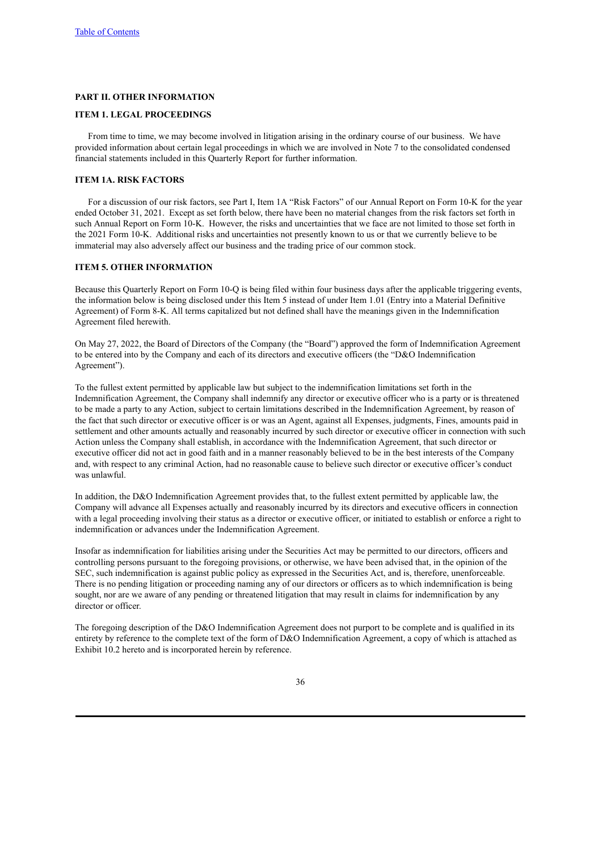# <span id="page-35-0"></span>**PART II. OTHER INFORMATION**

# <span id="page-35-1"></span>**ITEM 1. LEGAL PROCEEDINGS**

From time to time, we may become involved in litigation arising in the ordinary course of our business. We have provided information about certain legal proceedings in which we are involved in Note 7 to the consolidated condensed financial statements included in this Quarterly Report for further information.

#### <span id="page-35-2"></span>**ITEM 1A. RISK FACTORS**

For a discussion of our risk factors, see Part I, Item 1A "Risk Factors" of our Annual Report on Form 10-K for the year ended October 31, 2021. Except as set forth below, there have been no material changes from the risk factors set forth in such Annual Report on Form 10-K. However, the risks and uncertainties that we face are not limited to those set forth in the 2021 Form 10-K. Additional risks and uncertainties not presently known to us or that we currently believe to be immaterial may also adversely affect our business and the trading price of our common stock.

## <span id="page-35-3"></span>**ITEM 5. OTHER INFORMATION**

Because this Quarterly Report on Form 10-Q is being filed within four business days after the applicable triggering events, the information below is being disclosed under this Item 5 instead of under Item 1.01 (Entry into a Material Definitive Agreement) of Form 8-K. All terms capitalized but not defined shall have the meanings given in the Indemnification Agreement filed herewith.

On May 27, 2022, the Board of Directors of the Company (the "Board") approved the form of Indemnification Agreement to be entered into by the Company and each of its directors and executive officers (the "D&O Indemnification Agreement").

To the fullest extent permitted by applicable law but subject to the indemnification limitations set forth in the Indemnification Agreement, the Company shall indemnify any director or executive officer who is a party or is threatened to be made a party to any Action, subject to certain limitations described in the Indemnification Agreement, by reason of the fact that such director or executive officer is or was an Agent, against all Expenses, judgments, Fines, amounts paid in settlement and other amounts actually and reasonably incurred by such director or executive officer in connection with such Action unless the Company shall establish, in accordance with the Indemnification Agreement, that such director or executive officer did not act in good faith and in a manner reasonably believed to be in the best interests of the Company and, with respect to any criminal Action, had no reasonable cause to believe such director or executive officer's conduct was unlawful.

In addition, the D&O Indemnification Agreement provides that, to the fullest extent permitted by applicable law, the Company will advance all Expenses actually and reasonably incurred by its directors and executive officers in connection with a legal proceeding involving their status as a director or executive officer, or initiated to establish or enforce a right to indemnification or advances under the Indemnification Agreement.

Insofar as indemnification for liabilities arising under the Securities Act may be permitted to our directors, officers and controlling persons pursuant to the foregoing provisions, or otherwise, we have been advised that, in the opinion of the SEC, such indemnification is against public policy as expressed in the Securities Act, and is, therefore, unenforceable. There is no pending litigation or proceeding naming any of our directors or officers as to which indemnification is being sought, nor are we aware of any pending or threatened litigation that may result in claims for indemnification by any director or officer.

The foregoing description of the D&O Indemnification Agreement does not purport to be complete and is qualified in its entirety by reference to the complete text of the form of D&O Indemnification Agreement, a copy of which is attached as Exhibit 10.2 hereto and is incorporated herein by reference.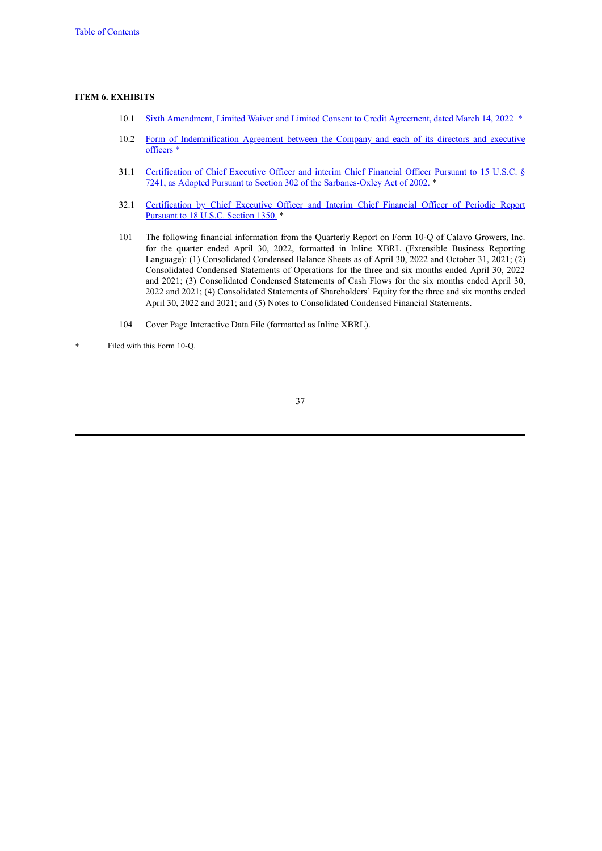### **ITEM 6. EXHIBITS**

- 10.1 Sixth [Amendment,](#page-38-0) Limited Waiver and Limited Consent to Credit Agreement, dated March 14, 2022 \*
- 10.2 Form of [Indemnification](#page-67-0) Agreement between the Company and each of its directors and executive officers \*
- 31.1 Certification of Chief Executive Officer and interim Chief Financial Officer Pursuant to 15 U.S.C. § 7241, as Adopted Pursuant to Section 302 of the [Sarbanes-Oxley](#page-84-0) Act of 2002. \*
- 32.1 [Certification](#page-85-0) by Chief Executive Officer and Interim Chief Financial Officer of Periodic Report Pursuant to 18 U.S.C. Section 1350. \*
- 101 The following financial information from the Quarterly Report on Form 10-Q of Calavo Growers, Inc. for the quarter ended April 30, 2022, formatted in Inline XBRL (Extensible Business Reporting Language): (1) Consolidated Condensed Balance Sheets as of April 30, 2022 and October 31, 2021; (2) Consolidated Condensed Statements of Operations for the three and six months ended April 30, 2022 and 2021; (3) Consolidated Condensed Statements of Cash Flows for the six months ended April 30, 2022 and 2021; (4) Consolidated Statements of Shareholders' Equity for the three and six months ended April 30, 2022 and 2021; and (5) Notes to Consolidated Condensed Financial Statements.
- 104 Cover Page Interactive Data File (formatted as Inline XBRL).
- Filed with this Form 10-Q.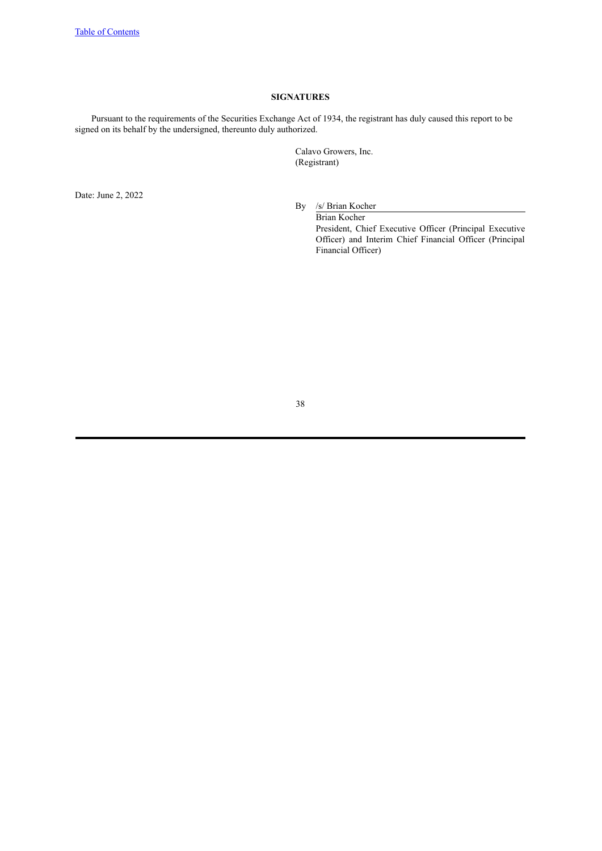# **SIGNATURES**

Pursuant to the requirements of the Securities Exchange Act of 1934, the registrant has duly caused this report to be signed on its behalf by the undersigned, thereunto duly authorized.

> Calavo Growers, Inc. (Registrant)

Date: June 2, 2022

By /s/ Brian Kocher

Brian Kocher President, Chief Executive Officer (Principal Executive Officer) and Interim Chief Financial Officer (Principal Financial Officer)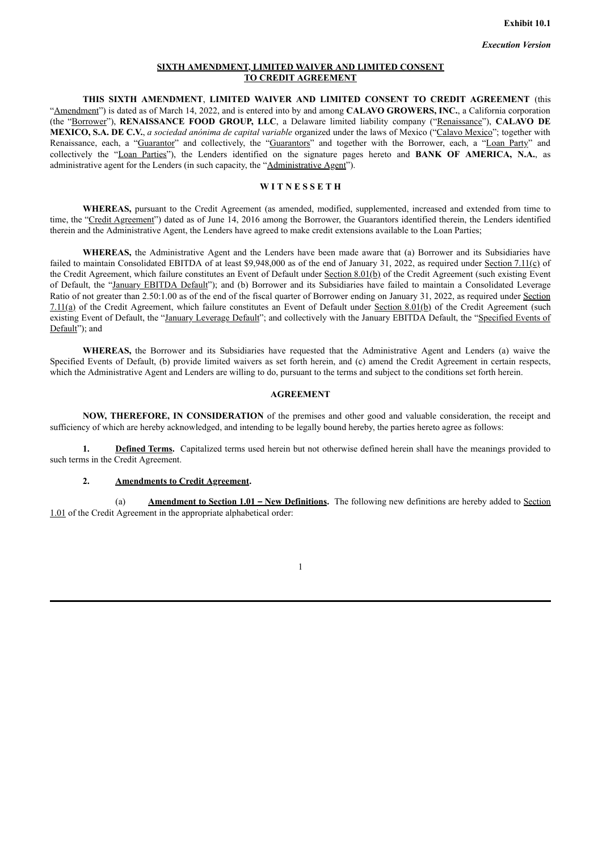#### **SIXTH AMENDMENT, LIMITED WAIVER AND LIMITED CONSENT TO CREDIT AGREEMENT**

<span id="page-38-0"></span>**THIS SIXTH AMENDMENT**, **LIMITED WAIVER AND LIMITED CONSENT TO CREDIT AGREEMENT** (this "Amendment") is dated as of March 14, 2022, and is entered into by and among **CALAVO GROWERS, INC.**, a California corporation (the "Borrower"), **RENAISSANCE FOOD GROUP, LLC**, a Delaware limited liability company ("Renaissance"), **CALAVO DE MEXICO, S.A. DE C.V.**, *a sociedad anónima de capital variable* organized under the laws of Mexico ("Calavo Mexico"; together with Renaissance, each, a "Guarantor" and collectively, the "Guarantors" and together with the Borrower, each, a "Loan Party" and collectively the "Loan Parties"), the Lenders identified on the signature pages hereto and **BANK OF AMERICA, N.A.**, as administrative agent for the Lenders (in such capacity, the "Administrative Agent").

### **W I T N E S S E T H**

**WHEREAS,** pursuant to the Credit Agreement (as amended, modified, supplemented, increased and extended from time to time, the "Credit Agreement") dated as of June 14, 2016 among the Borrower, the Guarantors identified therein, the Lenders identified therein and the Administrative Agent, the Lenders have agreed to make credit extensions available to the Loan Parties;

**WHEREAS,** the Administrative Agent and the Lenders have been made aware that (a) Borrower and its Subsidiaries have failed to maintain Consolidated EBITDA of at least \$9,948,000 as of the end of January 31, 2022, as required under Section 7.11(c) of the Credit Agreement, which failure constitutes an Event of Default under Section 8.01(b) of the Credit Agreement (such existing Event of Default, the "January EBITDA Default"); and (b) Borrower and its Subsidiaries have failed to maintain a Consolidated Leverage Ratio of not greater than 2.50:1.00 as of the end of the fiscal quarter of Borrower ending on January 31, 2022, as required under Section 7.11(a) of the Credit Agreement, which failure constitutes an Event of Default under Section 8.01(b) of the Credit Agreement (such existing Event of Default, the "January Leverage Default"; and collectively with the January EBITDA Default, the "Specified Events of Default"); and

**WHEREAS,** the Borrower and its Subsidiaries have requested that the Administrative Agent and Lenders (a) waive the Specified Events of Default, (b) provide limited waivers as set forth herein, and (c) amend the Credit Agreement in certain respects, which the Administrative Agent and Lenders are willing to do, pursuant to the terms and subject to the conditions set forth herein.

#### **AGREEMENT**

**NOW, THEREFORE, IN CONSIDERATION** of the premises and other good and valuable consideration, the receipt and sufficiency of which are hereby acknowledged, and intending to be legally bound hereby, the parties hereto agree as follows:

**1. Defined Terms.** Capitalized terms used herein but not otherwise defined herein shall have the meanings provided to such terms in the Credit Agreement.

### **2. Amendments to Credit Agreement.**

(a) **Amendment to Section 1.01 – New Definitions.** The following new definitions are hereby added to Section 1.01 of the Credit Agreement in the appropriate alphabetical order: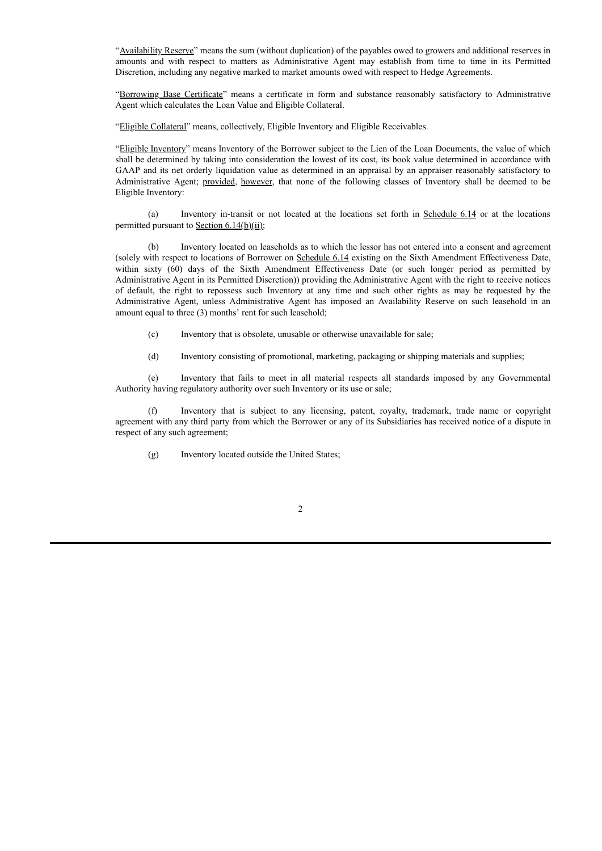"Availability Reserve" means the sum (without duplication) of the payables owed to growers and additional reserves in amounts and with respect to matters as Administrative Agent may establish from time to time in its Permitted Discretion, including any negative marked to market amounts owed with respect to Hedge Agreements.

"Borrowing Base Certificate" means a certificate in form and substance reasonably satisfactory to Administrative Agent which calculates the Loan Value and Eligible Collateral.

"Eligible Collateral" means, collectively, Eligible Inventory and Eligible Receivables.

"Eligible Inventory" means Inventory of the Borrower subject to the Lien of the Loan Documents, the value of which shall be determined by taking into consideration the lowest of its cost, its book value determined in accordance with GAAP and its net orderly liquidation value as determined in an appraisal by an appraiser reasonably satisfactory to Administrative Agent; provided, however, that none of the following classes of Inventory shall be deemed to be Eligible Inventory:

(a) Inventory in-transit or not located at the locations set forth in Schedule 6.14 or at the locations permitted pursuant to Section  $6.14(b)(ii)$ ;

(b) Inventory located on leaseholds as to which the lessor has not entered into a consent and agreement (solely with respect to locations of Borrower on Schedule 6.14 existing on the Sixth Amendment Effectiveness Date, within sixty (60) days of the Sixth Amendment Effectiveness Date (or such longer period as permitted by Administrative Agent in its Permitted Discretion)) providing the Administrative Agent with the right to receive notices of default, the right to repossess such Inventory at any time and such other rights as may be requested by the Administrative Agent, unless Administrative Agent has imposed an Availability Reserve on such leasehold in an amount equal to three (3) months' rent for such leasehold;

- (c) Inventory that is obsolete, unusable or otherwise unavailable for sale;
- (d) Inventory consisting of promotional, marketing, packaging or shipping materials and supplies;

(e) Inventory that fails to meet in all material respects all standards imposed by any Governmental Authority having regulatory authority over such Inventory or its use or sale;

(f) Inventory that is subject to any licensing, patent, royalty, trademark, trade name or copyright agreement with any third party from which the Borrower or any of its Subsidiaries has received notice of a dispute in respect of any such agreement;

(g) Inventory located outside the United States;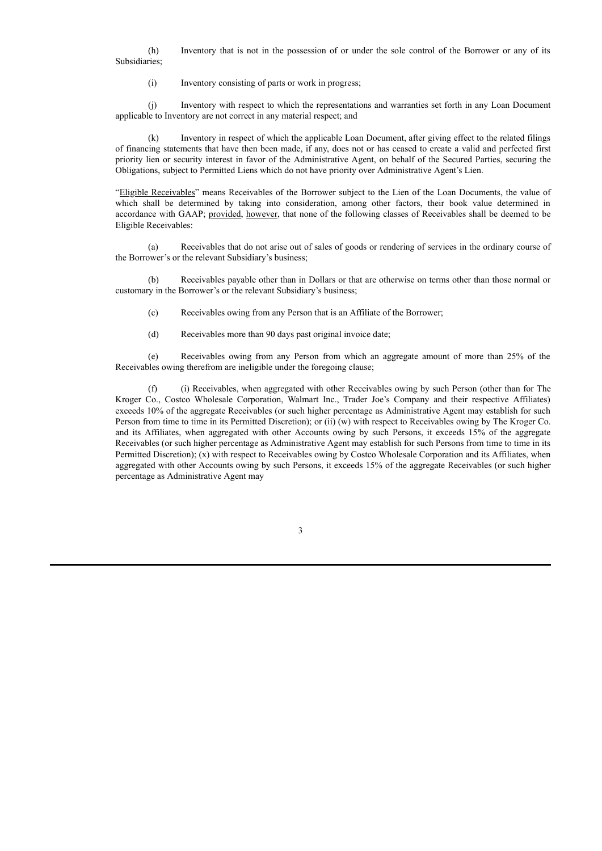(h) Inventory that is not in the possession of or under the sole control of the Borrower or any of its Subsidiaries;

(i) Inventory consisting of parts or work in progress;

(j) Inventory with respect to which the representations and warranties set forth in any Loan Document applicable to Inventory are not correct in any material respect; and

(k) Inventory in respect of which the applicable Loan Document, after giving effect to the related filings of financing statements that have then been made, if any, does not or has ceased to create a valid and perfected first priority lien or security interest in favor of the Administrative Agent, on behalf of the Secured Parties, securing the Obligations, subject to Permitted Liens which do not have priority over Administrative Agent's Lien.

"Eligible Receivables" means Receivables of the Borrower subject to the Lien of the Loan Documents, the value of which shall be determined by taking into consideration, among other factors, their book value determined in accordance with GAAP; provided, however, that none of the following classes of Receivables shall be deemed to be Eligible Receivables:

(a) Receivables that do not arise out of sales of goods or rendering of services in the ordinary course of the Borrower's or the relevant Subsidiary's business;

(b) Receivables payable other than in Dollars or that are otherwise on terms other than those normal or customary in the Borrower's or the relevant Subsidiary's business;

- (c) Receivables owing from any Person that is an Affiliate of the Borrower;
- (d) Receivables more than 90 days past original invoice date;

(e) Receivables owing from any Person from which an aggregate amount of more than 25% of the Receivables owing therefrom are ineligible under the foregoing clause;

(f) (i) Receivables, when aggregated with other Receivables owing by such Person (other than for The Kroger Co., Costco Wholesale Corporation, Walmart Inc., Trader Joe's Company and their respective Affiliates) exceeds 10% of the aggregate Receivables (or such higher percentage as Administrative Agent may establish for such Person from time to time in its Permitted Discretion); or (ii) (w) with respect to Receivables owing by The Kroger Co. and its Affiliates, when aggregated with other Accounts owing by such Persons, it exceeds 15% of the aggregate Receivables (or such higher percentage as Administrative Agent may establish for such Persons from time to time in its Permitted Discretion); (x) with respect to Receivables owing by Costco Wholesale Corporation and its Affiliates, when aggregated with other Accounts owing by such Persons, it exceeds 15% of the aggregate Receivables (or such higher percentage as Administrative Agent may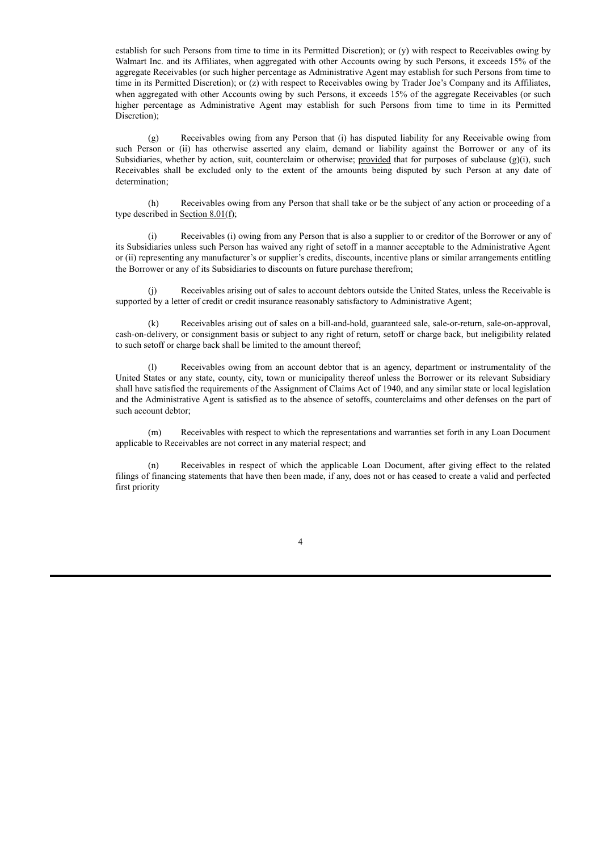establish for such Persons from time to time in its Permitted Discretion); or (y) with respect to Receivables owing by Walmart Inc. and its Affiliates, when aggregated with other Accounts owing by such Persons, it exceeds 15% of the aggregate Receivables (or such higher percentage as Administrative Agent may establish for such Persons from time to time in its Permitted Discretion); or (z) with respect to Receivables owing by Trader Joe's Company and its Affiliates, when aggregated with other Accounts owing by such Persons, it exceeds 15% of the aggregate Receivables (or such higher percentage as Administrative Agent may establish for such Persons from time to time in its Permitted Discretion);

(g) Receivables owing from any Person that (i) has disputed liability for any Receivable owing from such Person or (ii) has otherwise asserted any claim, demand or liability against the Borrower or any of its Subsidiaries, whether by action, suit, counterclaim or otherwise; provided that for purposes of subclause  $(g)(i)$ , such Receivables shall be excluded only to the extent of the amounts being disputed by such Person at any date of determination;

(h) Receivables owing from any Person that shall take or be the subject of any action or proceeding of a type described in Section 8.01(f);

(i) Receivables (i) owing from any Person that is also a supplier to or creditor of the Borrower or any of its Subsidiaries unless such Person has waived any right of setoff in a manner acceptable to the Administrative Agent or (ii) representing any manufacturer's or supplier's credits, discounts, incentive plans or similar arrangements entitling the Borrower or any of its Subsidiaries to discounts on future purchase therefrom;

(j) Receivables arising out of sales to account debtors outside the United States, unless the Receivable is supported by a letter of credit or credit insurance reasonably satisfactory to Administrative Agent;

(k) Receivables arising out of sales on a bill-and-hold, guaranteed sale, sale-or-return, sale-on-approval, cash-on-delivery, or consignment basis or subject to any right of return, setoff or charge back, but ineligibility related to such setoff or charge back shall be limited to the amount thereof;

(l) Receivables owing from an account debtor that is an agency, department or instrumentality of the United States or any state, county, city, town or municipality thereof unless the Borrower or its relevant Subsidiary shall have satisfied the requirements of the Assignment of Claims Act of 1940, and any similar state or local legislation and the Administrative Agent is satisfied as to the absence of setoffs, counterclaims and other defenses on the part of such account debtor;

(m) Receivables with respect to which the representations and warranties set forth in any Loan Document applicable to Receivables are not correct in any material respect; and

(n) Receivables in respect of which the applicable Loan Document, after giving effect to the related filings of financing statements that have then been made, if any, does not or has ceased to create a valid and perfected first priority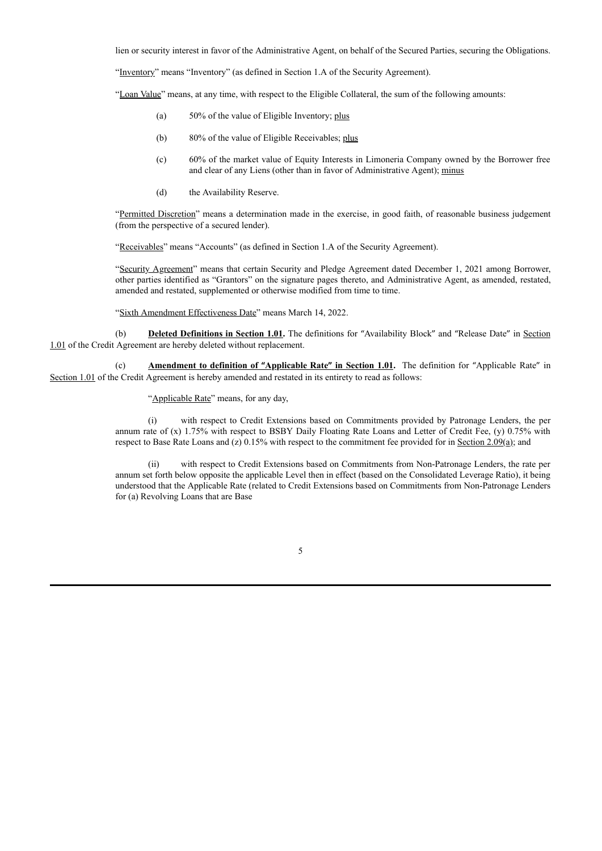lien or security interest in favor of the Administrative Agent, on behalf of the Secured Parties, securing the Obligations.

"Inventory" means "Inventory" (as defined in Section 1.A of the Security Agreement).

"Loan Value" means, at any time, with respect to the Eligible Collateral, the sum of the following amounts:

- (a) 50% of the value of Eligible Inventory; plus
- (b) 80% of the value of Eligible Receivables; plus
- (c) 60% of the market value of Equity Interests in Limoneria Company owned by the Borrower free and clear of any Liens (other than in favor of Administrative Agent); minus
- (d) the Availability Reserve.

"Permitted Discretion" means a determination made in the exercise, in good faith, of reasonable business judgement (from the perspective of a secured lender).

"Receivables" means "Accounts" (as defined in Section 1.A of the Security Agreement).

"Security Agreement" means that certain Security and Pledge Agreement dated December 1, 2021 among Borrower, other parties identified as "Grantors" on the signature pages thereto, and Administrative Agent, as amended, restated, amended and restated, supplemented or otherwise modified from time to time.

"Sixth Amendment Effectiveness Date" means March 14, 2022.

(b) **Deleted Definitions in Section 1.01.** The definitions for "Availability Block" and "Release Date" in Section 1.01 of the Credit Agreement are hereby deleted without replacement.

(c) **Amendment to definition of "Applicable Rate" in Section 1.01.** The definition for "Applicable Rate" in Section 1.01 of the Credit Agreement is hereby amended and restated in its entirety to read as follows:

"Applicable Rate" means, for any day,

(i) with respect to Credit Extensions based on Commitments provided by Patronage Lenders, the per annum rate of (x) 1.75% with respect to BSBY Daily Floating Rate Loans and Letter of Credit Fee, (y) 0.75% with respect to Base Rate Loans and (z)  $0.15\%$  with respect to the commitment fee provided for in Section 2.09(a); and

(ii) with respect to Credit Extensions based on Commitments from Non-Patronage Lenders, the rate per annum set forth below opposite the applicable Level then in effect (based on the Consolidated Leverage Ratio), it being understood that the Applicable Rate (related to Credit Extensions based on Commitments from Non-Patronage Lenders for (a) Revolving Loans that are Base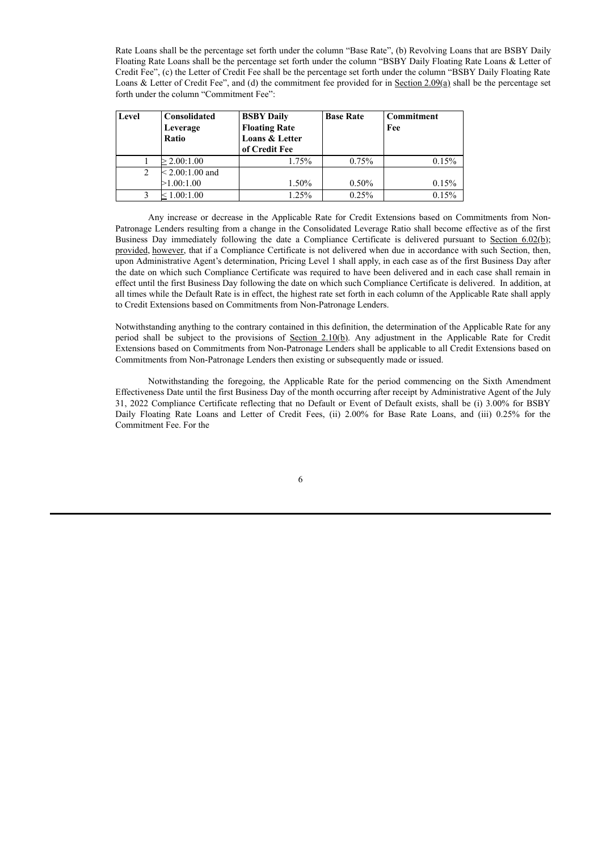Rate Loans shall be the percentage set forth under the column "Base Rate", (b) Revolving Loans that are BSBY Daily Floating Rate Loans shall be the percentage set forth under the column "BSBY Daily Floating Rate Loans & Letter of Credit Fee", (c) the Letter of Credit Fee shall be the percentage set forth under the column "BSBY Daily Floating Rate Loans & Letter of Credit Fee", and (d) the commitment fee provided for in Section 2.09(a) shall be the percentage set forth under the column "Commitment Fee":

| Level | Consolidated<br>Leverage<br>Ratio | <b>BSBY Daily</b><br><b>Floating Rate</b><br>Loans & Letter<br>of Credit Fee | <b>Base Rate</b> | Commitment<br>Fee |
|-------|-----------------------------------|------------------------------------------------------------------------------|------------------|-------------------|
|       | 2.00:1.00                         | 1.75%                                                                        | 0.75%            | 0.15%             |
| 2     | $< 2.00:1.00$ and                 |                                                                              |                  |                   |
|       | >1.00:1.00                        | 1.50%                                                                        | $0.50\%$         | 0.15%             |
|       | 1.00:1.00                         | 1.25%                                                                        | 0.25%            | 0.15%             |

Any increase or decrease in the Applicable Rate for Credit Extensions based on Commitments from Non-Patronage Lenders resulting from a change in the Consolidated Leverage Ratio shall become effective as of the first Business Day immediately following the date a Compliance Certificate is delivered pursuant to Section 6.02(b); provided, however, that if a Compliance Certificate is not delivered when due in accordance with such Section, then, upon Administrative Agent's determination, Pricing Level 1 shall apply, in each case as of the first Business Day after the date on which such Compliance Certificate was required to have been delivered and in each case shall remain in effect until the first Business Day following the date on which such Compliance Certificate is delivered. In addition, at all times while the Default Rate is in effect, the highest rate set forth in each column of the Applicable Rate shall apply to Credit Extensions based on Commitments from Non-Patronage Lenders.

Notwithstanding anything to the contrary contained in this definition, the determination of the Applicable Rate for any period shall be subject to the provisions of Section 2.10(b). Any adjustment in the Applicable Rate for Credit Extensions based on Commitments from Non-Patronage Lenders shall be applicable to all Credit Extensions based on Commitments from Non-Patronage Lenders then existing or subsequently made or issued.

Notwithstanding the foregoing, the Applicable Rate for the period commencing on the Sixth Amendment Effectiveness Date until the first Business Day of the month occurring after receipt by Administrative Agent of the July 31, 2022 Compliance Certificate reflecting that no Default or Event of Default exists, shall be (i) 3.00% for BSBY Daily Floating Rate Loans and Letter of Credit Fees, (ii) 2.00% for Base Rate Loans, and (iii) 0.25% for the Commitment Fee. For the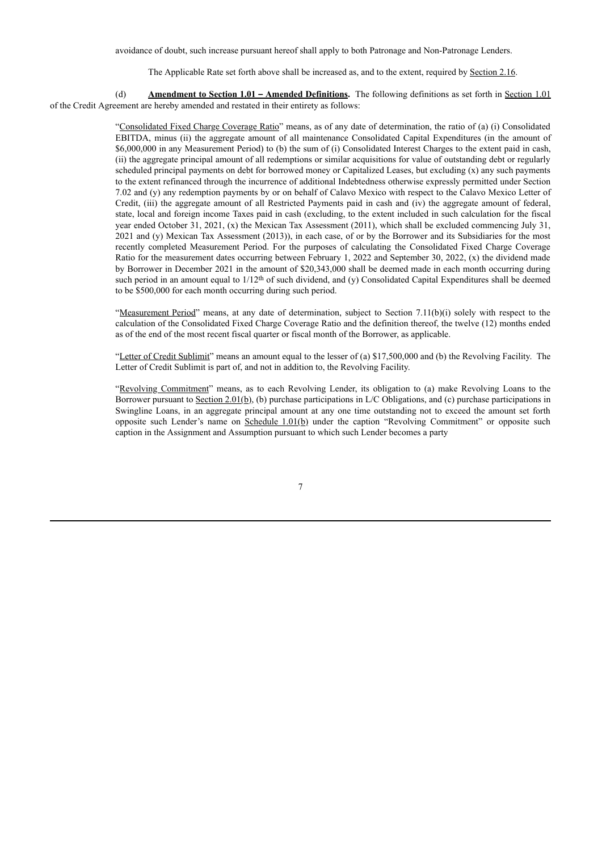avoidance of doubt, such increase pursuant hereof shall apply to both Patronage and Non-Patronage Lenders.

The Applicable Rate set forth above shall be increased as, and to the extent, required by Section 2.16.

(d) **Amendment to Section 1.01 – Amended Definitions.** The following definitions as set forth in Section 1.01 of the Credit Agreement are hereby amended and restated in their entirety as follows:

> "Consolidated Fixed Charge Coverage Ratio" means, as of any date of determination, the ratio of (a) (i) Consolidated EBITDA, minus (ii) the aggregate amount of all maintenance Consolidated Capital Expenditures (in the amount of \$6,000,000 in any Measurement Period) to (b) the sum of (i) Consolidated Interest Charges to the extent paid in cash, (ii) the aggregate principal amount of all redemptions or similar acquisitions for value of outstanding debt or regularly scheduled principal payments on debt for borrowed money or Capitalized Leases, but excluding (x) any such payments to the extent refinanced through the incurrence of additional Indebtedness otherwise expressly permitted under Section 7.02 and (y) any redemption payments by or on behalf of Calavo Mexico with respect to the Calavo Mexico Letter of Credit, (iii) the aggregate amount of all Restricted Payments paid in cash and (iv) the aggregate amount of federal, state, local and foreign income Taxes paid in cash (excluding, to the extent included in such calculation for the fiscal year ended October 31, 2021, (x) the Mexican Tax Assessment (2011), which shall be excluded commencing July 31, 2021 and (y) Mexican Tax Assessment (2013)), in each case, of or by the Borrower and its Subsidiaries for the most recently completed Measurement Period. For the purposes of calculating the Consolidated Fixed Charge Coverage Ratio for the measurement dates occurring between February 1, 2022 and September 30, 2022, (x) the dividend made by Borrower in December 2021 in the amount of \$20,343,000 shall be deemed made in each month occurring during such period in an amount equal to  $1/12<sup>th</sup>$  of such dividend, and (y) Consolidated Capital Expenditures shall be deemed to be \$500,000 for each month occurring during such period.

> "Measurement Period" means, at any date of determination, subject to Section 7.11(b)(i) solely with respect to the calculation of the Consolidated Fixed Charge Coverage Ratio and the definition thereof, the twelve (12) months ended as of the end of the most recent fiscal quarter or fiscal month of the Borrower, as applicable.

> "Letter of Credit Sublimit" means an amount equal to the lesser of (a) \$17,500,000 and (b) the Revolving Facility. The Letter of Credit Sublimit is part of, and not in addition to, the Revolving Facility.

> "Revolving Commitment" means, as to each Revolving Lender, its obligation to (a) make Revolving Loans to the Borrower pursuant to Section 2.01(b), (b) purchase participations in L/C Obligations, and (c) purchase participations in Swingline Loans, in an aggregate principal amount at any one time outstanding not to exceed the amount set forth opposite such Lender's name on Schedule  $1.01(b)$  under the caption "Revolving Commitment" or opposite such caption in the Assignment and Assumption pursuant to which such Lender becomes a party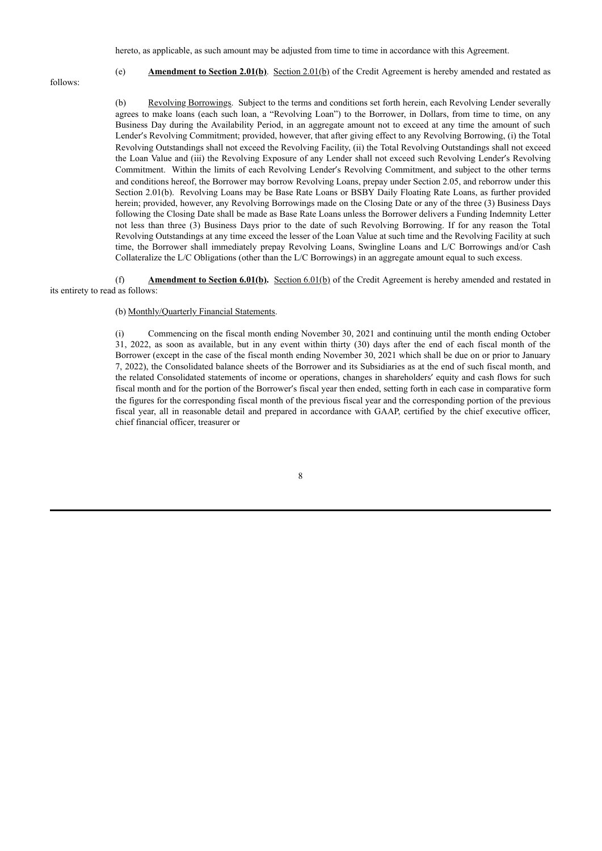hereto, as applicable, as such amount may be adjusted from time to time in accordance with this Agreement.

follows:

(e) **Amendment to Section 2.01(b)**. Section 2.01(b) of the Credit Agreement is hereby amended and restated as

(b) Revolving Borrowings. Subject to the terms and conditions set forth herein, each Revolving Lender severally agrees to make loans (each such loan, a "Revolving Loan") to the Borrower, in Dollars, from time to time, on any Business Day during the Availability Period, in an aggregate amount not to exceed at any time the amount of such Lender's Revolving Commitment; provided, however, that after giving effect to any Revolving Borrowing, (i) the Total Revolving Outstandings shall not exceed the Revolving Facility, (ii) the Total Revolving Outstandings shall not exceed the Loan Value and (iii) the Revolving Exposure of any Lender shall not exceed such Revolving Lender's Revolving Commitment. Within the limits of each Revolving Lender's Revolving Commitment, and subject to the other terms and conditions hereof, the Borrower may borrow Revolving Loans, prepay under Section 2.05, and reborrow under this Section 2.01(b). Revolving Loans may be Base Rate Loans or BSBY Daily Floating Rate Loans, as further provided herein; provided, however, any Revolving Borrowings made on the Closing Date or any of the three (3) Business Days following the Closing Date shall be made as Base Rate Loans unless the Borrower delivers a Funding Indemnity Letter not less than three (3) Business Days prior to the date of such Revolving Borrowing. If for any reason the Total Revolving Outstandings at any time exceed the lesser of the Loan Value at such time and the Revolving Facility at such time, the Borrower shall immediately prepay Revolving Loans, Swingline Loans and L/C Borrowings and/or Cash Collateralize the L/C Obligations (other than the L/C Borrowings) in an aggregate amount equal to such excess.

(f) **Amendment to Section 6.01(b).** Section 6.01(b) of the Credit Agreement is hereby amended and restated in its entirety to read as follows:

#### (b) Monthly/Quarterly Financial Statements.

(i) Commencing on the fiscal month ending November 30, 2021 and continuing until the month ending October 31, 2022, as soon as available, but in any event within thirty (30) days after the end of each fiscal month of the Borrower (except in the case of the fiscal month ending November 30, 2021 which shall be due on or prior to January 7, 2022), the Consolidated balance sheets of the Borrower and its Subsidiaries as at the end of such fiscal month, and the related Consolidated statements of income or operations, changes in shareholders' equity and cash flows for such fiscal month and for the portion of the Borrower's fiscal year then ended, setting forth in each case in comparative form the figures for the corresponding fiscal month of the previous fiscal year and the corresponding portion of the previous fiscal year, all in reasonable detail and prepared in accordance with GAAP, certified by the chief executive officer, chief financial officer, treasurer or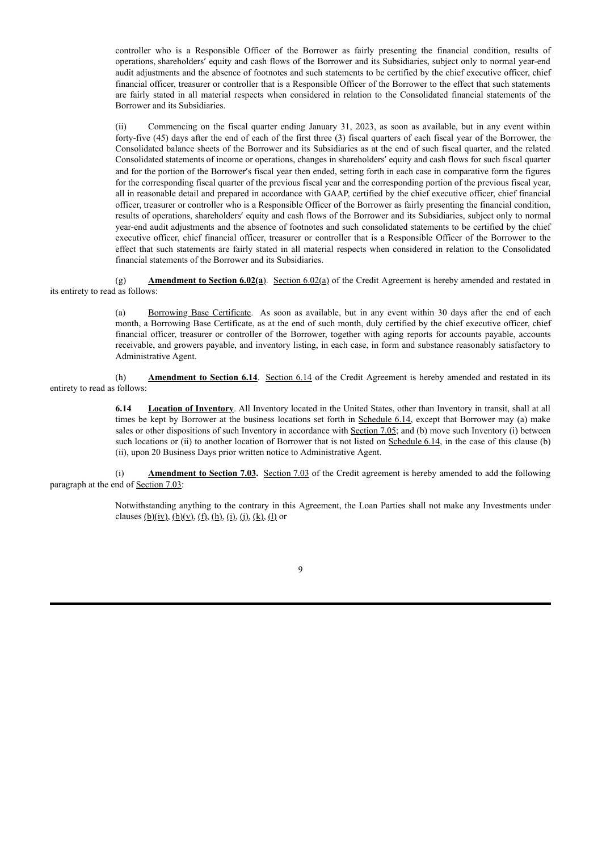controller who is a Responsible Officer of the Borrower as fairly presenting the financial condition, results of operations, shareholders' equity and cash flows of the Borrower and its Subsidiaries, subject only to normal year-end audit adjustments and the absence of footnotes and such statements to be certified by the chief executive officer, chief financial officer, treasurer or controller that is a Responsible Officer of the Borrower to the effect that such statements are fairly stated in all material respects when considered in relation to the Consolidated financial statements of the Borrower and its Subsidiaries.

(ii) Commencing on the fiscal quarter ending January 31, 2023, as soon as available, but in any event within forty-five (45) days after the end of each of the first three (3) fiscal quarters of each fiscal year of the Borrower, the Consolidated balance sheets of the Borrower and its Subsidiaries as at the end of such fiscal quarter, and the related Consolidated statements of income or operations, changes in shareholders' equity and cash flows for such fiscal quarter and for the portion of the Borrower's fiscal year then ended, setting forth in each case in comparative form the figures for the corresponding fiscal quarter of the previous fiscal year and the corresponding portion of the previous fiscal year, all in reasonable detail and prepared in accordance with GAAP, certified by the chief executive officer, chief financial officer, treasurer or controller who is a Responsible Officer of the Borrower as fairly presenting the financial condition, results of operations, shareholders' equity and cash flows of the Borrower and its Subsidiaries, subject only to normal year-end audit adjustments and the absence of footnotes and such consolidated statements to be certified by the chief executive officer, chief financial officer, treasurer or controller that is a Responsible Officer of the Borrower to the effect that such statements are fairly stated in all material respects when considered in relation to the Consolidated financial statements of the Borrower and its Subsidiaries.

(g) **Amendment to Section 6.02(a**). Section 6.02(a) of the Credit Agreement is hereby amended and restated in its entirety to read as follows:

> (a) Borrowing Base Certificate. As soon as available, but in any event within 30 days after the end of each month, a Borrowing Base Certificate, as at the end of such month, duly certified by the chief executive officer, chief financial officer, treasurer or controller of the Borrower, together with aging reports for accounts payable, accounts receivable, and growers payable, and inventory listing, in each case, in form and substance reasonably satisfactory to Administrative Agent.

(h) **Amendment to Section 6.14**. Section 6.14 of the Credit Agreement is hereby amended and restated in its entirety to read as follows:

> **6.14 Location of Inventory**. All Inventory located in the United States, other than Inventory in transit, shall at all times be kept by Borrower at the business locations set forth in Schedule 6.14, except that Borrower may (a) make sales or other dispositions of such Inventory in accordance with Section 7.05; and (b) move such Inventory (i) between such locations or (ii) to another location of Borrower that is not listed on Schedule 6.14, in the case of this clause (b) (ii), upon 20 Business Days prior written notice to Administrative Agent.

(i) **Amendment to Section 7.03.** Section 7.03 of the Credit agreement is hereby amended to add the following paragraph at the end of Section 7.03:

> Notwithstanding anything to the contrary in this Agreement, the Loan Parties shall not make any Investments under clauses  $(\underline{b})(\underline{iv})$ ,  $(\underline{b})(\underline{v})$ ,  $(\underline{f})$ ,  $(\underline{h})$ ,  $(\underline{i})$ ,  $(\underline{j})$ ,  $(\underline{k})$ ,  $(\underline{l})$  or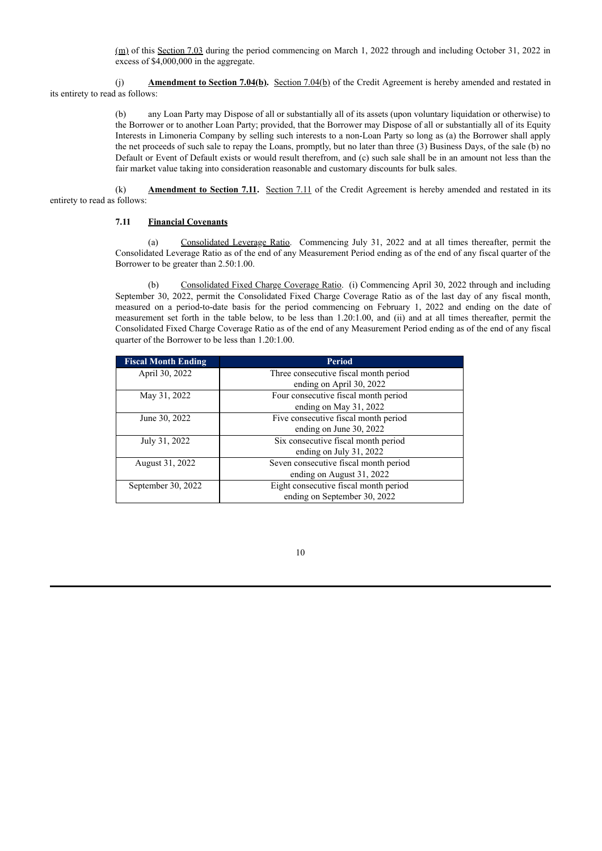(m) of this Section 7.03 during the period commencing on March 1, 2022 through and including October 31, 2022 in excess of \$4,000,000 in the aggregate.

(j) **Amendment to Section 7.04(b).** Section 7.04(b) of the Credit Agreement is hereby amended and restated in its entirety to read as follows:

> (b) any Loan Party may Dispose of all or substantially all of its assets (upon voluntary liquidation or otherwise) to the Borrower or to another Loan Party; provided, that the Borrower may Dispose of all or substantially all of its Equity Interests in Limoneria Company by selling such interests to a non-Loan Party so long as (a) the Borrower shall apply the net proceeds of such sale to repay the Loans, promptly, but no later than three (3) Business Days, of the sale (b) no Default or Event of Default exists or would result therefrom, and (c) such sale shall be in an amount not less than the fair market value taking into consideration reasonable and customary discounts for bulk sales.

(k) **Amendment to Section 7.11.** Section 7.11 of the Credit Agreement is hereby amended and restated in its entirety to read as follows:

### **7.11 Financial Covenants**

(a) Consolidated Leverage Ratio. Commencing July 31, 2022 and at all times thereafter, permit the Consolidated Leverage Ratio as of the end of any Measurement Period ending as of the end of any fiscal quarter of the Borrower to be greater than 2.50:1.00.

(b) Consolidated Fixed Charge Coverage Ratio. (i) Commencing April 30, 2022 through and including September 30, 2022, permit the Consolidated Fixed Charge Coverage Ratio as of the last day of any fiscal month, measured on a period-to-date basis for the period commencing on February 1, 2022 and ending on the date of measurement set forth in the table below, to be less than 1.20:1.00, and (ii) and at all times thereafter, permit the Consolidated Fixed Charge Coverage Ratio as of the end of any Measurement Period ending as of the end of any fiscal quarter of the Borrower to be less than 1.20:1.00.

| <b>Fiscal Month Ending</b> | <b>Period</b>                         |  |
|----------------------------|---------------------------------------|--|
| April 30, 2022             | Three consecutive fiscal month period |  |
|                            | ending on April 30, 2022              |  |
| May 31, 2022               | Four consecutive fiscal month period  |  |
|                            | ending on May $31, 2022$              |  |
| June 30, 2022              | Five consecutive fiscal month period  |  |
|                            | ending on June $30, 2022$             |  |
| July 31, 2022              | Six consecutive fiscal month period   |  |
|                            | ending on July 31, 2022               |  |
| August 31, 2022            | Seven consecutive fiscal month period |  |
|                            | ending on August 31, 2022             |  |
| September 30, 2022         | Eight consecutive fiscal month period |  |
|                            | ending on September 30, 2022          |  |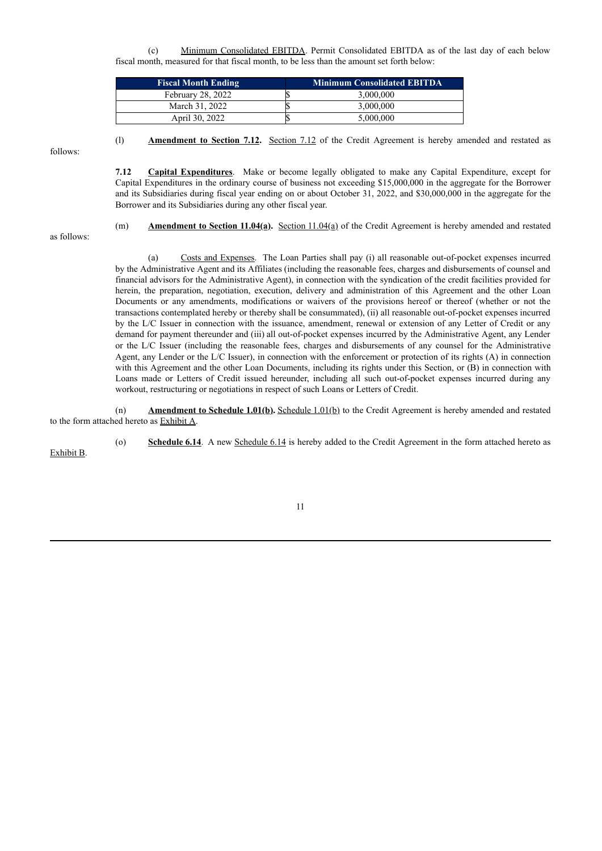(c) Minimum Consolidated EBITDA. Permit Consolidated EBITDA as of the last day of each below fiscal month, measured for that fiscal month, to be less than the amount set forth below:

| <b>Fiscal Month Ending</b> | <b>Minimum Consolidated EBITDA</b> |
|----------------------------|------------------------------------|
| <b>February 28, 2022</b>   | 3.000.000                          |
| March 31, 2022             | 3.000.000                          |
| April 30, 2022             | 5,000,000                          |

follows:

(l) **Amendment to Section 7.12.** Section 7.12 of the Credit Agreement is hereby amended and restated as

**7.12 Capital Expenditures**. Make or become legally obligated to make any Capital Expenditure, except for Capital Expenditures in the ordinary course of business not exceeding \$15,000,000 in the aggregate for the Borrower and its Subsidiaries during fiscal year ending on or about October 31, 2022, and \$30,000,000 in the aggregate for the Borrower and its Subsidiaries during any other fiscal year.

as follows:

(m) **Amendment to Section 11.04(a).** Section 11.04(a) of the Credit Agreement is hereby amended and restated

(a) Costs and Expenses. The Loan Parties shall pay (i) all reasonable out-of-pocket expenses incurred by the Administrative Agent and its Affiliates (including the reasonable fees, charges and disbursements of counsel and financial advisors for the Administrative Agent), in connection with the syndication of the credit facilities provided for herein, the preparation, negotiation, execution, delivery and administration of this Agreement and the other Loan Documents or any amendments, modifications or waivers of the provisions hereof or thereof (whether or not the transactions contemplated hereby or thereby shall be consummated), (ii) all reasonable out-of-pocket expenses incurred by the L/C Issuer in connection with the issuance, amendment, renewal or extension of any Letter of Credit or any demand for payment thereunder and (iii) all out-of-pocket expenses incurred by the Administrative Agent, any Lender or the L/C Issuer (including the reasonable fees, charges and disbursements of any counsel for the Administrative Agent, any Lender or the L/C Issuer), in connection with the enforcement or protection of its rights (A) in connection with this Agreement and the other Loan Documents, including its rights under this Section, or (B) in connection with Loans made or Letters of Credit issued hereunder, including all such out-of-pocket expenses incurred during any workout, restructuring or negotiations in respect of such Loans or Letters of Credit.

(n) **Amendment to Schedule 1.01(b).** Schedule 1.01(b) to the Credit Agreement is hereby amended and restated to the form attached hereto as Exhibit A.

Exhibit B.

(o) **Schedule 6.14**. A new Schedule 6.14 is hereby added to the Credit Agreement in the form attached hereto as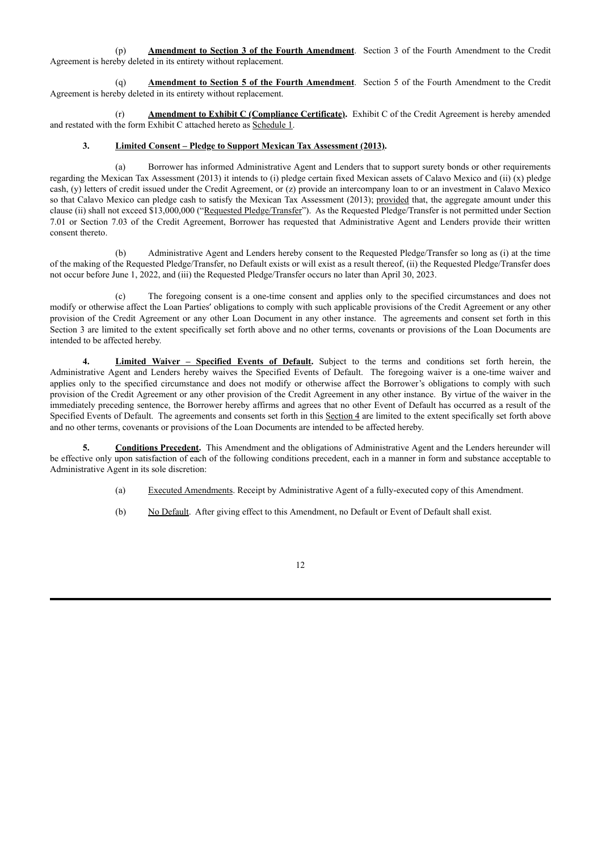(p) **Amendment to Section 3 of the Fourth Amendment**. Section 3 of the Fourth Amendment to the Credit Agreement is hereby deleted in its entirety without replacement.

(q) **Amendment to Section 5 of the Fourth Amendment**. Section 5 of the Fourth Amendment to the Credit Agreement is hereby deleted in its entirety without replacement.

(r) **Amendment to Exhibit C (Compliance Certificate).** Exhibit C of the Credit Agreement is hereby amended and restated with the form Exhibit C attached hereto as Schedule 1.

### **3. Limited Consent – Pledge to Support Mexican Tax Assessment (2013).**

(a) Borrower has informed Administrative Agent and Lenders that to support surety bonds or other requirements regarding the Mexican Tax Assessment (2013) it intends to (i) pledge certain fixed Mexican assets of Calavo Mexico and (ii) (x) pledge cash, (y) letters of credit issued under the Credit Agreement, or (z) provide an intercompany loan to or an investment in Calavo Mexico so that Calavo Mexico can pledge cash to satisfy the Mexican Tax Assessment (2013); provided that, the aggregate amount under this clause (ii) shall not exceed \$13,000,000 ("Requested Pledge/Transfer"). As the Requested Pledge/Transfer is not permitted under Section 7.01 or Section 7.03 of the Credit Agreement, Borrower has requested that Administrative Agent and Lenders provide their written consent thereto.

(b) Administrative Agent and Lenders hereby consent to the Requested Pledge/Transfer so long as (i) at the time of the making of the Requested Pledge/Transfer, no Default exists or will exist as a result thereof, (ii) the Requested Pledge/Transfer does not occur before June 1, 2022, and (iii) the Requested Pledge/Transfer occurs no later than April 30, 2023.

(c) The foregoing consent is a one-time consent and applies only to the specified circumstances and does not modify or otherwise affect the Loan Parties' obligations to comply with such applicable provisions of the Credit Agreement or any other provision of the Credit Agreement or any other Loan Document in any other instance. The agreements and consent set forth in this Section 3 are limited to the extent specifically set forth above and no other terms, covenants or provisions of the Loan Documents are intended to be affected hereby.

**4. Limited Waiver – Specified Events of Default.** Subject to the terms and conditions set forth herein, the Administrative Agent and Lenders hereby waives the Specified Events of Default. The foregoing waiver is a one-time waiver and applies only to the specified circumstance and does not modify or otherwise affect the Borrower's obligations to comply with such provision of the Credit Agreement or any other provision of the Credit Agreement in any other instance. By virtue of the waiver in the immediately preceding sentence, the Borrower hereby affirms and agrees that no other Event of Default has occurred as a result of the Specified Events of Default. The agreements and consents set forth in this Section 4 are limited to the extent specifically set forth above and no other terms, covenants or provisions of the Loan Documents are intended to be affected hereby.

**5. Conditions Precedent.** This Amendment and the obligations of Administrative Agent and the Lenders hereunder will be effective only upon satisfaction of each of the following conditions precedent, each in a manner in form and substance acceptable to Administrative Agent in its sole discretion:

(a) Executed Amendments. Receipt by Administrative Agent of a fully-executed copy of this Amendment.

(b) No Default. After giving effect to this Amendment, no Default or Event of Default shall exist.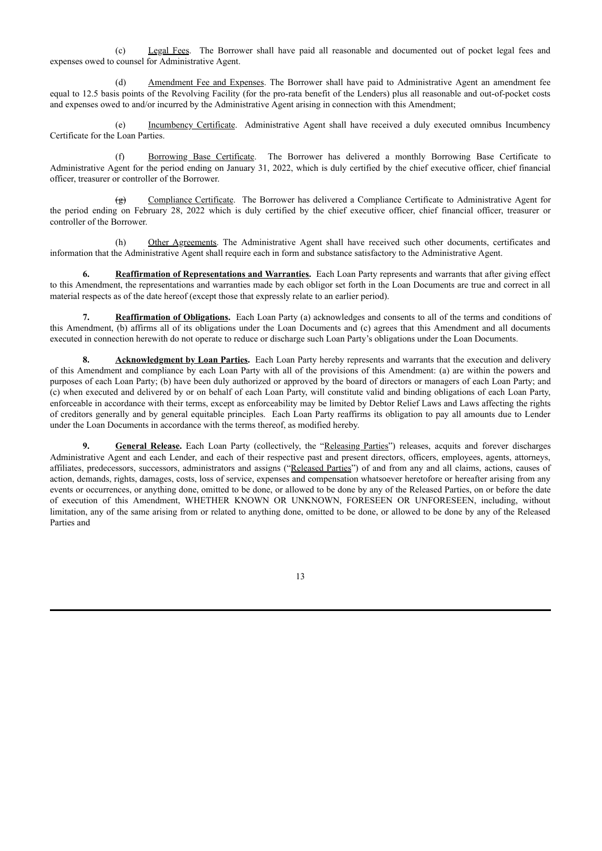(c) Legal Fees. The Borrower shall have paid all reasonable and documented out of pocket legal fees and expenses owed to counsel for Administrative Agent.

(d) Amendment Fee and Expenses. The Borrower shall have paid to Administrative Agent an amendment fee equal to 12.5 basis points of the Revolving Facility (for the pro-rata benefit of the Lenders) plus all reasonable and out-of-pocket costs and expenses owed to and/or incurred by the Administrative Agent arising in connection with this Amendment;

(e) Incumbency Certificate. Administrative Agent shall have received a duly executed omnibus Incumbency Certificate for the Loan Parties.

(f) Borrowing Base Certificate. The Borrower has delivered a monthly Borrowing Base Certificate to Administrative Agent for the period ending on January 31, 2022, which is duly certified by the chief executive officer, chief financial officer, treasurer or controller of the Borrower.

(g) Compliance Certificate. The Borrower has delivered a Compliance Certificate to Administrative Agent for the period ending on February 28, 2022 which is duly certified by the chief executive officer, chief financial officer, treasurer or controller of the Borrower.

(h) Other Agreements. The Administrative Agent shall have received such other documents, certificates and information that the Administrative Agent shall require each in form and substance satisfactory to the Administrative Agent.

**6. Reaffirmation of Representations and Warranties.** Each Loan Party represents and warrants that after giving effect to this Amendment, the representations and warranties made by each obligor set forth in the Loan Documents are true and correct in all material respects as of the date hereof (except those that expressly relate to an earlier period).

**7. Reaffirmation of Obligations.** Each Loan Party (a) acknowledges and consents to all of the terms and conditions of this Amendment, (b) affirms all of its obligations under the Loan Documents and (c) agrees that this Amendment and all documents executed in connection herewith do not operate to reduce or discharge such Loan Party's obligations under the Loan Documents.

**8. Acknowledgment by Loan Parties.** Each Loan Party hereby represents and warrants that the execution and delivery of this Amendment and compliance by each Loan Party with all of the provisions of this Amendment: (a) are within the powers and purposes of each Loan Party; (b) have been duly authorized or approved by the board of directors or managers of each Loan Party; and (c) when executed and delivered by or on behalf of each Loan Party, will constitute valid and binding obligations of each Loan Party, enforceable in accordance with their terms, except as enforceability may be limited by Debtor Relief Laws and Laws affecting the rights of creditors generally and by general equitable principles. Each Loan Party reaffirms its obligation to pay all amounts due to Lender under the Loan Documents in accordance with the terms thereof, as modified hereby.

**9. General Release.** Each Loan Party (collectively, the "Releasing Parties") releases, acquits and forever discharges Administrative Agent and each Lender, and each of their respective past and present directors, officers, employees, agents, attorneys, affiliates, predecessors, successors, administrators and assigns ("Released Parties") of and from any and all claims, actions, causes of action, demands, rights, damages, costs, loss of service, expenses and compensation whatsoever heretofore or hereafter arising from any events or occurrences, or anything done, omitted to be done, or allowed to be done by any of the Released Parties, on or before the date of execution of this Amendment, WHETHER KNOWN OR UNKNOWN, FORESEEN OR UNFORESEEN, including, without limitation, any of the same arising from or related to anything done, omitted to be done, or allowed to be done by any of the Released Parties and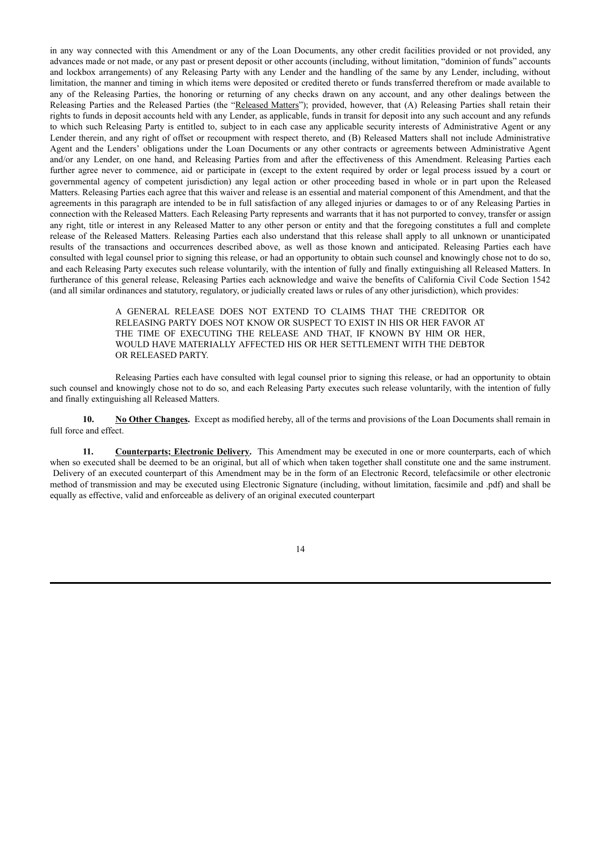in any way connected with this Amendment or any of the Loan Documents, any other credit facilities provided or not provided, any advances made or not made, or any past or present deposit or other accounts (including, without limitation, "dominion of funds" accounts and lockbox arrangements) of any Releasing Party with any Lender and the handling of the same by any Lender, including, without limitation, the manner and timing in which items were deposited or credited thereto or funds transferred therefrom or made available to any of the Releasing Parties, the honoring or returning of any checks drawn on any account, and any other dealings between the Releasing Parties and the Released Parties (the "Released Matters"); provided, however, that (A) Releasing Parties shall retain their rights to funds in deposit accounts held with any Lender, as applicable, funds in transit for deposit into any such account and any refunds to which such Releasing Party is entitled to, subject to in each case any applicable security interests of Administrative Agent or any Lender therein, and any right of offset or recoupment with respect thereto, and (B) Released Matters shall not include Administrative Agent and the Lenders' obligations under the Loan Documents or any other contracts or agreements between Administrative Agent and/or any Lender, on one hand, and Releasing Parties from and after the effectiveness of this Amendment. Releasing Parties each further agree never to commence, aid or participate in (except to the extent required by order or legal process issued by a court or governmental agency of competent jurisdiction) any legal action or other proceeding based in whole or in part upon the Released Matters. Releasing Parties each agree that this waiver and release is an essential and material component of this Amendment, and that the agreements in this paragraph are intended to be in full satisfaction of any alleged injuries or damages to or of any Releasing Parties in connection with the Released Matters. Each Releasing Party represents and warrants that it has not purported to convey, transfer or assign any right, title or interest in any Released Matter to any other person or entity and that the foregoing constitutes a full and complete release of the Released Matters. Releasing Parties each also understand that this release shall apply to all unknown or unanticipated results of the transactions and occurrences described above, as well as those known and anticipated. Releasing Parties each have consulted with legal counsel prior to signing this release, or had an opportunity to obtain such counsel and knowingly chose not to do so, and each Releasing Party executes such release voluntarily, with the intention of fully and finally extinguishing all Released Matters. In furtherance of this general release, Releasing Parties each acknowledge and waive the benefits of California Civil Code Section 1542 (and all similar ordinances and statutory, regulatory, or judicially created laws or rules of any other jurisdiction), which provides:

> A GENERAL RELEASE DOES NOT EXTEND TO CLAIMS THAT THE CREDITOR OR RELEASING PARTY DOES NOT KNOW OR SUSPECT TO EXIST IN HIS OR HER FAVOR AT THE TIME OF EXECUTING THE RELEASE AND THAT, IF KNOWN BY HIM OR HER, WOULD HAVE MATERIALLY AFFECTED HIS OR HER SETTLEMENT WITH THE DEBTOR OR RELEASED PARTY.

Releasing Parties each have consulted with legal counsel prior to signing this release, or had an opportunity to obtain such counsel and knowingly chose not to do so, and each Releasing Party executes such release voluntarily, with the intention of fully and finally extinguishing all Released Matters.

**10. No Other Changes.** Except as modified hereby, all of the terms and provisions of the Loan Documents shall remain in full force and effect.

**11. Counterparts; Electronic Delivery.** This Amendment may be executed in one or more counterparts, each of which when so executed shall be deemed to be an original, but all of which when taken together shall constitute one and the same instrument. Delivery of an executed counterpart of this Amendment may be in the form of an Electronic Record, telefacsimile or other electronic method of transmission and may be executed using Electronic Signature (including, without limitation, facsimile and .pdf) and shall be equally as effective, valid and enforceable as delivery of an original executed counterpart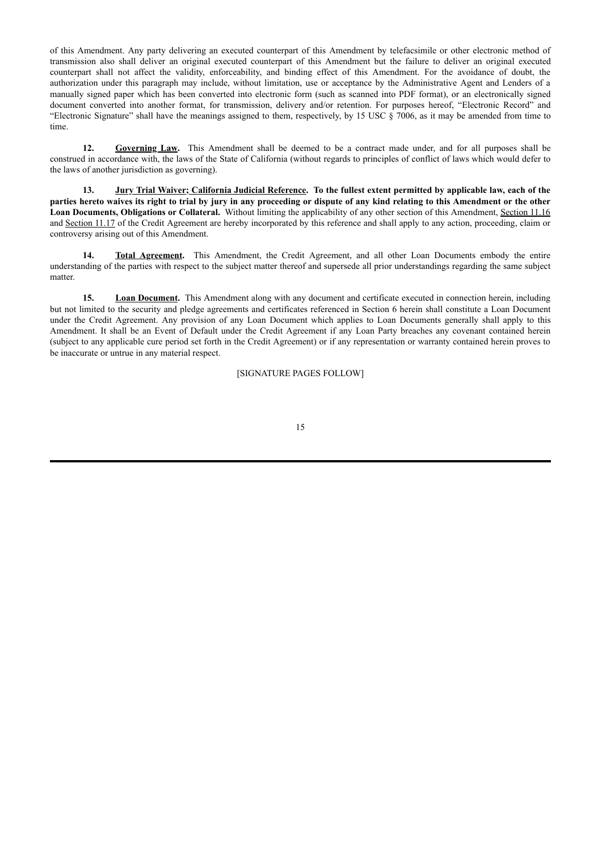of this Amendment. Any party delivering an executed counterpart of this Amendment by telefacsimile or other electronic method of transmission also shall deliver an original executed counterpart of this Amendment but the failure to deliver an original executed counterpart shall not affect the validity, enforceability, and binding effect of this Amendment. For the avoidance of doubt, the authorization under this paragraph may include, without limitation, use or acceptance by the Administrative Agent and Lenders of a manually signed paper which has been converted into electronic form (such as scanned into PDF format), or an electronically signed document converted into another format, for transmission, delivery and/or retention. For purposes hereof, "Electronic Record" and "Electronic Signature" shall have the meanings assigned to them, respectively, by 15 USC § 7006, as it may be amended from time to time.

**12. Governing Law.** This Amendment shall be deemed to be a contract made under, and for all purposes shall be construed in accordance with, the laws of the State of California (without regards to principles of conflict of laws which would defer to the laws of another jurisdiction as governing).

13. Jury Trial Waiver; California Judicial Reference. To the fullest extent permitted by applicable law, each of the parties hereto waives its right to trial by jury in any proceeding or dispute of any kind relating to this Amendment or the other **Loan Documents, Obligations or Collateral.** Without limiting the applicability of any other section of this Amendment, Section 11.16 and Section 11.17 of the Credit Agreement are hereby incorporated by this reference and shall apply to any action, proceeding, claim or controversy arising out of this Amendment.

**14. Total Agreement.** This Amendment, the Credit Agreement, and all other Loan Documents embody the entire understanding of the parties with respect to the subject matter thereof and supersede all prior understandings regarding the same subject matter.

**15. Loan Document.** This Amendment along with any document and certificate executed in connection herein, including but not limited to the security and pledge agreements and certificates referenced in Section 6 herein shall constitute a Loan Document under the Credit Agreement. Any provision of any Loan Document which applies to Loan Documents generally shall apply to this Amendment. It shall be an Event of Default under the Credit Agreement if any Loan Party breaches any covenant contained herein (subject to any applicable cure period set forth in the Credit Agreement) or if any representation or warranty contained herein proves to be inaccurate or untrue in any material respect.

[SIGNATURE PAGES FOLLOW]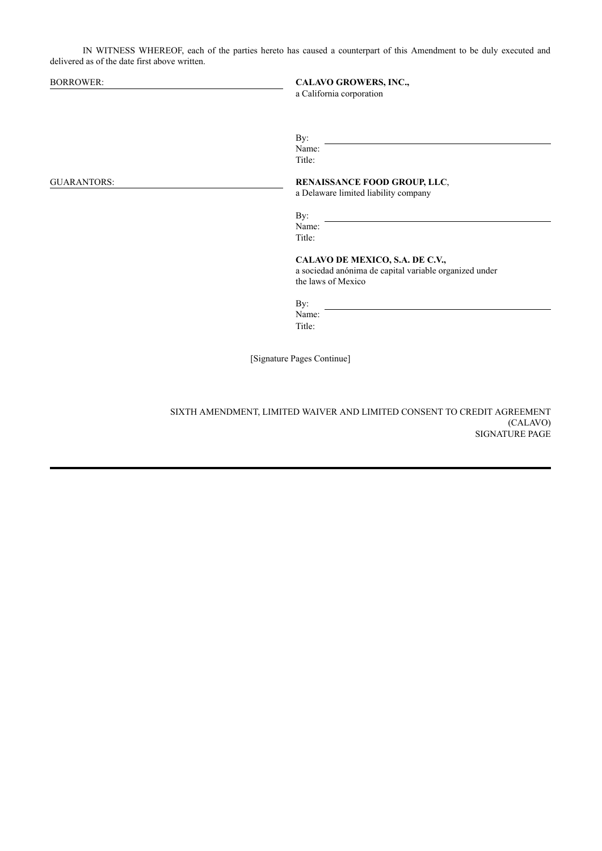IN WITNESS WHEREOF, each of the parties hereto has caused a counterpart of this Amendment to be duly executed and delivered as of the date first above written.

| <b>BORROWER:</b>   | CALAVO GROWERS, INC.,<br>a California corporation                                                               |
|--------------------|-----------------------------------------------------------------------------------------------------------------|
|                    | By:<br>Name:<br>Title:                                                                                          |
| <b>GUARANTORS:</b> | RENAISSANCE FOOD GROUP, LLC,<br>a Delaware limited liability company                                            |
|                    | By:<br>Name:<br>Title:                                                                                          |
|                    | CALAVO DE MEXICO, S.A. DE C.V.,<br>a sociedad anónima de capital variable organized under<br>the laws of Mexico |
|                    | By:<br>Name:<br>Title:                                                                                          |
|                    | [Signature Pages Continue]                                                                                      |
|                    |                                                                                                                 |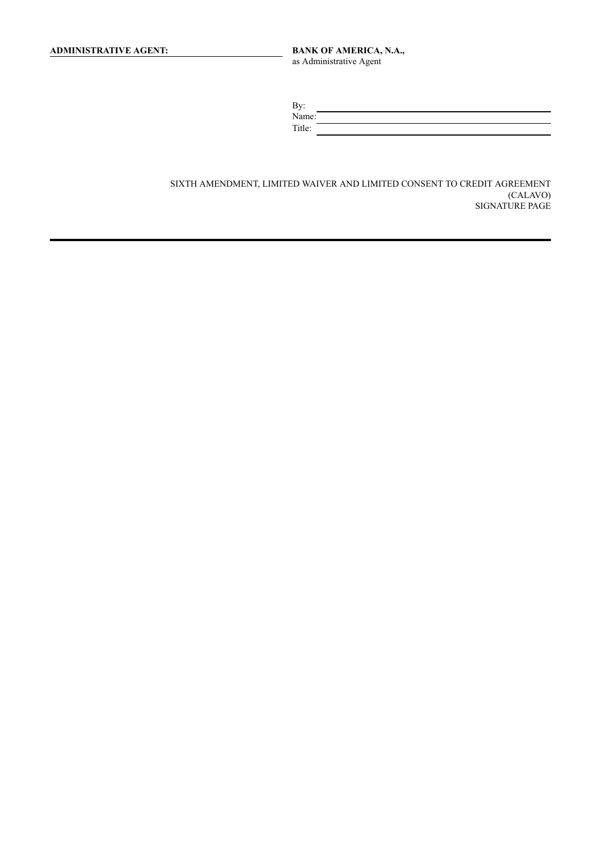as Administrative Agent

| By:    |  |
|--------|--|
| Name:  |  |
| Title: |  |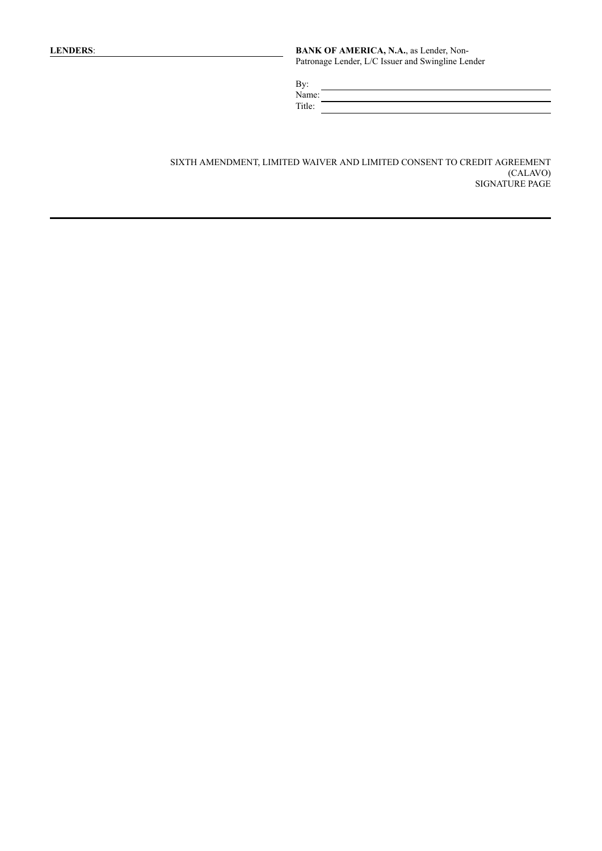**LENDERS**: **BANK OF AMERICA, N.A.**, as Lender, Non-Patronage Lender, L/C Issuer and Swingline Lender

| By:    |  |
|--------|--|
| Name:  |  |
| Title: |  |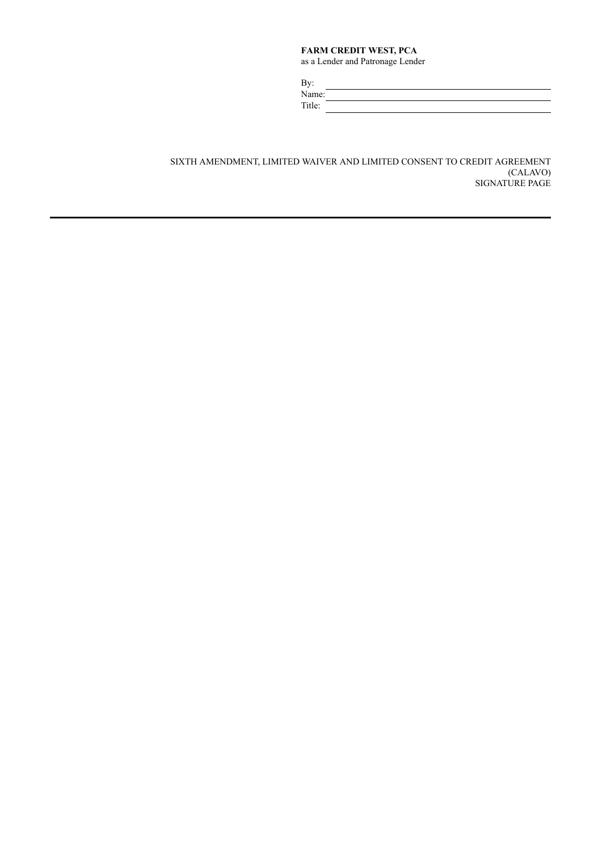# **FARM CREDIT WEST, PCA**

as a Lender and Patronage Lender

By: Name: Title: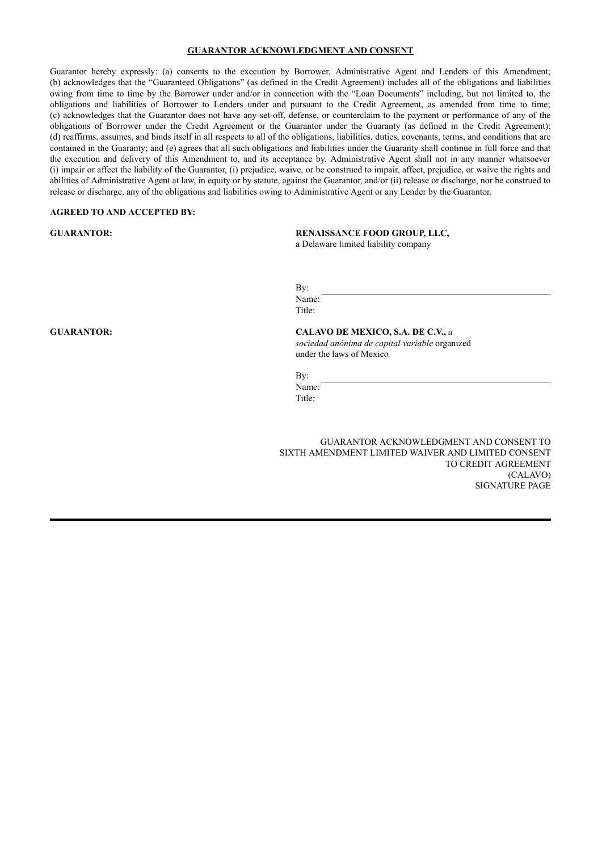#### **GUARANTOR ACKNOWLEDGMENT AND CONSENT**

Guarantor hereby expressly: (a) consents to the execution by Borrower, Administrative Agent and Lenders of this Amendment; (b) acknowledges that the "Guaranteed Obligations" (as defined in the Credit Agreement) includes all of the obligations and liabilities owing from time to time by the Borrower under and/or in connection with the "Loan Documents" including, but not limited to, the obligations and liabilities of Borrower to Lenders under and pursuant to the Credit Agreement, as amended from time to time; (c) acknowledges that the Guarantor does not have any set-off, defense, or counterclaim to the payment or performance of any of the obligations of Borrower under the Credit Agreement or the Guarantor under the Guaranty (as defined in the Credit Agreement); (d) reaffirms, assumes, and binds itself in all respects to all of the obligations, liabilities, duties, covenants, terms, and conditions that are contained in the Guaranty; and (e) agrees that all such obligations and liabilities under the Guaranty shall continue in full force and that the execution and delivery of this Amendment to, and its acceptance by, Administrative Agent shall not in any manner whatsoever (i) impair or affect the liability of the Guarantor, (i) prejudice, waive, or be construed to impair, affect, prejudice, or waive the rights and abilities of Administrative Agent at law, in equity or by statute, against the Guarantor, and/or (ii) release or discharge, nor be construed to release or discharge, any of the obligations and liabilities owing to Administrative Agent or any Lender by the Guarantor.

#### **AGREED TO AND ACCEPTED BY:**

### **GUARANTOR: RENAISSANCE FOOD GROUP, LLC,** a Delaware limited liability company

By: Name: Title:

#### **GUARANTOR: CALAVO DE MEXICO, S.A. DE C.V.,** *a*

*sociedad anónima de capital variable* organized under the laws of Mexico

 $Bv$ Name: Title:

GUARANTOR ACKNOWLEDGMENT AND CONSENT TO SIXTH AMENDMENT LIMITED WAIVER AND LIMITED CONSENT TO CREDIT AGREEMENT (CALAVO) SIGNATURE PAGE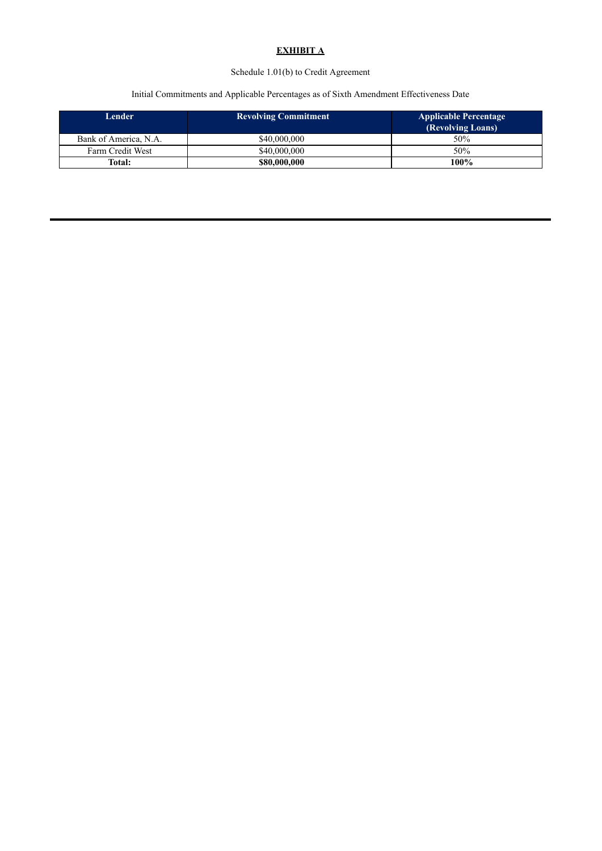# **EXHIBIT A**

# Schedule 1.01(b) to Credit Agreement

# Initial Commitments and Applicable Percentages as of Sixth Amendment Effectiveness Date

| Lender                | <b>Revolving Commitment</b> | <b>Applicable Percentage</b><br>(Revolving Loans) |
|-----------------------|-----------------------------|---------------------------------------------------|
| Bank of America, N.A. | \$40,000,000                | 50%                                               |
| Farm Credit West      | \$40,000,000                | 50%                                               |
| Total:                | \$80,000,000                | 100%                                              |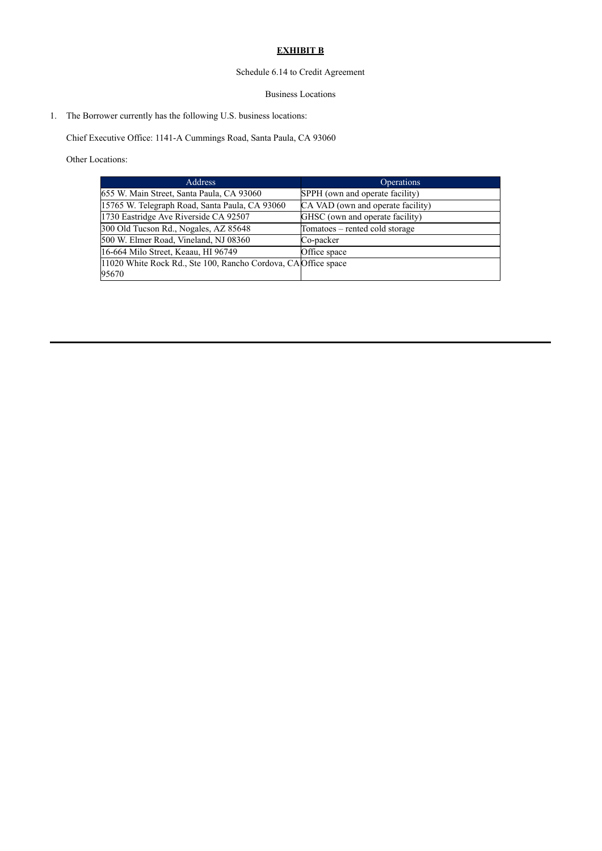# **EXHIBIT B**

# Schedule 6.14 to Credit Agreement

# Business Locations

# 1. The Borrower currently has the following U.S. business locations:

Chief Executive Office: 1141-A Cummings Road, Santa Paula, CA 93060

Other Locations:

| Address                                                       | Operations                        |
|---------------------------------------------------------------|-----------------------------------|
| 655 W. Main Street, Santa Paula, CA 93060                     | SPPH (own and operate facility)   |
| 15765 W. Telegraph Road, Santa Paula, CA 93060                | CA VAD (own and operate facility) |
| 1730 Eastridge Ave Riverside CA 92507                         | GHSC (own and operate facility)   |
| 300 Old Tucson Rd., Nogales, AZ 85648                         | Tomatoes – rented cold storage    |
| 500 W. Elmer Road, Vineland, NJ 08360                         | Co-packer                         |
| 16-664 Milo Street, Keaau, HI 96749                           | Office space                      |
| 11020 White Rock Rd., Ste 100, Rancho Cordova, CAOffice space |                                   |
| 95670                                                         |                                   |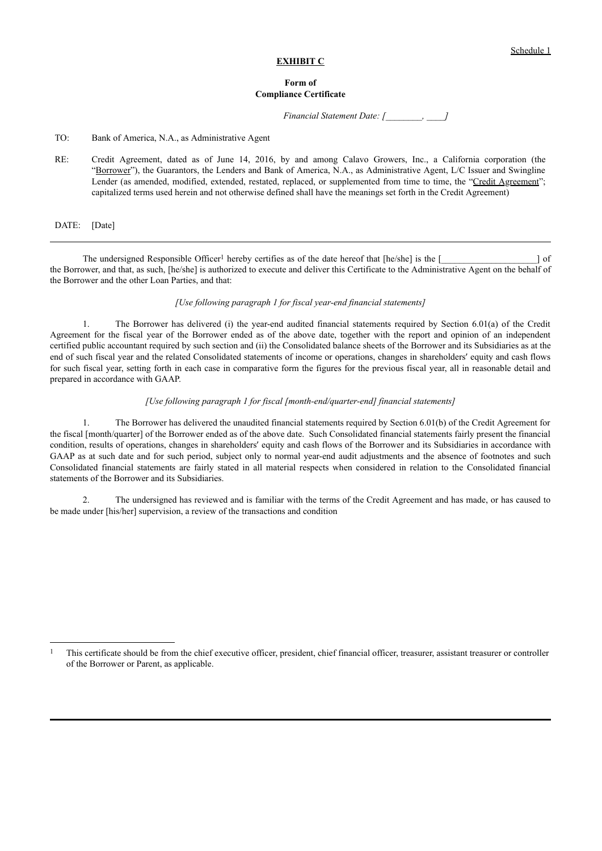# **Form of Compliance Certificate**

*Financial Statement Date: [\_\_\_\_\_\_\_\_, \_\_\_\_]*

#### TO: Bank of America, N.A., as Administrative Agent

RE: Credit Agreement, dated as of June 14, 2016, by and among Calavo Growers, Inc., a California corporation (the "Borrower"), the Guarantors, the Lenders and Bank of America, N.A., as Administrative Agent, L/C Issuer and Swingline Lender (as amended, modified, extended, restated, replaced, or supplemented from time to time, the "Credit Agreement"; capitalized terms used herein and not otherwise defined shall have the meanings set forth in the Credit Agreement)

DATE: [Date]

The undersigned Responsible Officer<sup>1</sup> hereby certifies as of the date hereof that  $[he/she]$  is the  $[$ the Borrower, and that, as such, [he/she] is authorized to execute and deliver this Certificate to the Administrative Agent on the behalf of the Borrower and the other Loan Parties, and that:

### *[Use following paragraph 1 for fiscal year-end financial statements]*

1. The Borrower has delivered (i) the year-end audited financial statements required by Section 6.01(a) of the Credit Agreement for the fiscal year of the Borrower ended as of the above date, together with the report and opinion of an independent certified public accountant required by such section and (ii) the Consolidated balance sheets of the Borrower and its Subsidiaries as at the end of such fiscal year and the related Consolidated statements of income or operations, changes in shareholders' equity and cash flows for such fiscal year, setting forth in each case in comparative form the figures for the previous fiscal year, all in reasonable detail and prepared in accordance with GAAP.

### *[Use following paragraph 1 for fiscal [month-end/quarter-end] financial statements]*

1. The Borrower has delivered the unaudited financial statements required by Section 6.01(b) of the Credit Agreement for the fiscal [month/quarter] of the Borrower ended as of the above date. Such Consolidated financial statements fairly present the financial condition, results of operations, changes in shareholders' equity and cash flows of the Borrower and its Subsidiaries in accordance with GAAP as at such date and for such period, subject only to normal year-end audit adjustments and the absence of footnotes and such Consolidated financial statements are fairly stated in all material respects when considered in relation to the Consolidated financial statements of the Borrower and its Subsidiaries.

2. The undersigned has reviewed and is familiar with the terms of the Credit Agreement and has made, or has caused to be made under [his/her] supervision, a review of the transactions and condition

<sup>1</sup> This certificate should be from the chief executive officer, president, chief financial officer, treasurer, assistant treasurer or controller of the Borrower or Parent, as applicable.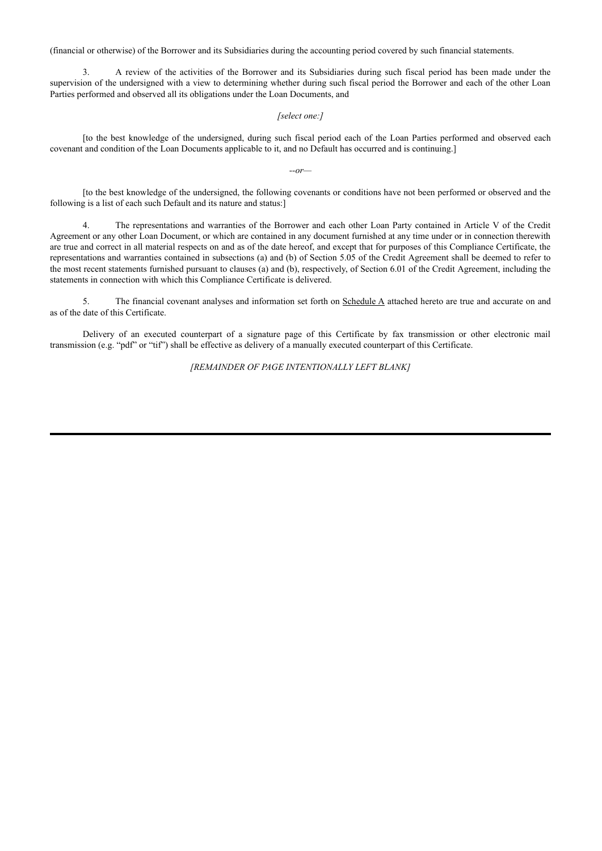(financial or otherwise) of the Borrower and its Subsidiaries during the accounting period covered by such financial statements.

3. A review of the activities of the Borrower and its Subsidiaries during such fiscal period has been made under the supervision of the undersigned with a view to determining whether during such fiscal period the Borrower and each of the other Loan Parties performed and observed all its obligations under the Loan Documents, and

## *[select one:]*

[to the best knowledge of the undersigned, during such fiscal period each of the Loan Parties performed and observed each covenant and condition of the Loan Documents applicable to it, and no Default has occurred and is continuing.]

*--or—*

[to the best knowledge of the undersigned, the following covenants or conditions have not been performed or observed and the following is a list of each such Default and its nature and status:]

4. The representations and warranties of the Borrower and each other Loan Party contained in Article V of the Credit Agreement or any other Loan Document, or which are contained in any document furnished at any time under or in connection therewith are true and correct in all material respects on and as of the date hereof, and except that for purposes of this Compliance Certificate, the representations and warranties contained in subsections (a) and (b) of Section 5.05 of the Credit Agreement shall be deemed to refer to the most recent statements furnished pursuant to clauses (a) and (b), respectively, of Section 6.01 of the Credit Agreement, including the statements in connection with which this Compliance Certificate is delivered.

5. The financial covenant analyses and information set forth on Schedule A attached hereto are true and accurate on and as of the date of this Certificate.

Delivery of an executed counterpart of a signature page of this Certificate by fax transmission or other electronic mail transmission (e.g. "pdf" or "tif") shall be effective as delivery of a manually executed counterpart of this Certificate.

*[REMAINDER OF PAGE INTENTIONALLY LEFT BLANK]*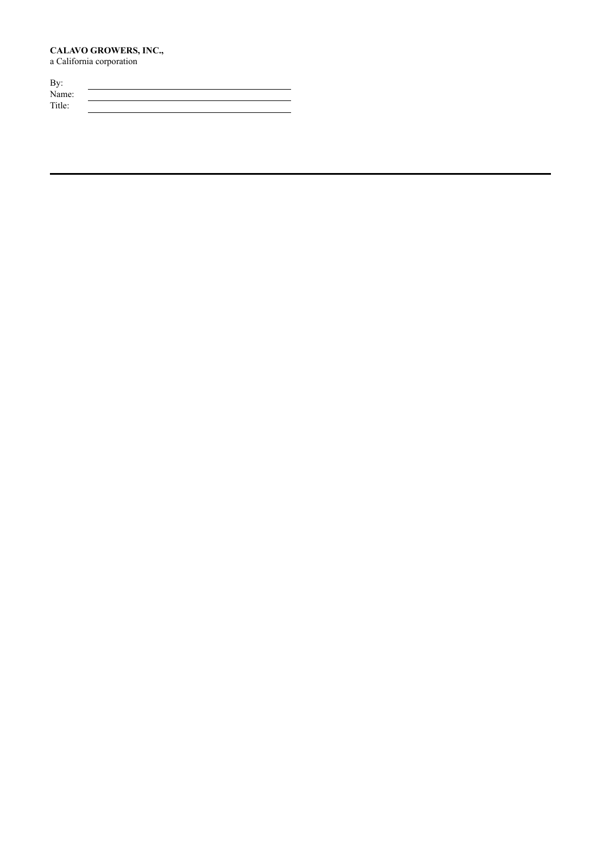# **CALAVO GROWERS, INC.,**

a California corporation

| By:    |  |
|--------|--|
| Name:  |  |
| Title: |  |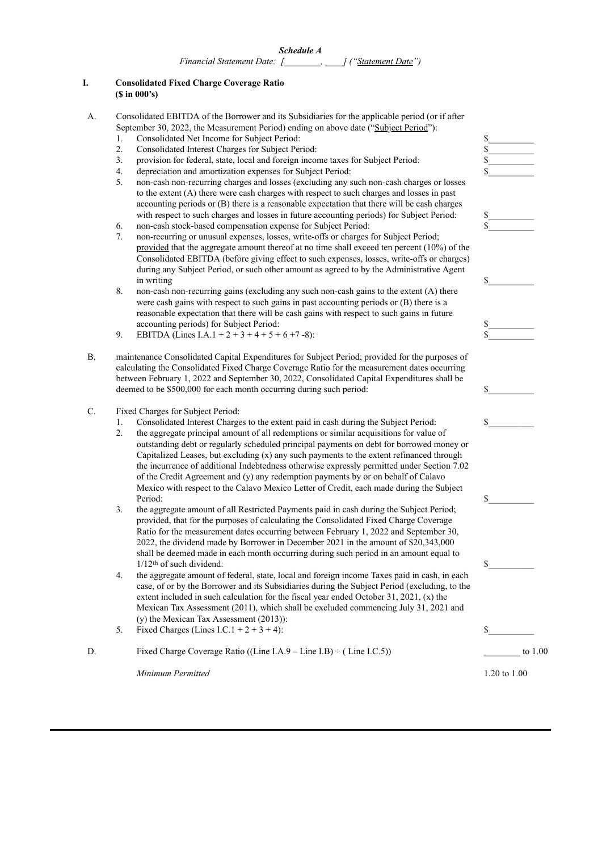*Financial Statement Date: [\_\_\_\_\_\_\_\_, \_\_\_\_] ("Statement Date")*

## **I. Consolidated Fixed Charge Coverage Ratio (\$ in 000's)**

- A. Consolidated EBITDA of the Borrower and its Subsidiaries for the applicable period (or if after September 30, 2022, the Measurement Period) ending on above date ("Subject Period"):
	- 1. Consolidated Net Income for Subject Period:
	- 2. Consolidated Interest Charges for Subject Period:
	- 3. provision for federal, state, local and foreign income taxes for Subject Period:
	- 4. depreciation and amortization expenses for Subject Period:
	- 5. non-cash non-recurring charges and losses (excluding any such non-cash charges or losses to the extent (A) there were cash charges with respect to such charges and losses in past accounting periods or (B) there is a reasonable expectation that there will be cash charges with respect to such charges and losses in future accounting periods) for Subject Period:
	- 6. non-cash stock-based compensation expense for Subject Period:
	- 7. non-recurring or unusual expenses, losses, write-offs or charges for Subject Period; provided that the aggregate amount thereof at no time shall exceed ten percent (10%) of the Consolidated EBITDA (before giving effect to such expenses, losses, write-offs or charges) during any Subject Period, or such other amount as agreed to by the Administrative Agent in writing  $\sim$
	- 8. non-cash non-recurring gains (excluding any such non-cash gains to the extent (A) there were cash gains with respect to such gains in past accounting periods or (B) there is a reasonable expectation that there will be cash gains with respect to such gains in future accounting periods) for Subject Period:
	- 9. EBITDA (Lines I.A.1 + 2 + 3 + 4 + 5 + 6 + 7 -8):
- B. maintenance Consolidated Capital Expenditures for Subject Period; provided for the purposes of calculating the Consolidated Fixed Charge Coverage Ratio for the measurement dates occurring between February 1, 2022 and September 30, 2022, Consolidated Capital Expenditures shall be deemed to be \$500,000 for each month occurring during such period:
- C. Fixed Charges for Subject Period:
	- 1. Consolidated Interest Charges to the extent paid in cash during the Subject Period:
	- 2. the aggregate principal amount of all redemptions or similar acquisitions for value of outstanding debt or regularly scheduled principal payments on debt for borrowed money or Capitalized Leases, but excluding (x) any such payments to the extent refinanced through the incurrence of additional Indebtedness otherwise expressly permitted under Section 7.02 of the Credit Agreement and (y) any redemption payments by or on behalf of Calavo Mexico with respect to the Calavo Mexico Letter of Credit, each made during the Subject Period: \$\_\_\_\_\_\_\_\_\_\_
	- 3. the aggregate amount of all Restricted Payments paid in cash during the Subject Period; provided, that for the purposes of calculating the Consolidated Fixed Charge Coverage Ratio for the measurement dates occurring between February 1, 2022 and September 30, 2022, the dividend made by Borrower in December 2021 in the amount of \$20,343,000 shall be deemed made in each month occurring during such period in an amount equal to  $1/12$ <sup>th</sup> of such dividend:
	- 4. the aggregate amount of federal, state, local and foreign income Taxes paid in cash, in each case, of or by the Borrower and its Subsidiaries during the Subject Period (excluding, to the extent included in such calculation for the fiscal year ended October 31, 2021, (x) the Mexican Tax Assessment (2011), which shall be excluded commencing July 31, 2021 and (y) the Mexican Tax Assessment (2013)):
	- 5. Fixed Charges (Lines I.C.1 +  $2 + 3 + 4$ ):

D. Fixed Charge Coverage Ratio ((Line I.A.9 – Line I.B)  $\div$  (Line I.C.5))

*Minimum Permitted* 1.20 to 1.00

| s                           |  |
|-----------------------------|--|
| $\frac{\sqrt{2}}{2}$        |  |
| $\frac{\text{S}}{\text{S}}$ |  |
| $\frac{\sqrt{2}}{2}$        |  |
|                             |  |
|                             |  |
|                             |  |
| s                           |  |
| $\frac{\sqrt{2}}{2}$        |  |
|                             |  |
|                             |  |
|                             |  |
| $\frac{1}{2}$               |  |
|                             |  |
|                             |  |
|                             |  |
| s                           |  |
| $\frac{\sqrt{2}}{2}$        |  |
|                             |  |
|                             |  |
|                             |  |
|                             |  |
| s                           |  |
|                             |  |
| s                           |  |
|                             |  |
|                             |  |
|                             |  |
|                             |  |
|                             |  |
|                             |  |
| $\frac{\sqrt{2}}{2}$        |  |
|                             |  |
|                             |  |
|                             |  |
|                             |  |
| $\frac{\sqrt{2}}{2}$        |  |
|                             |  |
|                             |  |
|                             |  |
|                             |  |
|                             |  |
| s                           |  |
|                             |  |
| $\frac{1}{2}$ to 1.00       |  |
|                             |  |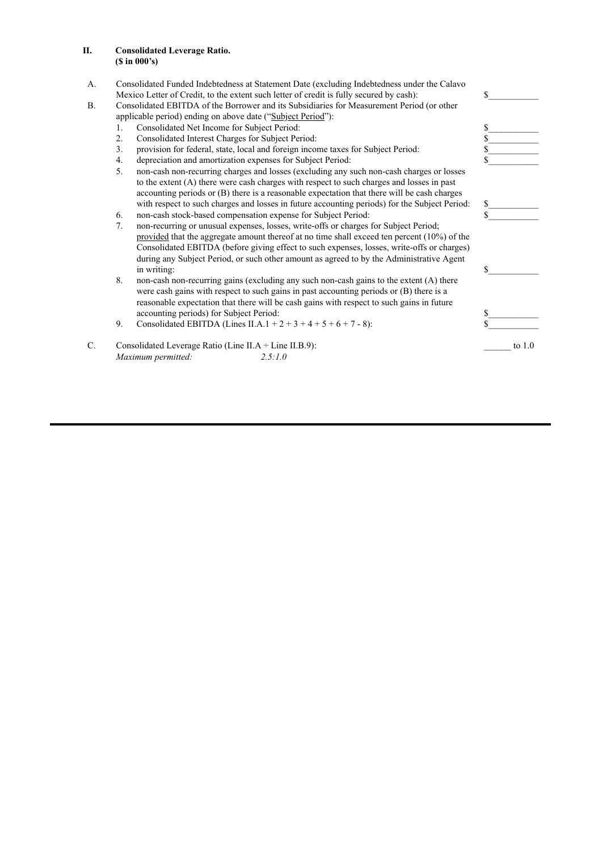# **II. Consolidated Leverage Ratio. (\$ in 000's)**

- A. Consolidated Funded Indebtedness at Statement Date (excluding Indebtedness under the Calavo Mexico Letter of Credit, to the extent such letter of credit is fully secured by cash):
- B. Consolidated EBITDA of the Borrower and its Subsidiaries for Measurement Period (or other applicable period) ending on above date ("Subject Period"):
	- 1. Consolidated Net Income for Subject Period:
	-
	- 2. Consolidated Interest Charges for Subject Period:<br>3. provision for federal, state, local and foreign incom provision for federal, state, local and foreign income taxes for Subject Period:
	- 4. depreciation and amortization expenses for Subject Period:
	- 5. non-cash non-recurring charges and losses (excluding any such non-cash charges or losses to the extent (A) there were cash charges with respect to such charges and losses in past accounting periods or (B) there is a reasonable expectation that there will be cash charges with respect to such charges and losses in future accounting periods) for the Subject Period:
	-

| 6. | non-cash stock-based compensation expense for Subject Period:                                  |  |
|----|------------------------------------------------------------------------------------------------|--|
|    | non-recurring or unusual expenses, losses, write-offs or charges for Subject Period;           |  |
|    | provided that the aggregate amount thereof at no time shall exceed ten percent $(10\%)$ of the |  |
|    | Consolidated EBITDA (before giving effect to such expenses, losses, write-offs or charges)     |  |
|    | during any Subject Period, or such other amount as agreed to by the Administrative Agent       |  |
|    | in writing:                                                                                    |  |
|    |                                                                                                |  |

- 8. non-cash non-recurring gains (excluding any such non-cash gains to the extent (A) there were cash gains with respect to such gains in past accounting periods or (B) there is a reasonable expectation that there will be cash gains with respect to such gains in future accounting periods) for Subject Period:
- 9. Consolidated EBITDA (Lines II.A.1 + 2 + 3 + 4 + 5 + 6 + 7 8):
- C. Consolidated Leverage Ratio (Line II.A  $\div$  Line II.B.9): to 1.0 *Maximum permitted: 2.5:1.0*

| \$                                                                                                                                                                                                                                                                                                                                                                                                                                       |  |
|------------------------------------------------------------------------------------------------------------------------------------------------------------------------------------------------------------------------------------------------------------------------------------------------------------------------------------------------------------------------------------------------------------------------------------------|--|
|                                                                                                                                                                                                                                                                                                                                                                                                                                          |  |
| \$<br>$\sim 10^{11}$ m $^{-1}$                                                                                                                                                                                                                                                                                                                                                                                                           |  |
| $\overline{\mathbb{S}}$                                                                                                                                                                                                                                                                                                                                                                                                                  |  |
| $\frac{1}{\sqrt{1-\frac{1}{2}}\sqrt{1-\frac{1}{2}}\sqrt{1-\frac{1}{2}}\sqrt{1-\frac{1}{2}}\sqrt{1-\frac{1}{2}}\sqrt{1-\frac{1}{2}}\sqrt{1-\frac{1}{2}}\sqrt{1-\frac{1}{2}}\sqrt{1-\frac{1}{2}}\sqrt{1-\frac{1}{2}}\sqrt{1-\frac{1}{2}}\sqrt{1-\frac{1}{2}}\sqrt{1-\frac{1}{2}}\sqrt{1-\frac{1}{2}}\sqrt{1-\frac{1}{2}}\sqrt{1-\frac{1}{2}}\sqrt{1-\frac{1}{2}}\sqrt{1-\frac{1}{2}}\sqrt{1-\frac{1}{2}}\sqrt{1-\frac$<br>$\overline{s}^-$ |  |
|                                                                                                                                                                                                                                                                                                                                                                                                                                          |  |
|                                                                                                                                                                                                                                                                                                                                                                                                                                          |  |
|                                                                                                                                                                                                                                                                                                                                                                                                                                          |  |
| $\frac{1}{2}$                                                                                                                                                                                                                                                                                                                                                                                                                            |  |
| $\overline{s}^-$                                                                                                                                                                                                                                                                                                                                                                                                                         |  |
|                                                                                                                                                                                                                                                                                                                                                                                                                                          |  |
|                                                                                                                                                                                                                                                                                                                                                                                                                                          |  |
|                                                                                                                                                                                                                                                                                                                                                                                                                                          |  |
| \$                                                                                                                                                                                                                                                                                                                                                                                                                                       |  |
|                                                                                                                                                                                                                                                                                                                                                                                                                                          |  |
|                                                                                                                                                                                                                                                                                                                                                                                                                                          |  |
|                                                                                                                                                                                                                                                                                                                                                                                                                                          |  |
|                                                                                                                                                                                                                                                                                                                                                                                                                                          |  |
| <b>Contract Contract</b>                                                                                                                                                                                                                                                                                                                                                                                                                 |  |
| $\frac{s}{s}$                                                                                                                                                                                                                                                                                                                                                                                                                            |  |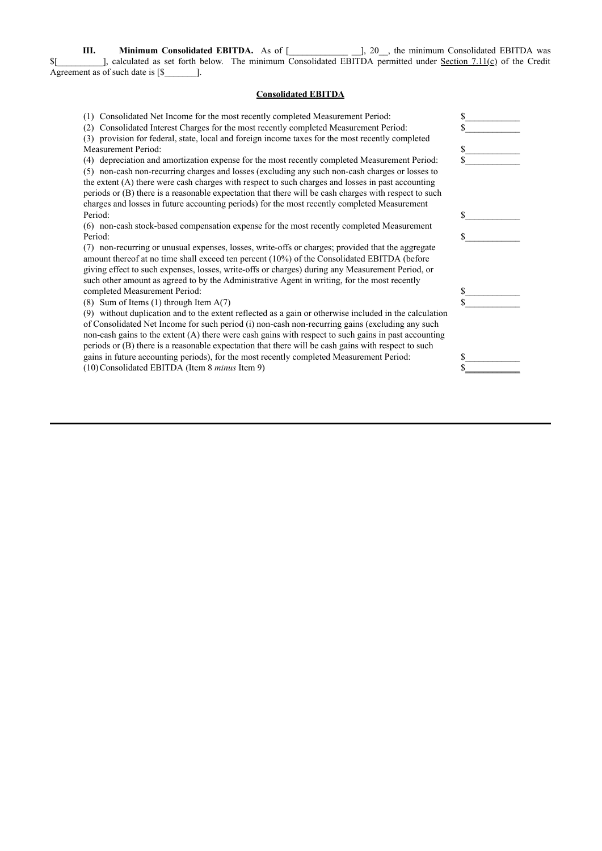**III. Minimum Consolidated EBITDA.** As of [\_\_\_\_\_\_\_\_\_\_\_\_\_ \_\_], 20\_\_, the minimum Consolidated EBITDA was  $\{\$$ [  $\]$ , calculated as set forth below. The minimum Consolidated EBITDA permitted under <u>Section 7.11(c)</u> of the Credit Agreement as of such date is  $\lceil \$\rceil$ .

# **Consolidated EBITDA**

| Consolidated Net Income for the most recently completed Measurement Period:                               |  |
|-----------------------------------------------------------------------------------------------------------|--|
| Consolidated Interest Charges for the most recently completed Measurement Period:                         |  |
| provision for federal, state, local and foreign income taxes for the most recently completed<br>(3)       |  |
| Measurement Period:                                                                                       |  |
| (4) depreciation and amortization expense for the most recently completed Measurement Period:             |  |
| (5) non-cash non-recurring charges and losses (excluding any such non-cash charges or losses to           |  |
| the extent (A) there were cash charges with respect to such charges and losses in past accounting         |  |
| periods or (B) there is a reasonable expectation that there will be cash charges with respect to such     |  |
| charges and losses in future accounting periods) for the most recently completed Measurement              |  |
| Period:                                                                                                   |  |
| (6) non-cash stock-based compensation expense for the most recently completed Measurement                 |  |
| Period:                                                                                                   |  |
| non-recurring or unusual expenses, losses, write-offs or charges; provided that the aggregate             |  |
| amount thereof at no time shall exceed ten percent (10%) of the Consolidated EBITDA (before               |  |
| giving effect to such expenses, losses, write-offs or charges) during any Measurement Period, or          |  |
| such other amount as agreed to by the Administrative Agent in writing, for the most recently              |  |
| completed Measurement Period:                                                                             |  |
| $(8)$ Sum of Items $(1)$ through Item A $(7)$                                                             |  |
| without duplication and to the extent reflected as a gain or otherwise included in the calculation<br>(9) |  |
| of Consolidated Net Income for such period (i) non-cash non-recurring gains (excluding any such           |  |
| non-cash gains to the extent $(A)$ there were cash gains with respect to such gains in past accounting    |  |
| periods or $(B)$ there is a reasonable expectation that there will be cash gains with respect to such     |  |

periods or (B) there is a reasonable expectation that there will be cash gains with respect to such gains in future accounting periods), for the most recently completed Measurement Period:  $\frac{\$}{\$}$  (10) Consolidated EBITDA (Item 8 minus Item 9) (10)Consolidated EBITDA (Item 8 *minus* Item 9) \$\_\_\_\_\_\_\_\_\_\_\_\_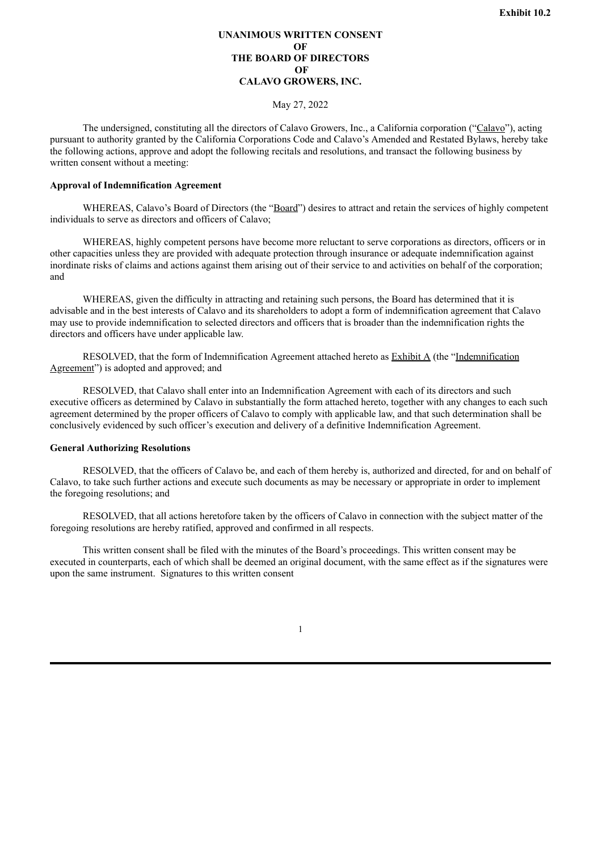# **UNANIMOUS WRITTEN CONSENT OF THE BOARD OF DIRECTORS OF CALAVO GROWERS, INC.**

# May 27, 2022

<span id="page-67-0"></span>The undersigned, constituting all the directors of Calavo Growers, Inc., a California corporation ("Calavo"), acting pursuant to authority granted by the California Corporations Code and Calavo's Amended and Restated Bylaws, hereby take the following actions, approve and adopt the following recitals and resolutions, and transact the following business by written consent without a meeting:

### **Approval of Indemnification Agreement**

WHEREAS, Calavo's Board of Directors (the "Board") desires to attract and retain the services of highly competent individuals to serve as directors and officers of Calavo;

WHEREAS, highly competent persons have become more reluctant to serve corporations as directors, officers or in other capacities unless they are provided with adequate protection through insurance or adequate indemnification against inordinate risks of claims and actions against them arising out of their service to and activities on behalf of the corporation; and

WHEREAS, given the difficulty in attracting and retaining such persons, the Board has determined that it is advisable and in the best interests of Calavo and its shareholders to adopt a form of indemnification agreement that Calavo may use to provide indemnification to selected directors and officers that is broader than the indemnification rights the directors and officers have under applicable law.

RESOLVED, that the form of Indemnification Agreement attached hereto as Exhibit A (the "Indemnification Agreement") is adopted and approved; and

RESOLVED, that Calavo shall enter into an Indemnification Agreement with each of its directors and such executive officers as determined by Calavo in substantially the form attached hereto, together with any changes to each such agreement determined by the proper officers of Calavo to comply with applicable law, and that such determination shall be conclusively evidenced by such officer's execution and delivery of a definitive Indemnification Agreement.

### **General Authorizing Resolutions**

RESOLVED, that the officers of Calavo be, and each of them hereby is, authorized and directed, for and on behalf of Calavo, to take such further actions and execute such documents as may be necessary or appropriate in order to implement the foregoing resolutions; and

RESOLVED, that all actions heretofore taken by the officers of Calavo in connection with the subject matter of the foregoing resolutions are hereby ratified, approved and confirmed in all respects.

This written consent shall be filed with the minutes of the Board's proceedings. This written consent may be executed in counterparts, each of which shall be deemed an original document, with the same effect as if the signatures were upon the same instrument. Signatures to this written consent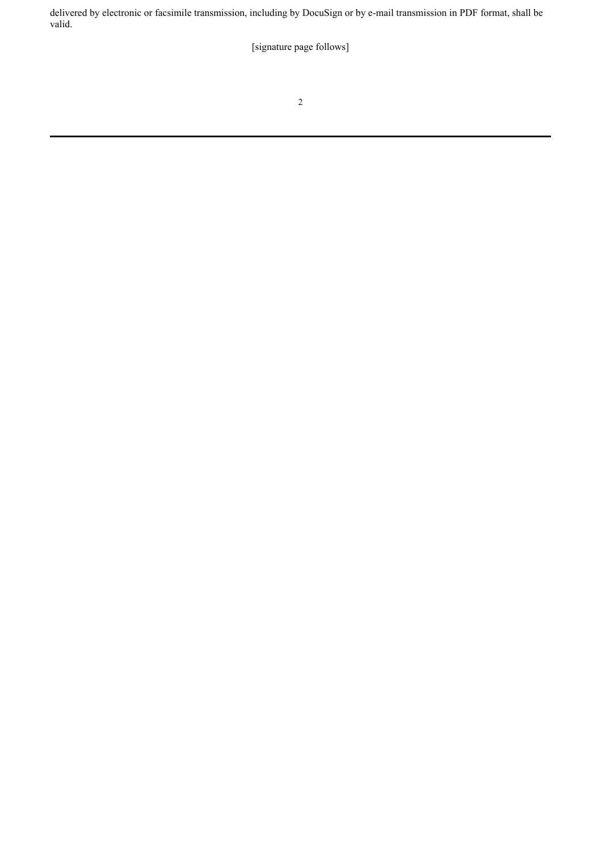delivered by electronic or facsimile transmission, including by DocuSign or by e-mail transmission in PDF format, shall be valid.

[signature page follows]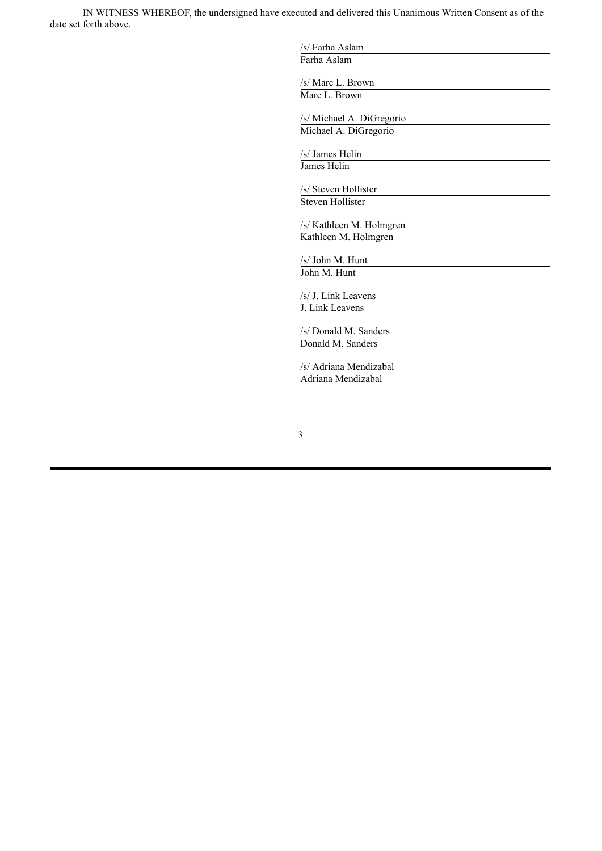IN WITNESS WHEREOF, the undersigned have executed and delivered this Unanimous Written Consent as of the date set forth above.

/s/ Farha Aslam Farha Aslam /s/ Marc L. Brown Marc L. Brown /s/ Michael A. DiGregorio Michael A. DiGregorio /s/ James Helin James Helin /s/ Steven Hollister Steven Hollister /s/ Kathleen M. Holmgren Kathleen M. Holmgren /s/ John M. Hunt John M. Hunt /s/ J. Link Leavens J. Link Leavens /s/ Donald M. Sanders Donald M. Sanders /s/ Adriana Mendizabal Adriana Mendizabal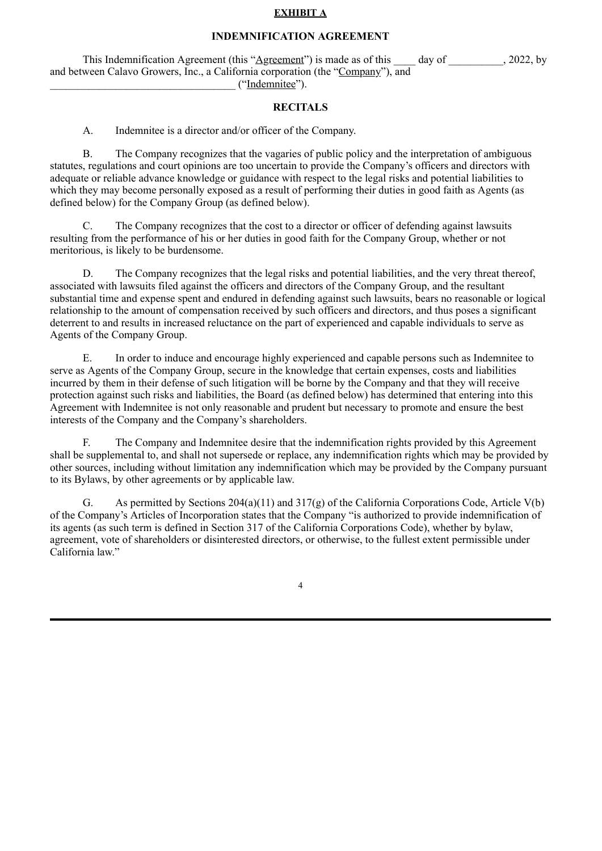# **EXHIBIT A**

## **INDEMNIFICATION AGREEMENT**

This Indemnification Agreement (this "Agreement") is made as of this day of  $\qquad \qquad$ , 2022, by and between Calavo Growers, Inc., a California corporation (the "Company"), and \_\_\_\_\_\_\_\_\_\_\_\_\_\_\_\_\_\_\_\_\_\_\_\_\_\_\_\_\_\_\_\_\_\_ ("Indemnitee").

# **RECITALS**

A. Indemnitee is a director and/or officer of the Company.

B. The Company recognizes that the vagaries of public policy and the interpretation of ambiguous statutes, regulations and court opinions are too uncertain to provide the Company's officers and directors with adequate or reliable advance knowledge or guidance with respect to the legal risks and potential liabilities to which they may become personally exposed as a result of performing their duties in good faith as Agents (as defined below) for the Company Group (as defined below).

C. The Company recognizes that the cost to a director or officer of defending against lawsuits resulting from the performance of his or her duties in good faith for the Company Group, whether or not meritorious, is likely to be burdensome.

D. The Company recognizes that the legal risks and potential liabilities, and the very threat thereof, associated with lawsuits filed against the officers and directors of the Company Group, and the resultant substantial time and expense spent and endured in defending against such lawsuits, bears no reasonable or logical relationship to the amount of compensation received by such officers and directors, and thus poses a significant deterrent to and results in increased reluctance on the part of experienced and capable individuals to serve as Agents of the Company Group.

E. In order to induce and encourage highly experienced and capable persons such as Indemnitee to serve as Agents of the Company Group, secure in the knowledge that certain expenses, costs and liabilities incurred by them in their defense of such litigation will be borne by the Company and that they will receive protection against such risks and liabilities, the Board (as defined below) has determined that entering into this Agreement with Indemnitee is not only reasonable and prudent but necessary to promote and ensure the best interests of the Company and the Company's shareholders.

F. The Company and Indemnitee desire that the indemnification rights provided by this Agreement shall be supplemental to, and shall not supersede or replace, any indemnification rights which may be provided by other sources, including without limitation any indemnification which may be provided by the Company pursuant to its Bylaws, by other agreements or by applicable law.

G. As permitted by Sections 204(a)(11) and 317(g) of the California Corporations Code, Article V(b) of the Company's Articles of Incorporation states that the Company "is authorized to provide indemnification of its agents (as such term is defined in Section 317 of the California Corporations Code), whether by bylaw, agreement, vote of shareholders or disinterested directors, or otherwise, to the fullest extent permissible under California law."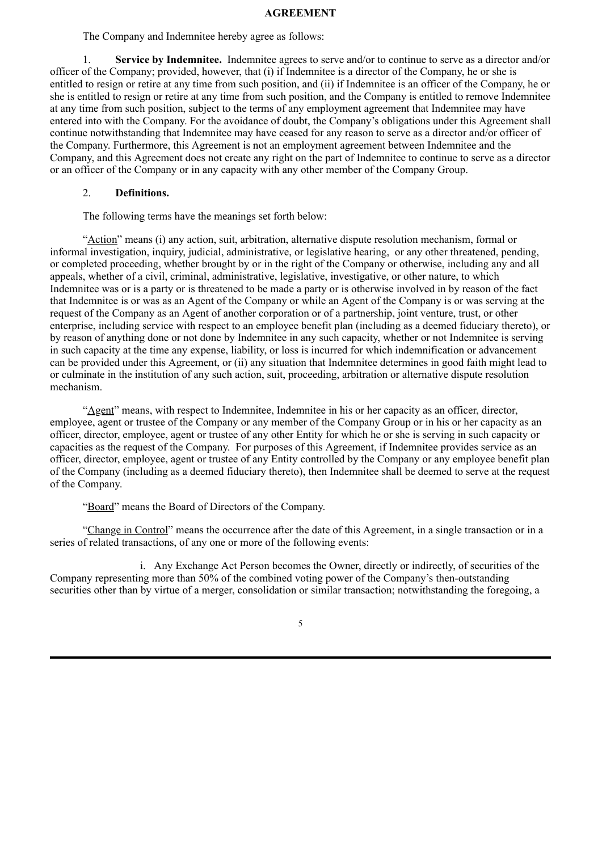### **AGREEMENT**

The Company and Indemnitee hereby agree as follows:

1. **Service by Indemnitee.** Indemnitee agrees to serve and/or to continue to serve as a director and/or officer of the Company; provided, however, that (i) if Indemnitee is a director of the Company, he or she is entitled to resign or retire at any time from such position, and (ii) if Indemnitee is an officer of the Company, he or she is entitled to resign or retire at any time from such position, and the Company is entitled to remove Indemnitee at any time from such position, subject to the terms of any employment agreement that Indemnitee may have entered into with the Company. For the avoidance of doubt, the Company's obligations under this Agreement shall continue notwithstanding that Indemnitee may have ceased for any reason to serve as a director and/or officer of the Company. Furthermore, this Agreement is not an employment agreement between Indemnitee and the Company, and this Agreement does not create any right on the part of Indemnitee to continue to serve as a director or an officer of the Company or in any capacity with any other member of the Company Group.

# 2. **Definitions.**

The following terms have the meanings set forth below:

"Action" means (i) any action, suit, arbitration, alternative dispute resolution mechanism, formal or informal investigation, inquiry, judicial, administrative, or legislative hearing, or any other threatened, pending, or completed proceeding, whether brought by or in the right of the Company or otherwise, including any and all appeals, whether of a civil, criminal, administrative, legislative, investigative, or other nature, to which Indemnitee was or is a party or is threatened to be made a party or is otherwise involved in by reason of the fact that Indemnitee is or was as an Agent of the Company or while an Agent of the Company is or was serving at the request of the Company as an Agent of another corporation or of a partnership, joint venture, trust, or other enterprise, including service with respect to an employee benefit plan (including as a deemed fiduciary thereto), or by reason of anything done or not done by Indemnitee in any such capacity, whether or not Indemnitee is serving in such capacity at the time any expense, liability, or loss is incurred for which indemnification or advancement can be provided under this Agreement, or (ii) any situation that Indemnitee determines in good faith might lead to or culminate in the institution of any such action, suit, proceeding, arbitration or alternative dispute resolution mechanism.

"Agent" means, with respect to Indemnitee, Indemnitee in his or her capacity as an officer, director, employee, agent or trustee of the Company or any member of the Company Group or in his or her capacity as an officer, director, employee, agent or trustee of any other Entity for which he or she is serving in such capacity or capacities as the request of the Company. For purposes of this Agreement, if Indemnitee provides service as an officer, director, employee, agent or trustee of any Entity controlled by the Company or any employee benefit plan of the Company (including as a deemed fiduciary thereto), then Indemnitee shall be deemed to serve at the request of the Company.

"Board" means the Board of Directors of the Company.

"Change in Control" means the occurrence after the date of this Agreement, in a single transaction or in a series of related transactions, of any one or more of the following events:

i. Any Exchange Act Person becomes the Owner, directly or indirectly, of securities of the Company representing more than 50% of the combined voting power of the Company's then-outstanding securities other than by virtue of a merger, consolidation or similar transaction; notwithstanding the foregoing, a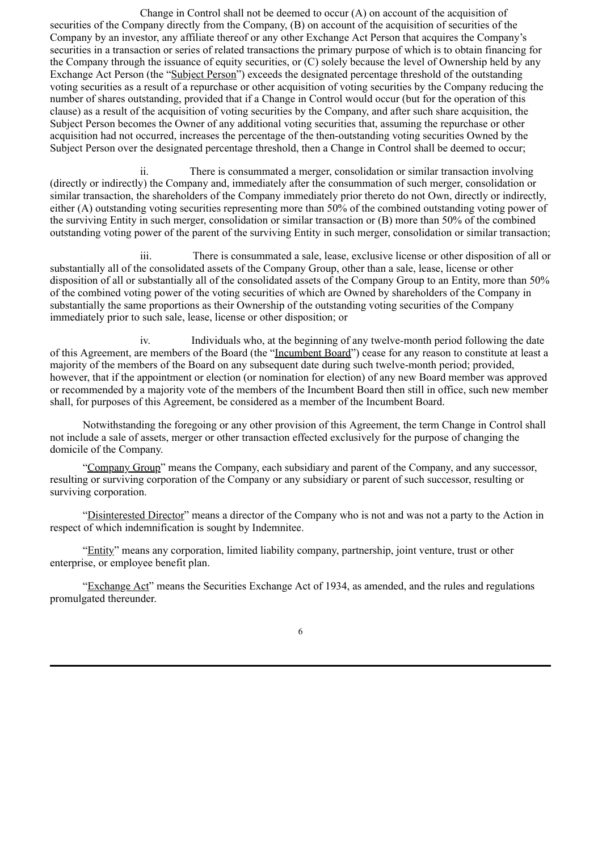Change in Control shall not be deemed to occur (A) on account of the acquisition of securities of the Company directly from the Company, (B) on account of the acquisition of securities of the Company by an investor, any affiliate thereof or any other Exchange Act Person that acquires the Company's securities in a transaction or series of related transactions the primary purpose of which is to obtain financing for the Company through the issuance of equity securities, or (C) solely because the level of Ownership held by any Exchange Act Person (the "Subject Person") exceeds the designated percentage threshold of the outstanding voting securities as a result of a repurchase or other acquisition of voting securities by the Company reducing the number of shares outstanding, provided that if a Change in Control would occur (but for the operation of this clause) as a result of the acquisition of voting securities by the Company, and after such share acquisition, the Subject Person becomes the Owner of any additional voting securities that, assuming the repurchase or other acquisition had not occurred, increases the percentage of the then-outstanding voting securities Owned by the Subject Person over the designated percentage threshold, then a Change in Control shall be deemed to occur;

ii. There is consummated a merger, consolidation or similar transaction involving (directly or indirectly) the Company and, immediately after the consummation of such merger, consolidation or similar transaction, the shareholders of the Company immediately prior thereto do not Own, directly or indirectly, either (A) outstanding voting securities representing more than 50% of the combined outstanding voting power of the surviving Entity in such merger, consolidation or similar transaction or (B) more than 50% of the combined outstanding voting power of the parent of the surviving Entity in such merger, consolidation or similar transaction;

iii. There is consummated a sale, lease, exclusive license or other disposition of all or substantially all of the consolidated assets of the Company Group, other than a sale, lease, license or other disposition of all or substantially all of the consolidated assets of the Company Group to an Entity, more than 50% of the combined voting power of the voting securities of which are Owned by shareholders of the Company in substantially the same proportions as their Ownership of the outstanding voting securities of the Company immediately prior to such sale, lease, license or other disposition; or

iv. Individuals who, at the beginning of any twelve-month period following the date of this Agreement, are members of the Board (the "Incumbent Board") cease for any reason to constitute at least a majority of the members of the Board on any subsequent date during such twelve-month period; provided, however, that if the appointment or election (or nomination for election) of any new Board member was approved or recommended by a majority vote of the members of the Incumbent Board then still in office, such new member shall, for purposes of this Agreement, be considered as a member of the Incumbent Board.

Notwithstanding the foregoing or any other provision of this Agreement, the term Change in Control shall not include a sale of assets, merger or other transaction effected exclusively for the purpose of changing the domicile of the Company.

"Company Group" means the Company, each subsidiary and parent of the Company, and any successor, resulting or surviving corporation of the Company or any subsidiary or parent of such successor, resulting or surviving corporation.

"Disinterested Director" means a director of the Company who is not and was not a party to the Action in respect of which indemnification is sought by Indemnitee.

"Entity" means any corporation, limited liability company, partnership, joint venture, trust or other enterprise, or employee benefit plan.

"Exchange Act" means the Securities Exchange Act of 1934, as amended, and the rules and regulations promulgated thereunder.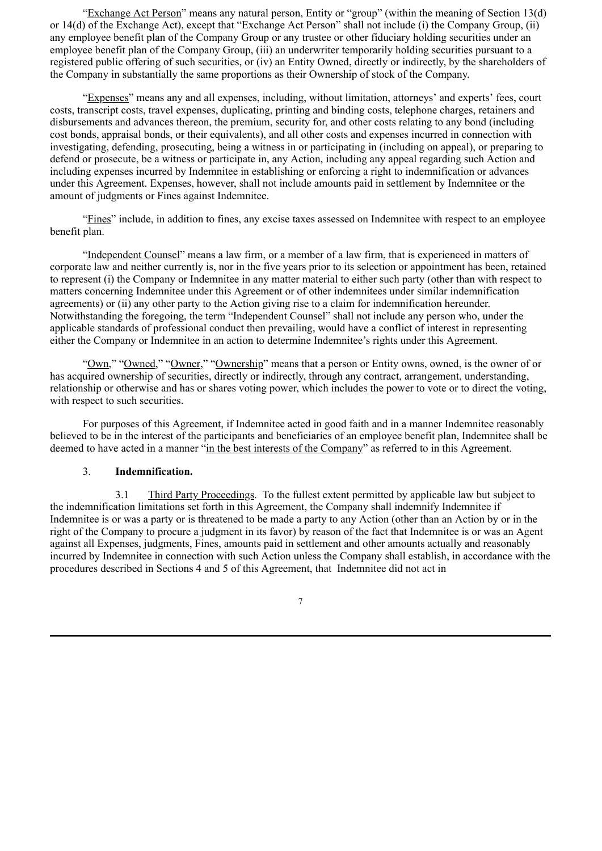"Exchange Act Person" means any natural person, Entity or "group" (within the meaning of Section 13(d) or 14(d) of the Exchange Act), except that "Exchange Act Person" shall not include (i) the Company Group, (ii) any employee benefit plan of the Company Group or any trustee or other fiduciary holding securities under an employee benefit plan of the Company Group, (iii) an underwriter temporarily holding securities pursuant to a registered public offering of such securities, or (iv) an Entity Owned, directly or indirectly, by the shareholders of the Company in substantially the same proportions as their Ownership of stock of the Company.

"Expenses" means any and all expenses, including, without limitation, attorneys' and experts' fees, court costs, transcript costs, travel expenses, duplicating, printing and binding costs, telephone charges, retainers and disbursements and advances thereon, the premium, security for, and other costs relating to any bond (including cost bonds, appraisal bonds, or their equivalents), and all other costs and expenses incurred in connection with investigating, defending, prosecuting, being a witness in or participating in (including on appeal), or preparing to defend or prosecute, be a witness or participate in, any Action, including any appeal regarding such Action and including expenses incurred by Indemnitee in establishing or enforcing a right to indemnification or advances under this Agreement. Expenses, however, shall not include amounts paid in settlement by Indemnitee or the amount of judgments or Fines against Indemnitee.

"Fines" include, in addition to fines, any excise taxes assessed on Indemnitee with respect to an employee benefit plan.

"Independent Counsel" means a law firm, or a member of a law firm, that is experienced in matters of corporate law and neither currently is, nor in the five years prior to its selection or appointment has been, retained to represent (i) the Company or Indemnitee in any matter material to either such party (other than with respect to matters concerning Indemnitee under this Agreement or of other indemnitees under similar indemnification agreements) or (ii) any other party to the Action giving rise to a claim for indemnification hereunder. Notwithstanding the foregoing, the term "Independent Counsel" shall not include any person who, under the applicable standards of professional conduct then prevailing, would have a conflict of interest in representing either the Company or Indemnitee in an action to determine Indemnitee's rights under this Agreement.

"Own," "Owned," "Owner," "Ownership" means that a person or Entity owns, owned, is the owner of or has acquired ownership of securities, directly or indirectly, through any contract, arrangement, understanding, relationship or otherwise and has or shares voting power, which includes the power to vote or to direct the voting, with respect to such securities.

For purposes of this Agreement, if Indemnitee acted in good faith and in a manner Indemnitee reasonably believed to be in the interest of the participants and beneficiaries of an employee benefit plan, Indemnitee shall be deemed to have acted in a manner "in the best interests of the Company" as referred to in this Agreement.

### 3. **Indemnification.**

3.1 Third Party Proceedings. To the fullest extent permitted by applicable law but subject to the indemnification limitations set forth in this Agreement, the Company shall indemnify Indemnitee if Indemnitee is or was a party or is threatened to be made a party to any Action (other than an Action by or in the right of the Company to procure a judgment in its favor) by reason of the fact that Indemnitee is or was an Agent against all Expenses, judgments, Fines, amounts paid in settlement and other amounts actually and reasonably incurred by Indemnitee in connection with such Action unless the Company shall establish, in accordance with the procedures described in Sections 4 and 5 of this Agreement, that Indemnitee did not act in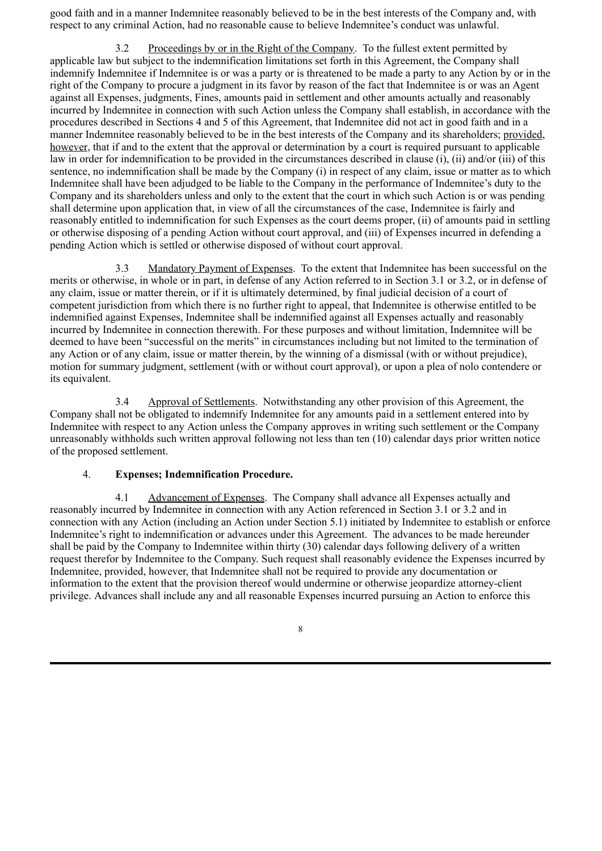good faith and in a manner Indemnitee reasonably believed to be in the best interests of the Company and, with respect to any criminal Action, had no reasonable cause to believe Indemnitee's conduct was unlawful.

3.2 Proceedings by or in the Right of the Company. To the fullest extent permitted by applicable law but subject to the indemnification limitations set forth in this Agreement, the Company shall indemnify Indemnitee if Indemnitee is or was a party or is threatened to be made a party to any Action by or in the right of the Company to procure a judgment in its favor by reason of the fact that Indemnitee is or was an Agent against all Expenses, judgments, Fines, amounts paid in settlement and other amounts actually and reasonably incurred by Indemnitee in connection with such Action unless the Company shall establish, in accordance with the procedures described in Sections 4 and 5 of this Agreement, that Indemnitee did not act in good faith and in a manner Indemnitee reasonably believed to be in the best interests of the Company and its shareholders; provided, however, that if and to the extent that the approval or determination by a court is required pursuant to applicable law in order for indemnification to be provided in the circumstances described in clause (i), (ii) and/or (iii) of this sentence, no indemnification shall be made by the Company (i) in respect of any claim, issue or matter as to which Indemnitee shall have been adjudged to be liable to the Company in the performance of Indemnitee's duty to the Company and its shareholders unless and only to the extent that the court in which such Action is or was pending shall determine upon application that, in view of all the circumstances of the case, Indemnitee is fairly and reasonably entitled to indemnification for such Expenses as the court deems proper, (ii) of amounts paid in settling or otherwise disposing of a pending Action without court approval, and (iii) of Expenses incurred in defending a pending Action which is settled or otherwise disposed of without court approval.

3.3 Mandatory Payment of Expenses. To the extent that Indemnitee has been successful on the merits or otherwise, in whole or in part, in defense of any Action referred to in Section 3.1 or 3.2, or in defense of any claim, issue or matter therein, or if it is ultimately determined, by final judicial decision of a court of competent jurisdiction from which there is no further right to appeal, that Indemnitee is otherwise entitled to be indemnified against Expenses, Indemnitee shall be indemnified against all Expenses actually and reasonably incurred by Indemnitee in connection therewith. For these purposes and without limitation, Indemnitee will be deemed to have been "successful on the merits" in circumstances including but not limited to the termination of any Action or of any claim, issue or matter therein, by the winning of a dismissal (with or without prejudice), motion for summary judgment, settlement (with or without court approval), or upon a plea of nolo contendere or its equivalent.

3.4 Approval of Settlements. Notwithstanding any other provision of this Agreement, the Company shall not be obligated to indemnify Indemnitee for any amounts paid in a settlement entered into by Indemnitee with respect to any Action unless the Company approves in writing such settlement or the Company unreasonably withholds such written approval following not less than ten (10) calendar days prior written notice of the proposed settlement.

## 4. **Expenses; Indemnification Procedure.**

4.1 Advancement of Expenses. The Company shall advance all Expenses actually and reasonably incurred by Indemnitee in connection with any Action referenced in Section 3.1 or 3.2 and in connection with any Action (including an Action under Section 5.1) initiated by Indemnitee to establish or enforce Indemnitee's right to indemnification or advances under this Agreement. The advances to be made hereunder shall be paid by the Company to Indemnitee within thirty (30) calendar days following delivery of a written request therefor by Indemnitee to the Company. Such request shall reasonably evidence the Expenses incurred by Indemnitee, provided, however, that Indemnitee shall not be required to provide any documentation or information to the extent that the provision thereof would undermine or otherwise jeopardize attorney-client privilege. Advances shall include any and all reasonable Expenses incurred pursuing an Action to enforce this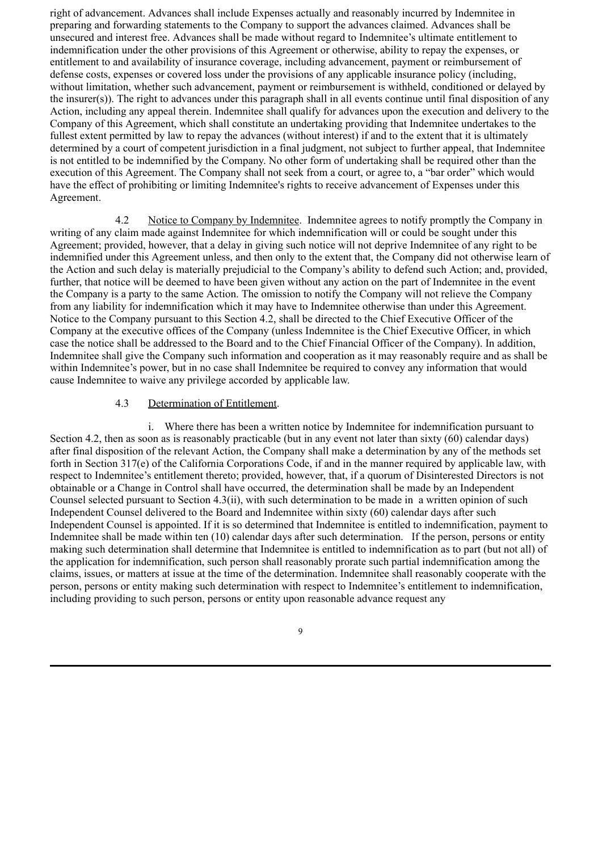right of advancement. Advances shall include Expenses actually and reasonably incurred by Indemnitee in preparing and forwarding statements to the Company to support the advances claimed. Advances shall be unsecured and interest free. Advances shall be made without regard to Indemnitee's ultimate entitlement to indemnification under the other provisions of this Agreement or otherwise, ability to repay the expenses, or entitlement to and availability of insurance coverage, including advancement, payment or reimbursement of defense costs, expenses or covered loss under the provisions of any applicable insurance policy (including, without limitation, whether such advancement, payment or reimbursement is withheld, conditioned or delayed by the insurer(s)). The right to advances under this paragraph shall in all events continue until final disposition of any Action, including any appeal therein. Indemnitee shall qualify for advances upon the execution and delivery to the Company of this Agreement, which shall constitute an undertaking providing that Indemnitee undertakes to the fullest extent permitted by law to repay the advances (without interest) if and to the extent that it is ultimately determined by a court of competent jurisdiction in a final judgment, not subject to further appeal, that Indemnitee is not entitled to be indemnified by the Company. No other form of undertaking shall be required other than the execution of this Agreement. The Company shall not seek from a court, or agree to, a "bar order" which would have the effect of prohibiting or limiting Indemnitee's rights to receive advancement of Expenses under this Agreement.

4.2 Notice to Company by Indemnitee. Indemnitee agrees to notify promptly the Company in writing of any claim made against Indemnitee for which indemnification will or could be sought under this Agreement; provided, however, that a delay in giving such notice will not deprive Indemnitee of any right to be indemnified under this Agreement unless, and then only to the extent that, the Company did not otherwise learn of the Action and such delay is materially prejudicial to the Company's ability to defend such Action; and, provided, further, that notice will be deemed to have been given without any action on the part of Indemnitee in the event the Company is a party to the same Action. The omission to notify the Company will not relieve the Company from any liability for indemnification which it may have to Indemnitee otherwise than under this Agreement. Notice to the Company pursuant to this Section 4.2, shall be directed to the Chief Executive Officer of the Company at the executive offices of the Company (unless Indemnitee is the Chief Executive Officer, in which case the notice shall be addressed to the Board and to the Chief Financial Officer of the Company). In addition, Indemnitee shall give the Company such information and cooperation as it may reasonably require and as shall be within Indemnitee's power, but in no case shall Indemnitee be required to convey any information that would cause Indemnitee to waive any privilege accorded by applicable law.

### 4.3 Determination of Entitlement.

i. Where there has been a written notice by Indemnitee for indemnification pursuant to Section 4.2, then as soon as is reasonably practicable (but in any event not later than sixty (60) calendar days) after final disposition of the relevant Action, the Company shall make a determination by any of the methods set forth in Section 317(e) of the California Corporations Code, if and in the manner required by applicable law, with respect to Indemnitee's entitlement thereto; provided, however, that, if a quorum of Disinterested Directors is not obtainable or a Change in Control shall have occurred, the determination shall be made by an Independent Counsel selected pursuant to Section 4.3(ii), with such determination to be made in a written opinion of such Independent Counsel delivered to the Board and Indemnitee within sixty (60) calendar days after such Independent Counsel is appointed. If it is so determined that Indemnitee is entitled to indemnification, payment to Indemnitee shall be made within ten (10) calendar days after such determination. If the person, persons or entity making such determination shall determine that Indemnitee is entitled to indemnification as to part (but not all) of the application for indemnification, such person shall reasonably prorate such partial indemnification among the claims, issues, or matters at issue at the time of the determination. Indemnitee shall reasonably cooperate with the person, persons or entity making such determination with respect to Indemnitee's entitlement to indemnification, including providing to such person, persons or entity upon reasonable advance request any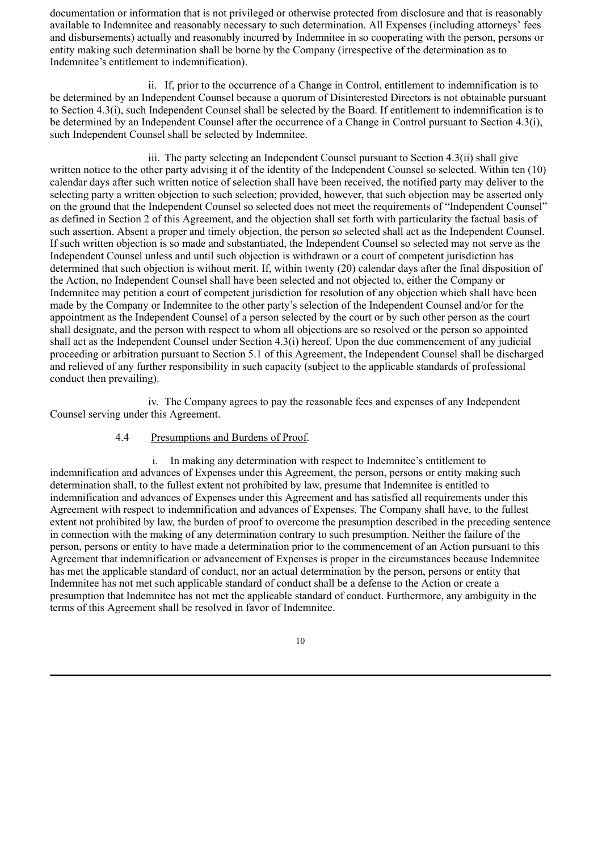documentation or information that is not privileged or otherwise protected from disclosure and that is reasonably available to Indemnitee and reasonably necessary to such determination. All Expenses (including attorneys' fees and disbursements) actually and reasonably incurred by Indemnitee in so cooperating with the person, persons or entity making such determination shall be borne by the Company (irrespective of the determination as to Indemnitee's entitlement to indemnification).

ii. If, prior to the occurrence of a Change in Control, entitlement to indemnification is to be determined by an Independent Counsel because a quorum of Disinterested Directors is not obtainable pursuant to Section 4.3(i), such Independent Counsel shall be selected by the Board. If entitlement to indemnification is to be determined by an Independent Counsel after the occurrence of a Change in Control pursuant to Section 4.3(i), such Independent Counsel shall be selected by Indemnitee.

iii. The party selecting an Independent Counsel pursuant to Section 4.3(ii) shall give written notice to the other party advising it of the identity of the Independent Counsel so selected. Within ten (10) calendar days after such written notice of selection shall have been received, the notified party may deliver to the selecting party a written objection to such selection; provided, however, that such objection may be asserted only on the ground that the Independent Counsel so selected does not meet the requirements of "Independent Counsel" as defined in Section 2 of this Agreement, and the objection shall set forth with particularity the factual basis of such assertion. Absent a proper and timely objection, the person so selected shall act as the Independent Counsel. If such written objection is so made and substantiated, the Independent Counsel so selected may not serve as the Independent Counsel unless and until such objection is withdrawn or a court of competent jurisdiction has determined that such objection is without merit. If, within twenty (20) calendar days after the final disposition of the Action, no Independent Counsel shall have been selected and not objected to, either the Company or Indemnitee may petition a court of competent jurisdiction for resolution of any objection which shall have been made by the Company or Indemnitee to the other party's selection of the Independent Counsel and/or for the appointment as the Independent Counsel of a person selected by the court or by such other person as the court shall designate, and the person with respect to whom all objections are so resolved or the person so appointed shall act as the Independent Counsel under Section 4.3(i) hereof. Upon the due commencement of any judicial proceeding or arbitration pursuant to Section 5.1 of this Agreement, the Independent Counsel shall be discharged and relieved of any further responsibility in such capacity (subject to the applicable standards of professional conduct then prevailing).

iv. The Company agrees to pay the reasonable fees and expenses of any Independent Counsel serving under this Agreement.

# 4.4 Presumptions and Burdens of Proof.

i. In making any determination with respect to Indemnitee's entitlement to indemnification and advances of Expenses under this Agreement, the person, persons or entity making such determination shall, to the fullest extent not prohibited by law, presume that Indemnitee is entitled to indemnification and advances of Expenses under this Agreement and has satisfied all requirements under this Agreement with respect to indemnification and advances of Expenses. The Company shall have, to the fullest extent not prohibited by law, the burden of proof to overcome the presumption described in the preceding sentence in connection with the making of any determination contrary to such presumption. Neither the failure of the person, persons or entity to have made a determination prior to the commencement of an Action pursuant to this Agreement that indemnification or advancement of Expenses is proper in the circumstances because Indemnitee has met the applicable standard of conduct, nor an actual determination by the person, persons or entity that Indemnitee has not met such applicable standard of conduct shall be a defense to the Action or create a presumption that Indemnitee has not met the applicable standard of conduct. Furthermore, any ambiguity in the terms of this Agreement shall be resolved in favor of Indemnitee.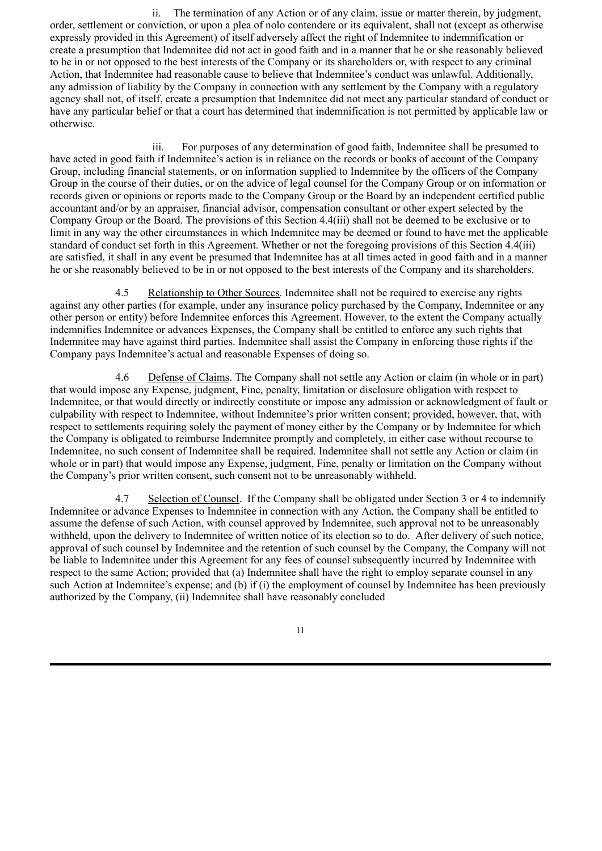ii. The termination of any Action or of any claim, issue or matter therein, by judgment, order, settlement or conviction, or upon a plea of nolo contendere or its equivalent, shall not (except as otherwise expressly provided in this Agreement) of itself adversely affect the right of Indemnitee to indemnification or create a presumption that Indemnitee did not act in good faith and in a manner that he or she reasonably believed to be in or not opposed to the best interests of the Company or its shareholders or, with respect to any criminal Action, that Indemnitee had reasonable cause to believe that Indemnitee's conduct was unlawful. Additionally, any admission of liability by the Company in connection with any settlement by the Company with a regulatory agency shall not, of itself, create a presumption that Indemnitee did not meet any particular standard of conduct or have any particular belief or that a court has determined that indemnification is not permitted by applicable law or otherwise.

iii. For purposes of any determination of good faith, Indemnitee shall be presumed to have acted in good faith if Indemnitee's action is in reliance on the records or books of account of the Company Group, including financial statements, or on information supplied to Indemnitee by the officers of the Company Group in the course of their duties, or on the advice of legal counsel for the Company Group or on information or records given or opinions or reports made to the Company Group or the Board by an independent certified public accountant and/or by an appraiser, financial advisor, compensation consultant or other expert selected by the Company Group or the Board. The provisions of this Section 4.4(iii) shall not be deemed to be exclusive or to limit in any way the other circumstances in which Indemnitee may be deemed or found to have met the applicable standard of conduct set forth in this Agreement. Whether or not the foregoing provisions of this Section 4.4(iii) are satisfied, it shall in any event be presumed that Indemnitee has at all times acted in good faith and in a manner he or she reasonably believed to be in or not opposed to the best interests of the Company and its shareholders.

4.5 Relationship to Other Sources. Indemnitee shall not be required to exercise any rights against any other parties (for example, under any insurance policy purchased by the Company, Indemnitee or any other person or entity) before Indemnitee enforces this Agreement. However, to the extent the Company actually indemnifies Indemnitee or advances Expenses, the Company shall be entitled to enforce any such rights that Indemnitee may have against third parties. Indemnitee shall assist the Company in enforcing those rights if the Company pays Indemnitee's actual and reasonable Expenses of doing so.

4.6 Defense of Claims. The Company shall not settle any Action or claim (in whole or in part) that would impose any Expense, judgment, Fine, penalty, limitation or disclosure obligation with respect to Indemnitee, or that would directly or indirectly constitute or impose any admission or acknowledgment of fault or culpability with respect to Indemnitee, without Indemnitee's prior written consent; provided, however, that, with respect to settlements requiring solely the payment of money either by the Company or by Indemnitee for which the Company is obligated to reimburse Indemnitee promptly and completely, in either case without recourse to Indemnitee, no such consent of Indemnitee shall be required. Indemnitee shall not settle any Action or claim (in whole or in part) that would impose any Expense, judgment, Fine, penalty or limitation on the Company without the Company's prior written consent, such consent not to be unreasonably withheld.

4.7 Selection of Counsel. If the Company shall be obligated under Section 3 or 4 to indemnify Indemnitee or advance Expenses to Indemnitee in connection with any Action, the Company shall be entitled to assume the defense of such Action, with counsel approved by Indemnitee, such approval not to be unreasonably withheld, upon the delivery to Indemnitee of written notice of its election so to do. After delivery of such notice, approval of such counsel by Indemnitee and the retention of such counsel by the Company, the Company will not be liable to Indemnitee under this Agreement for any fees of counsel subsequently incurred by Indemnitee with respect to the same Action; provided that (a) Indemnitee shall have the right to employ separate counsel in any such Action at Indemnitee's expense; and (b) if (i) the employment of counsel by Indemnitee has been previously authorized by the Company, (ii) Indemnitee shall have reasonably concluded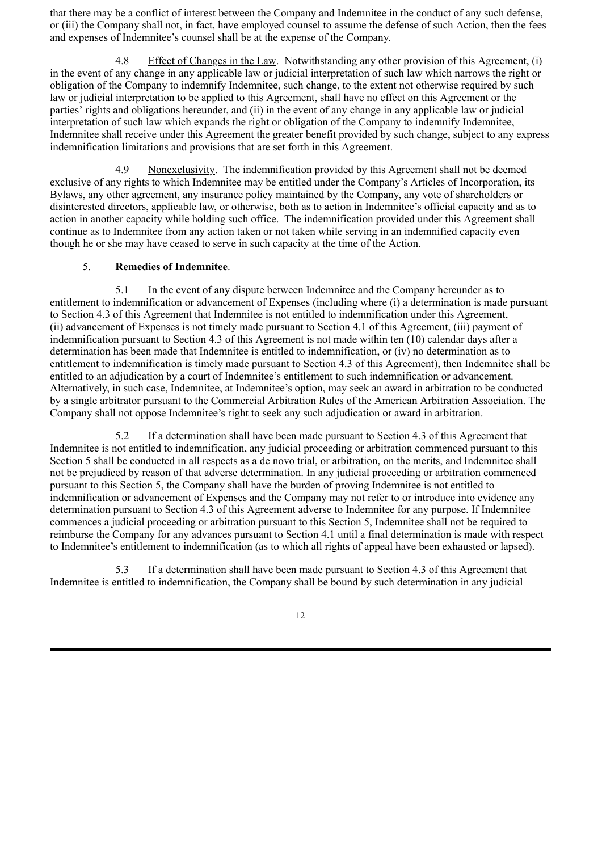that there may be a conflict of interest between the Company and Indemnitee in the conduct of any such defense, or (iii) the Company shall not, in fact, have employed counsel to assume the defense of such Action, then the fees and expenses of Indemnitee's counsel shall be at the expense of the Company.

4.8 Effect of Changes in the Law. Notwithstanding any other provision of this Agreement, (i) in the event of any change in any applicable law or judicial interpretation of such law which narrows the right or obligation of the Company to indemnify Indemnitee, such change, to the extent not otherwise required by such law or judicial interpretation to be applied to this Agreement, shall have no effect on this Agreement or the parties' rights and obligations hereunder, and (ii) in the event of any change in any applicable law or judicial interpretation of such law which expands the right or obligation of the Company to indemnify Indemnitee, Indemnitee shall receive under this Agreement the greater benefit provided by such change, subject to any express indemnification limitations and provisions that are set forth in this Agreement.

4.9 Nonexclusivity. The indemnification provided by this Agreement shall not be deemed exclusive of any rights to which Indemnitee may be entitled under the Company's Articles of Incorporation, its Bylaws, any other agreement, any insurance policy maintained by the Company, any vote of shareholders or disinterested directors, applicable law, or otherwise, both as to action in Indemnitee's official capacity and as to action in another capacity while holding such office. The indemnification provided under this Agreement shall continue as to Indemnitee from any action taken or not taken while serving in an indemnified capacity even though he or she may have ceased to serve in such capacity at the time of the Action.

# 5. **Remedies of Indemnitee**.

5.1 In the event of any dispute between Indemnitee and the Company hereunder as to entitlement to indemnification or advancement of Expenses (including where (i) a determination is made pursuant to Section 4.3 of this Agreement that Indemnitee is not entitled to indemnification under this Agreement, (ii) advancement of Expenses is not timely made pursuant to Section 4.1 of this Agreement, (iii) payment of indemnification pursuant to Section 4.3 of this Agreement is not made within ten (10) calendar days after a determination has been made that Indemnitee is entitled to indemnification, or (iv) no determination as to entitlement to indemnification is timely made pursuant to Section 4.3 of this Agreement), then Indemnitee shall be entitled to an adjudication by a court of Indemnitee's entitlement to such indemnification or advancement. Alternatively, in such case, Indemnitee, at Indemnitee's option, may seek an award in arbitration to be conducted by a single arbitrator pursuant to the Commercial Arbitration Rules of the American Arbitration Association. The Company shall not oppose Indemnitee's right to seek any such adjudication or award in arbitration.

5.2 If a determination shall have been made pursuant to Section 4.3 of this Agreement that Indemnitee is not entitled to indemnification, any judicial proceeding or arbitration commenced pursuant to this Section 5 shall be conducted in all respects as a de novo trial, or arbitration, on the merits, and Indemnitee shall not be prejudiced by reason of that adverse determination. In any judicial proceeding or arbitration commenced pursuant to this Section 5, the Company shall have the burden of proving Indemnitee is not entitled to indemnification or advancement of Expenses and the Company may not refer to or introduce into evidence any determination pursuant to Section 4.3 of this Agreement adverse to Indemnitee for any purpose. If Indemnitee commences a judicial proceeding or arbitration pursuant to this Section 5, Indemnitee shall not be required to reimburse the Company for any advances pursuant to Section 4.1 until a final determination is made with respect to Indemnitee's entitlement to indemnification (as to which all rights of appeal have been exhausted or lapsed).

5.3 If a determination shall have been made pursuant to Section 4.3 of this Agreement that Indemnitee is entitled to indemnification, the Company shall be bound by such determination in any judicial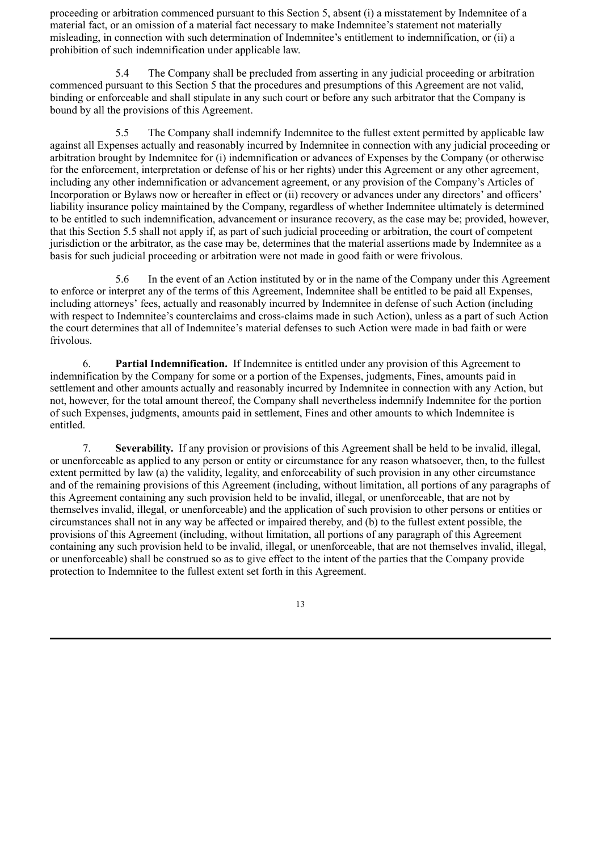proceeding or arbitration commenced pursuant to this Section 5, absent (i) a misstatement by Indemnitee of a material fact, or an omission of a material fact necessary to make Indemnitee's statement not materially misleading, in connection with such determination of Indemnitee's entitlement to indemnification, or (ii) a prohibition of such indemnification under applicable law.

5.4 The Company shall be precluded from asserting in any judicial proceeding or arbitration commenced pursuant to this Section 5 that the procedures and presumptions of this Agreement are not valid, binding or enforceable and shall stipulate in any such court or before any such arbitrator that the Company is bound by all the provisions of this Agreement.

5.5 The Company shall indemnify Indemnitee to the fullest extent permitted by applicable law against all Expenses actually and reasonably incurred by Indemnitee in connection with any judicial proceeding or arbitration brought by Indemnitee for (i) indemnification or advances of Expenses by the Company (or otherwise for the enforcement, interpretation or defense of his or her rights) under this Agreement or any other agreement, including any other indemnification or advancement agreement, or any provision of the Company's Articles of Incorporation or Bylaws now or hereafter in effect or (ii) recovery or advances under any directors' and officers' liability insurance policy maintained by the Company, regardless of whether Indemnitee ultimately is determined to be entitled to such indemnification, advancement or insurance recovery, as the case may be; provided, however, that this Section 5.5 shall not apply if, as part of such judicial proceeding or arbitration, the court of competent jurisdiction or the arbitrator, as the case may be, determines that the material assertions made by Indemnitee as a basis for such judicial proceeding or arbitration were not made in good faith or were frivolous.

5.6 In the event of an Action instituted by or in the name of the Company under this Agreement to enforce or interpret any of the terms of this Agreement, Indemnitee shall be entitled to be paid all Expenses, including attorneys' fees, actually and reasonably incurred by Indemnitee in defense of such Action (including with respect to Indemnitee's counterclaims and cross-claims made in such Action), unless as a part of such Action the court determines that all of Indemnitee's material defenses to such Action were made in bad faith or were frivolous.

6. **Partial Indemnification.** If Indemnitee is entitled under any provision of this Agreement to indemnification by the Company for some or a portion of the Expenses, judgments, Fines, amounts paid in settlement and other amounts actually and reasonably incurred by Indemnitee in connection with any Action, but not, however, for the total amount thereof, the Company shall nevertheless indemnify Indemnitee for the portion of such Expenses, judgments, amounts paid in settlement, Fines and other amounts to which Indemnitee is entitled.

7. **Severability.** If any provision or provisions of this Agreement shall be held to be invalid, illegal, or unenforceable as applied to any person or entity or circumstance for any reason whatsoever, then, to the fullest extent permitted by law (a) the validity, legality, and enforceability of such provision in any other circumstance and of the remaining provisions of this Agreement (including, without limitation, all portions of any paragraphs of this Agreement containing any such provision held to be invalid, illegal, or unenforceable, that are not by themselves invalid, illegal, or unenforceable) and the application of such provision to other persons or entities or circumstances shall not in any way be affected or impaired thereby, and (b) to the fullest extent possible, the provisions of this Agreement (including, without limitation, all portions of any paragraph of this Agreement containing any such provision held to be invalid, illegal, or unenforceable, that are not themselves invalid, illegal, or unenforceable) shall be construed so as to give effect to the intent of the parties that the Company provide protection to Indemnitee to the fullest extent set forth in this Agreement.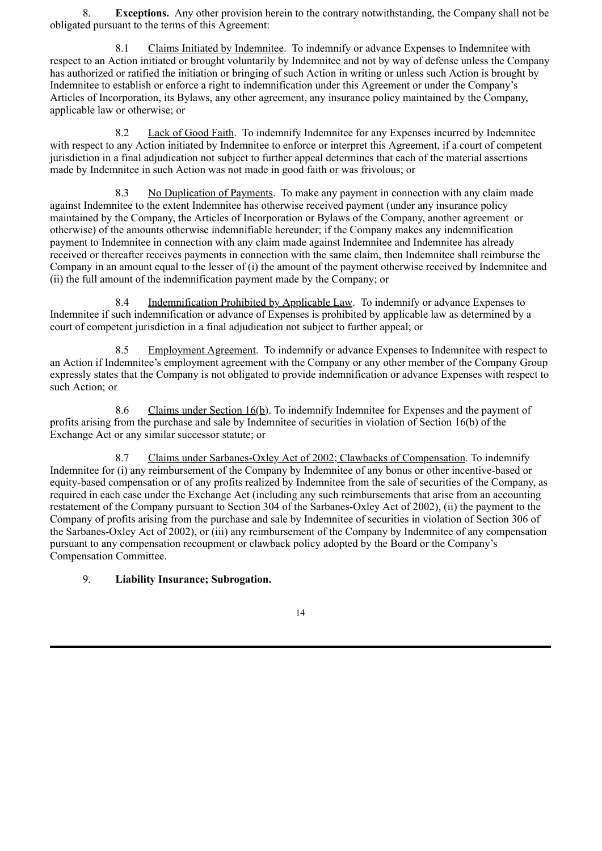8. **Exceptions.** Any other provision herein to the contrary notwithstanding, the Company shall not be obligated pursuant to the terms of this Agreement:

8.1 Claims Initiated by Indemnitee. To indemnify or advance Expenses to Indemnitee with respect to an Action initiated or brought voluntarily by Indemnitee and not by way of defense unless the Company has authorized or ratified the initiation or bringing of such Action in writing or unless such Action is brought by Indemnitee to establish or enforce a right to indemnification under this Agreement or under the Company's Articles of Incorporation, its Bylaws, any other agreement, any insurance policy maintained by the Company, applicable law or otherwise; or

8.2 Lack of Good Faith. To indemnify Indemnitee for any Expenses incurred by Indemnitee with respect to any Action initiated by Indemnitee to enforce or interpret this Agreement, if a court of competent jurisdiction in a final adjudication not subject to further appeal determines that each of the material assertions made by Indemnitee in such Action was not made in good faith or was frivolous; or

8.3 No Duplication of Payments. To make any payment in connection with any claim made against Indemnitee to the extent Indemnitee has otherwise received payment (under any insurance policy maintained by the Company, the Articles of Incorporation or Bylaws of the Company, another agreement or otherwise) of the amounts otherwise indemnifiable hereunder; if the Company makes any indemnification payment to Indemnitee in connection with any claim made against Indemnitee and Indemnitee has already received or thereafter receives payments in connection with the same claim, then Indemnitee shall reimburse the Company in an amount equal to the lesser of (i) the amount of the payment otherwise received by Indemnitee and (ii) the full amount of the indemnification payment made by the Company; or

8.4 Indemnification Prohibited by Applicable Law. To indemnify or advance Expenses to Indemnitee if such indemnification or advance of Expenses is prohibited by applicable law as determined by a court of competent jurisdiction in a final adjudication not subject to further appeal; or

8.5 Employment Agreement. To indemnify or advance Expenses to Indemnitee with respect to an Action if Indemnitee's employment agreement with the Company or any other member of the Company Group expressly states that the Company is not obligated to provide indemnification or advance Expenses with respect to such Action; or

8.6 Claims under Section 16(b). To indemnify Indemnitee for Expenses and the payment of profits arising from the purchase and sale by Indemnitee of securities in violation of Section 16(b) of the Exchange Act or any similar successor statute; or

8.7 Claims under Sarbanes-Oxley Act of 2002; Clawbacks of Compensation. To indemnify Indemnitee for (i) any reimbursement of the Company by Indemnitee of any bonus or other incentive-based or equity-based compensation or of any profits realized by Indemnitee from the sale of securities of the Company, as required in each case under the Exchange Act (including any such reimbursements that arise from an accounting restatement of the Company pursuant to Section 304 of the Sarbanes-Oxley Act of 2002), (ii) the payment to the Company of profits arising from the purchase and sale by Indemnitee of securities in violation of Section 306 of the Sarbanes-Oxley Act of 2002), or (iii) any reimbursement of the Company by Indemnitee of any compensation pursuant to any compensation recoupment or clawback policy adopted by the Board or the Company's Compensation Committee.

# 9. **Liability Insurance; Subrogation.**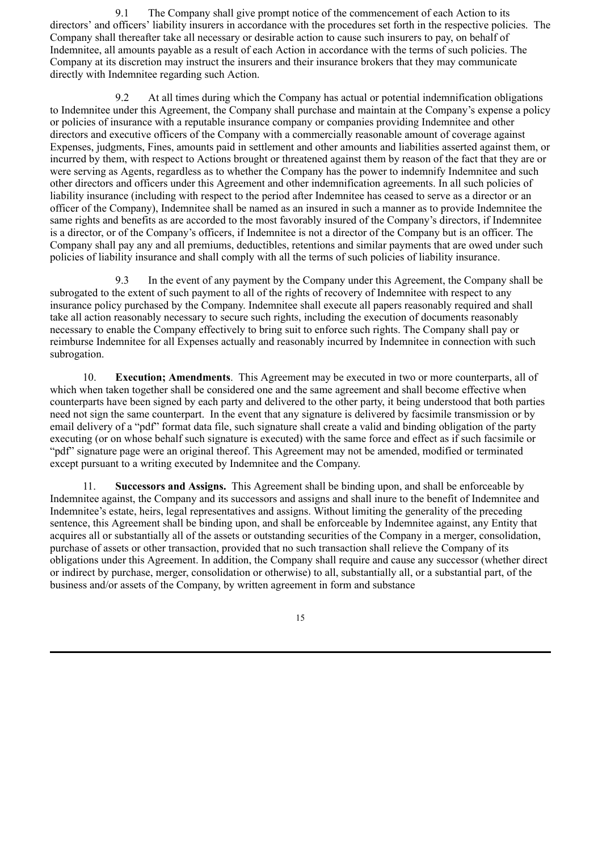9.1 The Company shall give prompt notice of the commencement of each Action to its directors' and officers' liability insurers in accordance with the procedures set forth in the respective policies. The Company shall thereafter take all necessary or desirable action to cause such insurers to pay, on behalf of Indemnitee, all amounts payable as a result of each Action in accordance with the terms of such policies. The Company at its discretion may instruct the insurers and their insurance brokers that they may communicate directly with Indemnitee regarding such Action.

9.2 At all times during which the Company has actual or potential indemnification obligations to Indemnitee under this Agreement, the Company shall purchase and maintain at the Company's expense a policy or policies of insurance with a reputable insurance company or companies providing Indemnitee and other directors and executive officers of the Company with a commercially reasonable amount of coverage against Expenses, judgments, Fines, amounts paid in settlement and other amounts and liabilities asserted against them, or incurred by them, with respect to Actions brought or threatened against them by reason of the fact that they are or were serving as Agents, regardless as to whether the Company has the power to indemnify Indemnitee and such other directors and officers under this Agreement and other indemnification agreements. In all such policies of liability insurance (including with respect to the period after Indemnitee has ceased to serve as a director or an officer of the Company), Indemnitee shall be named as an insured in such a manner as to provide Indemnitee the same rights and benefits as are accorded to the most favorably insured of the Company's directors, if Indemnitee is a director, or of the Company's officers, if Indemnitee is not a director of the Company but is an officer. The Company shall pay any and all premiums, deductibles, retentions and similar payments that are owed under such policies of liability insurance and shall comply with all the terms of such policies of liability insurance.

9.3 In the event of any payment by the Company under this Agreement, the Company shall be subrogated to the extent of such payment to all of the rights of recovery of Indemnitee with respect to any insurance policy purchased by the Company. Indemnitee shall execute all papers reasonably required and shall take all action reasonably necessary to secure such rights, including the execution of documents reasonably necessary to enable the Company effectively to bring suit to enforce such rights. The Company shall pay or reimburse Indemnitee for all Expenses actually and reasonably incurred by Indemnitee in connection with such subrogation.

10. **Execution; Amendments**. This Agreement may be executed in two or more counterparts, all of which when taken together shall be considered one and the same agreement and shall become effective when counterparts have been signed by each party and delivered to the other party, it being understood that both parties need not sign the same counterpart. In the event that any signature is delivered by facsimile transmission or by email delivery of a "pdf" format data file, such signature shall create a valid and binding obligation of the party executing (or on whose behalf such signature is executed) with the same force and effect as if such facsimile or "pdf" signature page were an original thereof. This Agreement may not be amended, modified or terminated except pursuant to a writing executed by Indemnitee and the Company.

11. **Successors and Assigns.** This Agreement shall be binding upon, and shall be enforceable by Indemnitee against, the Company and its successors and assigns and shall inure to the benefit of Indemnitee and Indemnitee's estate, heirs, legal representatives and assigns. Without limiting the generality of the preceding sentence, this Agreement shall be binding upon, and shall be enforceable by Indemnitee against, any Entity that acquires all or substantially all of the assets or outstanding securities of the Company in a merger, consolidation, purchase of assets or other transaction, provided that no such transaction shall relieve the Company of its obligations under this Agreement. In addition, the Company shall require and cause any successor (whether direct or indirect by purchase, merger, consolidation or otherwise) to all, substantially all, or a substantial part, of the business and/or assets of the Company, by written agreement in form and substance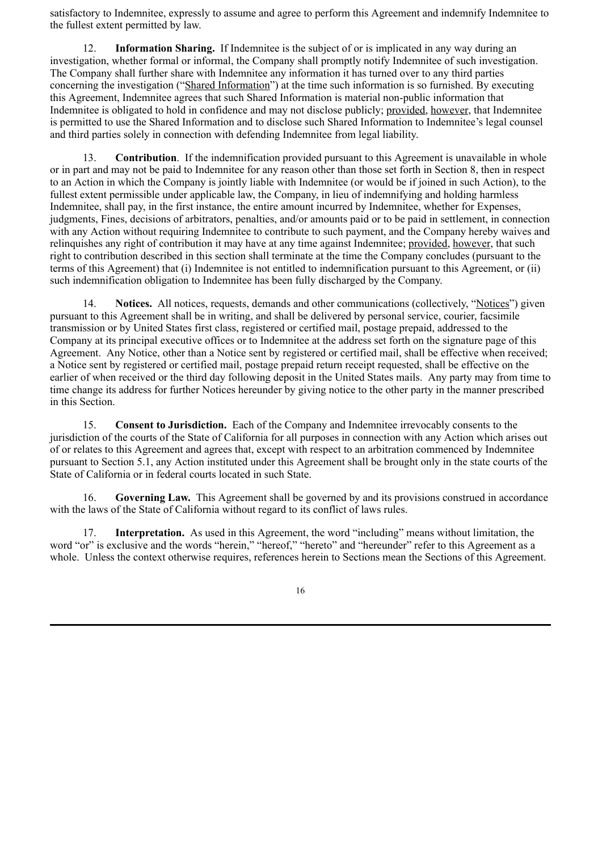satisfactory to Indemnitee, expressly to assume and agree to perform this Agreement and indemnify Indemnitee to the fullest extent permitted by law.

12. **Information Sharing.** If Indemnitee is the subject of or is implicated in any way during an investigation, whether formal or informal, the Company shall promptly notify Indemnitee of such investigation. The Company shall further share with Indemnitee any information it has turned over to any third parties concerning the investigation ("Shared Information") at the time such information is so furnished. By executing this Agreement, Indemnitee agrees that such Shared Information is material non-public information that Indemnitee is obligated to hold in confidence and may not disclose publicly; provided, however, that Indemnitee is permitted to use the Shared Information and to disclose such Shared Information to Indemnitee's legal counsel and third parties solely in connection with defending Indemnitee from legal liability.

13. **Contribution**. If the indemnification provided pursuant to this Agreement is unavailable in whole or in part and may not be paid to Indemnitee for any reason other than those set forth in Section 8, then in respect to an Action in which the Company is jointly liable with Indemnitee (or would be if joined in such Action), to the fullest extent permissible under applicable law, the Company, in lieu of indemnifying and holding harmless Indemnitee, shall pay, in the first instance, the entire amount incurred by Indemnitee, whether for Expenses, judgments, Fines, decisions of arbitrators, penalties, and/or amounts paid or to be paid in settlement, in connection with any Action without requiring Indemnitee to contribute to such payment, and the Company hereby waives and relinquishes any right of contribution it may have at any time against Indemnitee; provided, however, that such right to contribution described in this section shall terminate at the time the Company concludes (pursuant to the terms of this Agreement) that (i) Indemnitee is not entitled to indemnification pursuant to this Agreement, or (ii) such indemnification obligation to Indemnitee has been fully discharged by the Company.

14. **Notices.** All notices, requests, demands and other communications (collectively, "Notices") given pursuant to this Agreement shall be in writing, and shall be delivered by personal service, courier, facsimile transmission or by United States first class, registered or certified mail, postage prepaid, addressed to the Company at its principal executive offices or to Indemnitee at the address set forth on the signature page of this Agreement. Any Notice, other than a Notice sent by registered or certified mail, shall be effective when received; a Notice sent by registered or certified mail, postage prepaid return receipt requested, shall be effective on the earlier of when received or the third day following deposit in the United States mails. Any party may from time to time change its address for further Notices hereunder by giving notice to the other party in the manner prescribed in this Section.

15. **Consent to Jurisdiction.** Each of the Company and Indemnitee irrevocably consents to the jurisdiction of the courts of the State of California for all purposes in connection with any Action which arises out of or relates to this Agreement and agrees that, except with respect to an arbitration commenced by Indemnitee pursuant to Section 5.1, any Action instituted under this Agreement shall be brought only in the state courts of the State of California or in federal courts located in such State.

16. **Governing Law.** This Agreement shall be governed by and its provisions construed in accordance with the laws of the State of California without regard to its conflict of laws rules.

17. **Interpretation.** As used in this Agreement, the word "including" means without limitation, the word "or" is exclusive and the words "herein," "hereof," "hereto" and "hereunder" refer to this Agreement as a whole. Unless the context otherwise requires, references herein to Sections mean the Sections of this Agreement.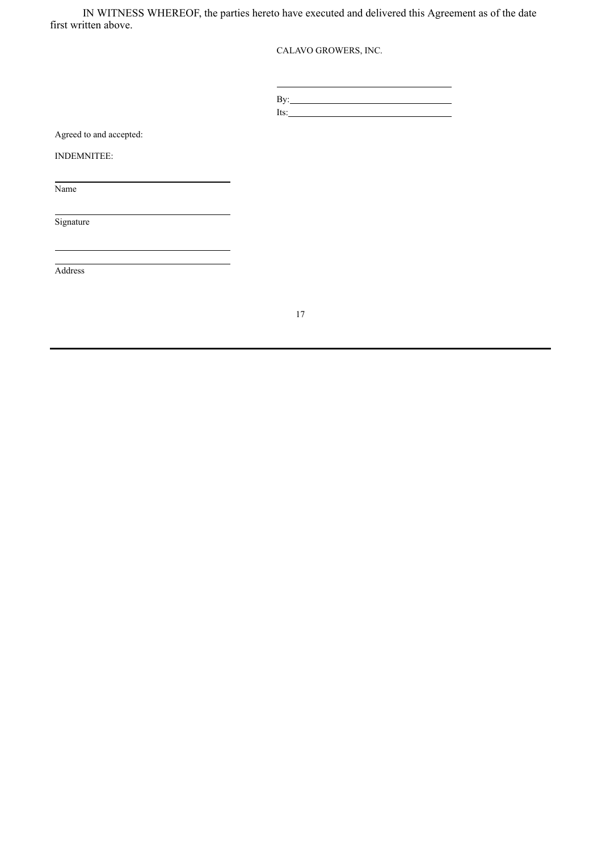IN WITNESS WHEREOF, the parties hereto have executed and delivered this Agreement as of the date first written above.

CALAVO GROWERS, INC.

| By:  |  |  |
|------|--|--|
|      |  |  |
| Its: |  |  |

Agreed to and accepted:

INDEMNITEE:

Name

Signature

Address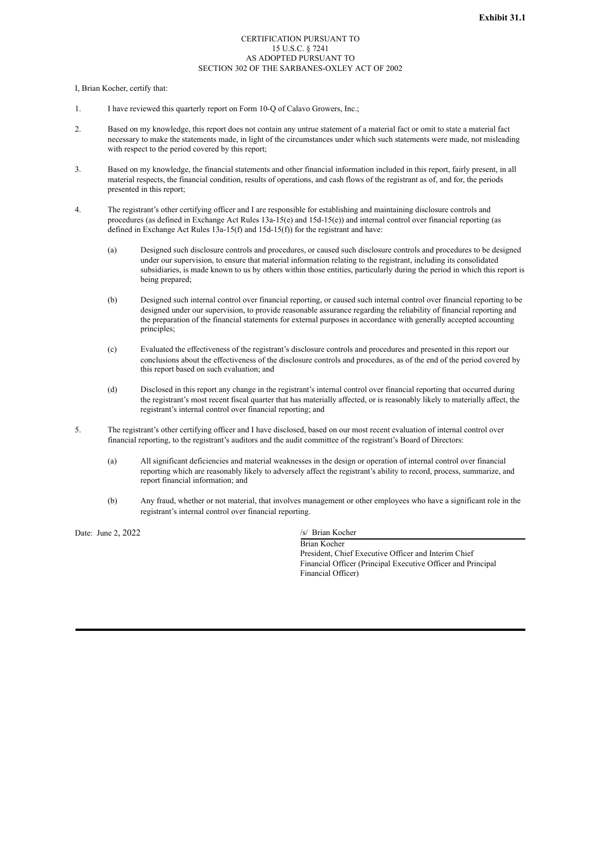#### CERTIFICATION PURSUANT TO 15 U.S.C. § 7241 AS ADOPTED PURSUANT TO SECTION 302 OF THE SARBANES-OXLEY ACT OF 2002

I, Brian Kocher, certify that:

- 1. I have reviewed this quarterly report on Form 10-Q of Calavo Growers, Inc.;
- 2. Based on my knowledge, this report does not contain any untrue statement of a material fact or omit to state a material fact necessary to make the statements made, in light of the circumstances under which such statements were made, not misleading with respect to the period covered by this report;
- 3. Based on my knowledge, the financial statements and other financial information included in this report, fairly present, in all material respects, the financial condition, results of operations, and cash flows of the registrant as of, and for, the periods presented in this report;
- 4. The registrant's other certifying officer and I are responsible for establishing and maintaining disclosure controls and procedures (as defined in Exchange Act Rules 13a-15(e) and 15d-15(e)) and internal control over financial reporting (as defined in Exchange Act Rules  $13a-15(f)$  and  $15d-15(f)$  for the registrant and have:
	- (a) Designed such disclosure controls and procedures, or caused such disclosure controls and procedures to be designed under our supervision, to ensure that material information relating to the registrant, including its consolidated subsidiaries, is made known to us by others within those entities, particularly during the period in which this report is being prepared;
	- (b) Designed such internal control over financial reporting, or caused such internal control over financial reporting to be designed under our supervision, to provide reasonable assurance regarding the reliability of financial reporting and the preparation of the financial statements for external purposes in accordance with generally accepted accounting principles;
	- (c) Evaluated the effectiveness of the registrant's disclosure controls and procedures and presented in this report our conclusions about the effectiveness of the disclosure controls and procedures, as of the end of the period covered by this report based on such evaluation; and
	- (d) Disclosed in this report any change in the registrant's internal control over financial reporting that occurred during the registrant's most recent fiscal quarter that has materially affected, or is reasonably likely to materially affect, the registrant's internal control over financial reporting; and
- 5. The registrant's other certifying officer and I have disclosed, based on our most recent evaluation of internal control over financial reporting, to the registrant's auditors and the audit committee of the registrant's Board of Directors:
	- (a) All significant deficiencies and material weaknesses in the design or operation of internal control over financial reporting which are reasonably likely to adversely affect the registrant's ability to record, process, summarize, and report financial information; and
	- (b) Any fraud, whether or not material, that involves management or other employees who have a significant role in the registrant's internal control over financial reporting.

Date: June 2, 2022 /s/ Brian Kocher

Brian Kocher President, Chief Executive Officer and Interim Chief Financial Officer (Principal Executive Officer and Principal Financial Officer)